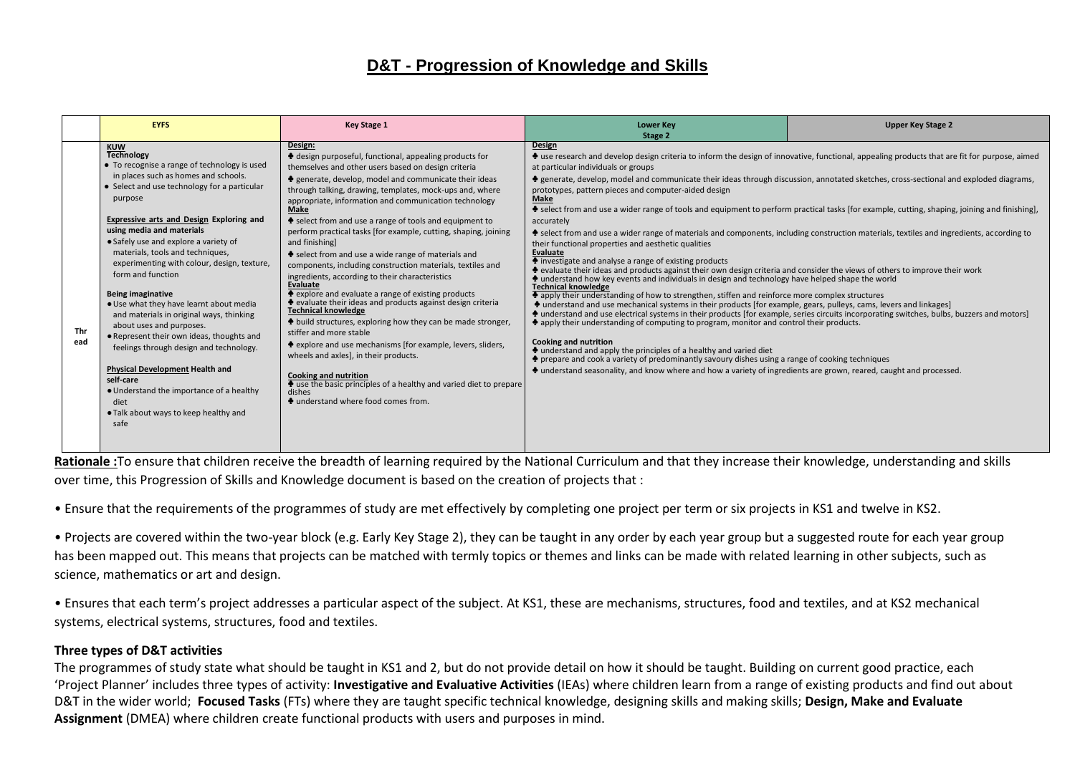# **D&T - Progression of Knowledge and Skills**

|            | <b>EYFS</b>                                                                                                                                                                                                                                                                                                                                                                                                                                                                                                                                                                                                                                                                                                                                                                                                     | <b>Key Stage 1</b>                                                                                                                                                                                                                                                                                                                                                                                                                                                                                                                                                                                                                                                                                                                                                                                                                                                                                                                                                                                                                                                                                                                                                                                             | <b>Lower Key</b><br>Stage 2                                                                                                                                                                                                                                                                                                                                                                                                                                                                                                                                                                                                                                                                                                                                                                                                                                                                                                                                                                                                                                                                                                                                                                                                                                                                                                                                                                                                                                                                                                                                                                                                                                                                                                                                                                                                                                                                                                                               | <b>Upper Key Stage 2</b> |
|------------|-----------------------------------------------------------------------------------------------------------------------------------------------------------------------------------------------------------------------------------------------------------------------------------------------------------------------------------------------------------------------------------------------------------------------------------------------------------------------------------------------------------------------------------------------------------------------------------------------------------------------------------------------------------------------------------------------------------------------------------------------------------------------------------------------------------------|----------------------------------------------------------------------------------------------------------------------------------------------------------------------------------------------------------------------------------------------------------------------------------------------------------------------------------------------------------------------------------------------------------------------------------------------------------------------------------------------------------------------------------------------------------------------------------------------------------------------------------------------------------------------------------------------------------------------------------------------------------------------------------------------------------------------------------------------------------------------------------------------------------------------------------------------------------------------------------------------------------------------------------------------------------------------------------------------------------------------------------------------------------------------------------------------------------------|-----------------------------------------------------------------------------------------------------------------------------------------------------------------------------------------------------------------------------------------------------------------------------------------------------------------------------------------------------------------------------------------------------------------------------------------------------------------------------------------------------------------------------------------------------------------------------------------------------------------------------------------------------------------------------------------------------------------------------------------------------------------------------------------------------------------------------------------------------------------------------------------------------------------------------------------------------------------------------------------------------------------------------------------------------------------------------------------------------------------------------------------------------------------------------------------------------------------------------------------------------------------------------------------------------------------------------------------------------------------------------------------------------------------------------------------------------------------------------------------------------------------------------------------------------------------------------------------------------------------------------------------------------------------------------------------------------------------------------------------------------------------------------------------------------------------------------------------------------------------------------------------------------------------------------------------------------------|--------------------------|
| Thr<br>ead | <b>KUW</b><br><b>Technology</b><br>• To recognise a range of technology is used<br>in places such as homes and schools.<br>• Select and use technology for a particular<br>purpose<br>Expressive arts and Design Exploring and<br>using media and materials<br>• Safely use and explore a variety of<br>materials, tools and techniques,<br>experimenting with colour, design, texture,<br>form and function<br><b>Being imaginative</b><br>. Use what they have learnt about media<br>and materials in original ways, thinking<br>about uses and purposes.<br>• Represent their own ideas, thoughts and<br>feelings through design and technology.<br><b>Physical Development Health and</b><br>self-care<br>• Understand the importance of a healthy<br>diet<br>• Talk about ways to keep healthy and<br>safe | Design:<br>Lessign purposeful, functional, appealing products for<br>themselves and other users based on design criteria<br>negation generate, develop, model and communicate their ideas<br>through talking, drawing, templates, mock-ups and, where<br>appropriate, information and communication technology<br><b>Make</b><br>Select from and use a range of tools and equipment to<br>perform practical tasks [for example, cutting, shaping, joining<br>and finishing]<br>Select from and use a wide range of materials and<br>components, including construction materials, textiles and<br>ingredients, according to their characteristics<br>Evaluate<br>• explore and evaluate a range of existing products<br>$\triangle$ evaluate their ideas and products against design criteria<br><b>Technical knowledge</b><br>$\triangleq$ build structures, exploring how they can be made stronger,<br>stiffer and more stable<br>• explore and use mechanisms [for example, levers, sliders,<br>wheels and axles], in their products.<br><b>Cooking and nutrition</b><br>$\blacklozenge$ use the basic principles of a healthy and varied diet to prepare<br>dishes<br>• understand where food comes from. | <b>Design</b><br>Let use research and develop design criteria to inform the design of innovative, functional, appealing products that are fit for purpose, aimed<br>at particular individuals or groups<br>♦ generate, develop, model and communicate their ideas through discussion, annotated sketches, cross-sectional and exploded diagrams,<br>prototypes, pattern pieces and computer-aided design<br>Make<br>♦ select from and use a wider range of tools and equipment to perform practical tasks [for example, cutting, shaping, joining and finishing],<br>accurately<br>♦ select from and use a wider range of materials and components, including construction materials, textiles and ingredients, according to<br>their functional properties and aesthetic qualities<br>Evaluate<br>lacktriangleright investigate and analyse a range of existing products<br>+ evaluate their ideas and products against their own design criteria and consider the views of others to improve their work<br>♦ understand how key events and individuals in design and technology have helped shape the world<br><b>Technical knowledge</b><br>A apply their understanding of how to strengthen, stiffen and reinforce more complex structures<br>♦ understand and use mechanical systems in their products [for example, gears, pulleys, cams, levers and linkages]<br>♦ understand and use electrical systems in their products [for example, series circuits incorporating switches, bulbs, buzzers and motors]<br>$\clubsuit$ apply their understanding of computing to program, monitor and control their products.<br><b>Cooking and nutrition</b><br>If understand and apply the principles of a healthy and varied diet<br>♦ prepare and cook a variety of predominantly savoury dishes using a range of cooking techniques<br>♦ understand seasonality, and know where and how a variety of ingredients are grown, reared, caught and processed. |                          |

**Rationale :**To ensure that children receive the breadth of learning required by the National Curriculum and that they increase their knowledge, understanding and skills over time, this Progression of Skills and Knowledge document is based on the creation of projects that :

• Ensure that the requirements of the programmes of study are met effectively by completing one project per term or six projects in KS1 and twelve in KS2.

• Projects are covered within the two-year block (e.g. Early Key Stage 2), they can be taught in any order by each year group but a suggested route for each year group has been mapped out. This means that projects can be matched with termly topics or themes and links can be made with related learning in other subjects, such as science, mathematics or art and design.

• Ensures that each term's project addresses a particular aspect of the subject. At KS1, these are mechanisms, structures, food and textiles, and at KS2 mechanical systems, electrical systems, structures, food and textiles.

### **Three types of D&T activities**

The programmes of study state what should be taught in KS1 and 2, but do not provide detail on how it should be taught. Building on current good practice, each 'Project Planner' includes three types of activity: **Investigative and Evaluative Activities** (IEAs) where children learn from a range of existing products and find out about D&T in the wider world; **Focused Tasks** (FTs) where they are taught specific technical knowledge, designing skills and making skills; **Design, Make and Evaluate Assignment** (DMEA) where children create functional products with users and purposes in mind.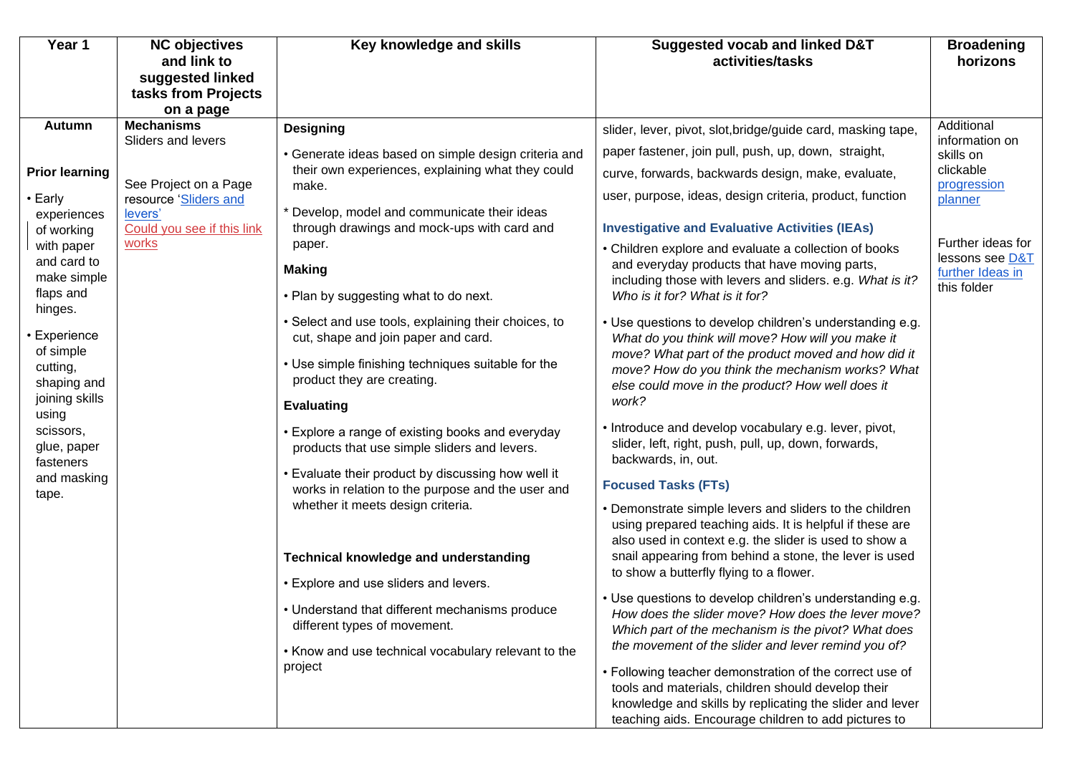| Year 1                                | <b>NC objectives</b><br>and link to     | Key knowledge and skills                                                                                | Suggested vocab and linked D&T<br>activities/tasks                                                                                                                        | <b>Broadening</b><br>horizons   |
|---------------------------------------|-----------------------------------------|---------------------------------------------------------------------------------------------------------|---------------------------------------------------------------------------------------------------------------------------------------------------------------------------|---------------------------------|
|                                       | suggested linked                        |                                                                                                         |                                                                                                                                                                           |                                 |
|                                       | tasks from Projects<br>on a page        |                                                                                                         |                                                                                                                                                                           |                                 |
| <b>Autumn</b>                         | <b>Mechanisms</b><br>Sliders and levers | <b>Designing</b>                                                                                        | slider, lever, pivot, slot, bridge/guide card, masking tape,                                                                                                              | Additional<br>information on    |
|                                       |                                         | • Generate ideas based on simple design criteria and                                                    | paper fastener, join pull, push, up, down, straight,                                                                                                                      | skills on                       |
| <b>Prior learning</b>                 | See Project on a Page                   | their own experiences, explaining what they could<br>make.                                              | curve, forwards, backwards design, make, evaluate,                                                                                                                        | clickable<br>progression        |
| • Early<br>experiences                | resource 'Sliders and<br>levers'        | * Develop, model and communicate their ideas                                                            | user, purpose, ideas, design criteria, product, function                                                                                                                  | planner                         |
| of working                            | Could you see if this link<br>works     | through drawings and mock-ups with card and<br>paper.                                                   | <b>Investigative and Evaluative Activities (IEAs)</b>                                                                                                                     | Further ideas for               |
| with paper<br>and card to             |                                         | <b>Making</b>                                                                                           | • Children explore and evaluate a collection of books<br>and everyday products that have moving parts,                                                                    | lessons see D&T                 |
| make simple<br>flaps and<br>hinges.   |                                         | • Plan by suggesting what to do next.                                                                   | including those with levers and sliders. e.g. What is it?<br>Who is it for? What is it for?                                                                               | further Ideas in<br>this folder |
| • Experience                          |                                         | • Select and use tools, explaining their choices, to<br>cut, shape and join paper and card.             | • Use questions to develop children's understanding e.g.<br>What do you think will move? How will you make it                                                             |                                 |
| of simple<br>cutting,<br>shaping and  |                                         | • Use simple finishing techniques suitable for the<br>product they are creating.                        | move? What part of the product moved and how did it<br>move? How do you think the mechanism works? What<br>else could move in the product? How well does it               |                                 |
| joining skills<br>using               |                                         | <b>Evaluating</b>                                                                                       | work?                                                                                                                                                                     |                                 |
| scissors,<br>glue, paper<br>fasteners |                                         | • Explore a range of existing books and everyday<br>products that use simple sliders and levers.        | • Introduce and develop vocabulary e.g. lever, pivot,<br>slider, left, right, push, pull, up, down, forwards,<br>backwards, in, out.                                      |                                 |
| and masking                           |                                         | • Evaluate their product by discussing how well it<br>works in relation to the purpose and the user and | <b>Focused Tasks (FTs)</b>                                                                                                                                                |                                 |
| tape.                                 |                                         | whether it meets design criteria.                                                                       | • Demonstrate simple levers and sliders to the children<br>using prepared teaching aids. It is helpful if these are                                                       |                                 |
|                                       |                                         | Technical knowledge and understanding                                                                   | also used in context e.g. the slider is used to show a<br>snail appearing from behind a stone, the lever is used<br>to show a butterfly flying to a flower.               |                                 |
|                                       |                                         | • Explore and use sliders and levers.                                                                   | • Use questions to develop children's understanding e.g.                                                                                                                  |                                 |
|                                       |                                         | • Understand that different mechanisms produce<br>different types of movement.                          | How does the slider move? How does the lever move?<br>Which part of the mechanism is the pivot? What does                                                                 |                                 |
|                                       |                                         | • Know and use technical vocabulary relevant to the                                                     | the movement of the slider and lever remind you of?                                                                                                                       |                                 |
|                                       |                                         | project                                                                                                 | • Following teacher demonstration of the correct use of<br>tools and materials, children should develop their<br>knowledge and skills by replicating the slider and lever |                                 |
|                                       |                                         |                                                                                                         | teaching aids. Encourage children to add pictures to                                                                                                                      |                                 |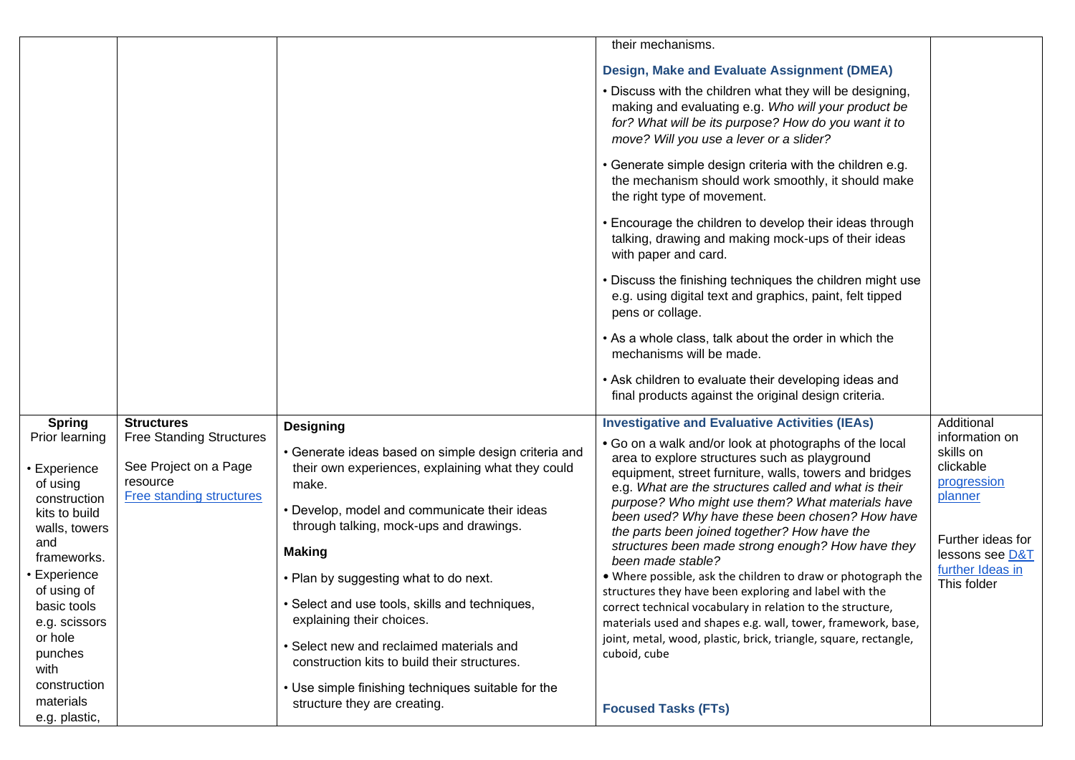|                                |                                                          |                                                                                                           | their mechanisms.                                                                                                                                                                                                  |                                          |
|--------------------------------|----------------------------------------------------------|-----------------------------------------------------------------------------------------------------------|--------------------------------------------------------------------------------------------------------------------------------------------------------------------------------------------------------------------|------------------------------------------|
|                                |                                                          |                                                                                                           | Design, Make and Evaluate Assignment (DMEA)                                                                                                                                                                        |                                          |
|                                |                                                          |                                                                                                           | . Discuss with the children what they will be designing,<br>making and evaluating e.g. Who will your product be<br>for? What will be its purpose? How do you want it to<br>move? Will you use a lever or a slider? |                                          |
|                                |                                                          |                                                                                                           | • Generate simple design criteria with the children e.g.<br>the mechanism should work smoothly, it should make<br>the right type of movement.                                                                      |                                          |
|                                |                                                          |                                                                                                           | • Encourage the children to develop their ideas through<br>talking, drawing and making mock-ups of their ideas<br>with paper and card.                                                                             |                                          |
|                                |                                                          |                                                                                                           | • Discuss the finishing techniques the children might use<br>e.g. using digital text and graphics, paint, felt tipped<br>pens or collage.                                                                          |                                          |
|                                |                                                          |                                                                                                           | • As a whole class, talk about the order in which the<br>mechanisms will be made.                                                                                                                                  |                                          |
|                                |                                                          |                                                                                                           | • Ask children to evaluate their developing ideas and<br>final products against the original design criteria.                                                                                                      |                                          |
| <b>Spring</b>                  | <b>Structures</b>                                        | <b>Designing</b>                                                                                          | <b>Investigative and Evaluative Activities (IEAs)</b>                                                                                                                                                              | Additional                               |
| Prior learning<br>• Experience | <b>Free Standing Structures</b><br>See Project on a Page | • Generate ideas based on simple design criteria and<br>their own experiences, explaining what they could | . Go on a walk and/or look at photographs of the local<br>area to explore structures such as playground<br>equipment, street furniture, walls, towers and bridges                                                  | information on<br>skills on<br>clickable |
| of using                       | resource                                                 | make.                                                                                                     | e.g. What are the structures called and what is their                                                                                                                                                              | progression                              |
| construction<br>kits to build  | <b>Free standing structures</b>                          | • Develop, model and communicate their ideas                                                              | purpose? Who might use them? What materials have                                                                                                                                                                   | planner                                  |
| walls, towers                  |                                                          | through talking, mock-ups and drawings.                                                                   | been used? Why have these been chosen? How have<br>the parts been joined together? How have the                                                                                                                    |                                          |
| and                            |                                                          | <b>Making</b>                                                                                             | structures been made strong enough? How have they                                                                                                                                                                  | Further ideas for<br>lessons see D&T     |
| frameworks.<br>• Experience    |                                                          |                                                                                                           | been made stable?                                                                                                                                                                                                  | further Ideas in                         |
| of using of                    |                                                          | • Plan by suggesting what to do next.                                                                     | . Where possible, ask the children to draw or photograph the<br>structures they have been exploring and label with the                                                                                             | This folder                              |
| basic tools                    |                                                          | · Select and use tools, skills and techniques,                                                            | correct technical vocabulary in relation to the structure,                                                                                                                                                         |                                          |
| e.g. scissors                  |                                                          | explaining their choices.                                                                                 | materials used and shapes e.g. wall, tower, framework, base,                                                                                                                                                       |                                          |
| or hole<br>punches             |                                                          | • Select new and reclaimed materials and                                                                  | joint, metal, wood, plastic, brick, triangle, square, rectangle,<br>cuboid, cube                                                                                                                                   |                                          |
| with                           |                                                          | construction kits to build their structures.                                                              |                                                                                                                                                                                                                    |                                          |
| construction                   |                                                          | • Use simple finishing techniques suitable for the                                                        |                                                                                                                                                                                                                    |                                          |
| materials                      |                                                          | structure they are creating.                                                                              | <b>Focused Tasks (FTs)</b>                                                                                                                                                                                         |                                          |
| e.g. plastic,                  |                                                          |                                                                                                           |                                                                                                                                                                                                                    |                                          |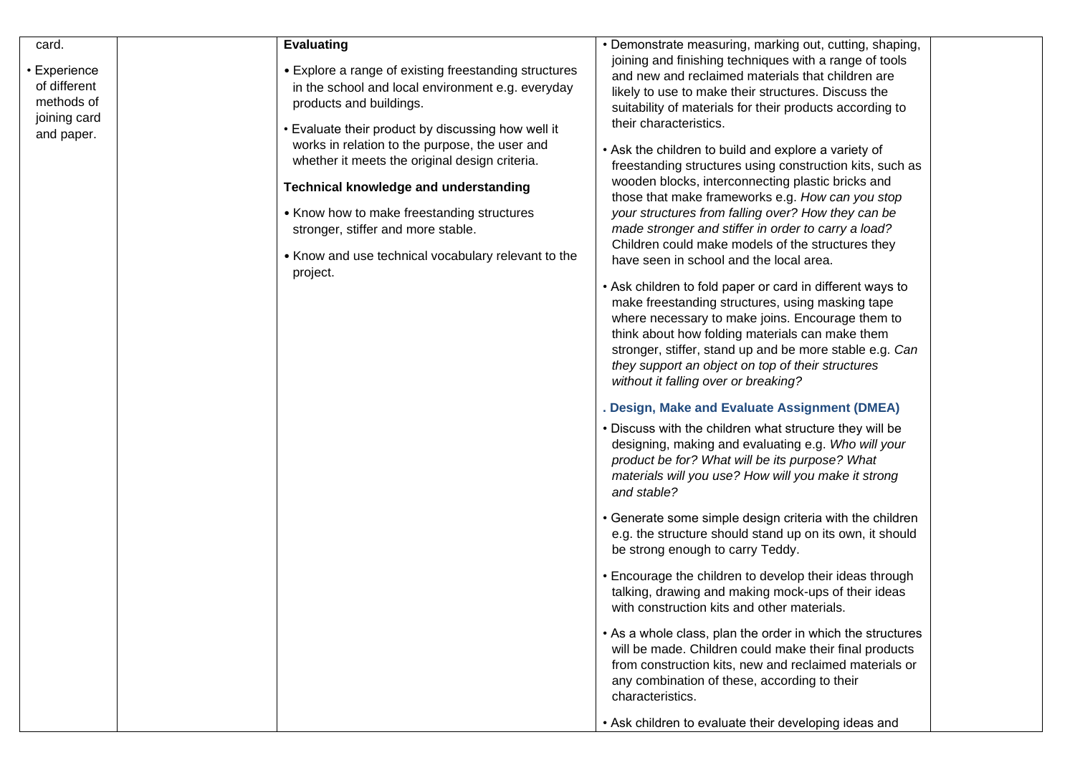| card.<br>• Experience<br>of different<br>methods of<br>joining card<br>and paper. | <b>Evaluating</b><br>• Explore a range of existing freestanding structures<br>in the school and local environment e.g. everyday<br>products and buildings.<br>• Evaluate their product by discussing how well it<br>works in relation to the purpose, the user and<br>whether it meets the original design criteria.<br>Technical knowledge and understanding<br>• Know how to make freestanding structures<br>stronger, stiffer and more stable.<br>• Know and use technical vocabulary relevant to the<br>project. | • Demonstrate measuring, marking out, cutting, shaping,<br>joining and finishing techniques with a range of tools<br>and new and reclaimed materials that children are<br>likely to use to make their structures. Discuss the<br>suitability of materials for their products according to<br>their characteristics.<br>• Ask the children to build and explore a variety of<br>freestanding structures using construction kits, such as<br>wooden blocks, interconnecting plastic bricks and<br>those that make frameworks e.g. How can you stop<br>your structures from falling over? How they can be<br>made stronger and stiffer in order to carry a load?<br>Children could make models of the structures they<br>have seen in school and the local area.<br>• Ask children to fold paper or card in different ways to<br>make freestanding structures, using masking tape<br>where necessary to make joins. Encourage them to<br>think about how folding materials can make them<br>stronger, stiffer, stand up and be more stable e.g. Can<br>they support an object on top of their structures<br>without it falling over or breaking?<br>Design, Make and Evaluate Assignment (DMEA)<br>. Discuss with the children what structure they will be<br>designing, making and evaluating e.g. Who will your<br>product be for? What will be its purpose? What<br>materials will you use? How will you make it strong<br>and stable?<br>• Generate some simple design criteria with the children<br>e.g. the structure should stand up on its own, it should<br>be strong enough to carry Teddy.<br>• Encourage the children to develop their ideas through<br>talking, drawing and making mock-ups of their ideas<br>with construction kits and other materials.<br>• As a whole class, plan the order in which the structures |
|-----------------------------------------------------------------------------------|----------------------------------------------------------------------------------------------------------------------------------------------------------------------------------------------------------------------------------------------------------------------------------------------------------------------------------------------------------------------------------------------------------------------------------------------------------------------------------------------------------------------|-----------------------------------------------------------------------------------------------------------------------------------------------------------------------------------------------------------------------------------------------------------------------------------------------------------------------------------------------------------------------------------------------------------------------------------------------------------------------------------------------------------------------------------------------------------------------------------------------------------------------------------------------------------------------------------------------------------------------------------------------------------------------------------------------------------------------------------------------------------------------------------------------------------------------------------------------------------------------------------------------------------------------------------------------------------------------------------------------------------------------------------------------------------------------------------------------------------------------------------------------------------------------------------------------------------------------------------------------------------------------------------------------------------------------------------------------------------------------------------------------------------------------------------------------------------------------------------------------------------------------------------------------------------------------------------------------------------------------------------------------------------------------------------------------------------------------------------|
|                                                                                   |                                                                                                                                                                                                                                                                                                                                                                                                                                                                                                                      |                                                                                                                                                                                                                                                                                                                                                                                                                                                                                                                                                                                                                                                                                                                                                                                                                                                                                                                                                                                                                                                                                                                                                                                                                                                                                                                                                                                                                                                                                                                                                                                                                                                                                                                                                                                                                                   |
|                                                                                   |                                                                                                                                                                                                                                                                                                                                                                                                                                                                                                                      | will be made. Children could make their final products<br>from construction kits, new and reclaimed materials or<br>any combination of these, according to their<br>characteristics.                                                                                                                                                                                                                                                                                                                                                                                                                                                                                                                                                                                                                                                                                                                                                                                                                                                                                                                                                                                                                                                                                                                                                                                                                                                                                                                                                                                                                                                                                                                                                                                                                                              |
|                                                                                   |                                                                                                                                                                                                                                                                                                                                                                                                                                                                                                                      | • Ask children to evaluate their developing ideas and                                                                                                                                                                                                                                                                                                                                                                                                                                                                                                                                                                                                                                                                                                                                                                                                                                                                                                                                                                                                                                                                                                                                                                                                                                                                                                                                                                                                                                                                                                                                                                                                                                                                                                                                                                             |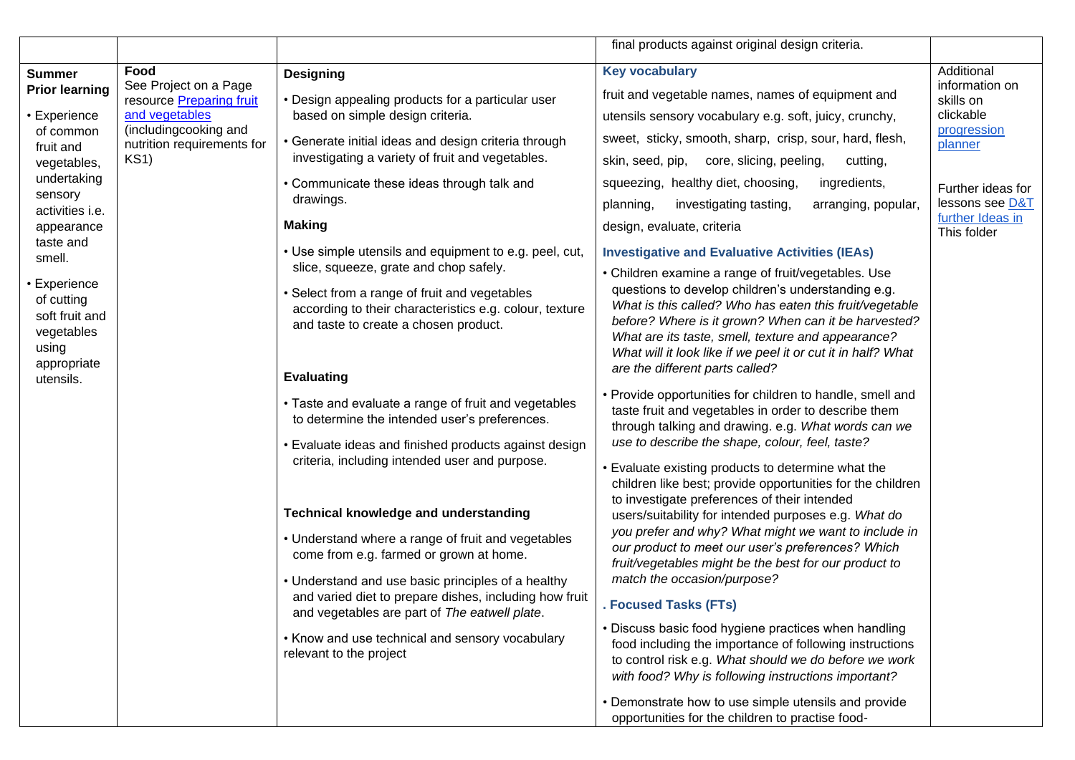|                                                                                                                                                                                                                                                                                  |                                                                                                                                            |                                                                                                                                                                                                                                                                                                                                                                                                                                                                                                                                                                                                                                                                                                                                                                                                                                                                                                                                                      | final products against original design criteria.                                                                                                                                                                                                                                                                                                                                                                                                                                                                                                                                                                                                                                                                                                                                                                                                                                                                                                                                                                                                                                                                                                                                                                                                                                                                                                                                                                                                                                             |                                                                                                                                                             |
|----------------------------------------------------------------------------------------------------------------------------------------------------------------------------------------------------------------------------------------------------------------------------------|--------------------------------------------------------------------------------------------------------------------------------------------|------------------------------------------------------------------------------------------------------------------------------------------------------------------------------------------------------------------------------------------------------------------------------------------------------------------------------------------------------------------------------------------------------------------------------------------------------------------------------------------------------------------------------------------------------------------------------------------------------------------------------------------------------------------------------------------------------------------------------------------------------------------------------------------------------------------------------------------------------------------------------------------------------------------------------------------------------|----------------------------------------------------------------------------------------------------------------------------------------------------------------------------------------------------------------------------------------------------------------------------------------------------------------------------------------------------------------------------------------------------------------------------------------------------------------------------------------------------------------------------------------------------------------------------------------------------------------------------------------------------------------------------------------------------------------------------------------------------------------------------------------------------------------------------------------------------------------------------------------------------------------------------------------------------------------------------------------------------------------------------------------------------------------------------------------------------------------------------------------------------------------------------------------------------------------------------------------------------------------------------------------------------------------------------------------------------------------------------------------------------------------------------------------------------------------------------------------------|-------------------------------------------------------------------------------------------------------------------------------------------------------------|
| <b>Summer</b><br><b>Prior learning</b><br>Experience<br>of common<br>fruit and<br>vegetables,<br>undertaking<br>sensory<br>activities i.e.<br>appearance<br>taste and<br>smell.<br>Experience<br>of cutting<br>soft fruit and<br>vegetables<br>using<br>appropriate<br>utensils. | Food<br>See Project on a Page<br>resource Preparing fruit<br>and vegetables<br>(includingcooking and<br>nutrition requirements for<br>KS1) | <b>Designing</b><br>• Design appealing products for a particular user<br>based on simple design criteria.<br>• Generate initial ideas and design criteria through<br>investigating a variety of fruit and vegetables.<br>• Communicate these ideas through talk and<br>drawings.<br><b>Making</b><br>• Use simple utensils and equipment to e.g. peel, cut,<br>slice, squeeze, grate and chop safely.<br>• Select from a range of fruit and vegetables<br>according to their characteristics e.g. colour, texture<br>and taste to create a chosen product.<br><b>Evaluating</b><br>• Taste and evaluate a range of fruit and vegetables<br>to determine the intended user's preferences.<br>• Evaluate ideas and finished products against design<br>criteria, including intended user and purpose.<br><b>Technical knowledge and understanding</b><br>• Understand where a range of fruit and vegetables<br>come from e.g. farmed or grown at home. | <b>Key vocabulary</b><br>fruit and vegetable names, names of equipment and<br>utensils sensory vocabulary e.g. soft, juicy, crunchy,<br>sweet, sticky, smooth, sharp, crisp, sour, hard, flesh,<br>skin, seed, pip, core, slicing, peeling,<br>cutting,<br>squeezing, healthy diet, choosing,<br>ingredients,<br>planning,<br>investigating tasting,<br>arranging, popular,<br>design, evaluate, criteria<br><b>Investigative and Evaluative Activities (IEAs)</b><br>• Children examine a range of fruit/vegetables. Use<br>questions to develop children's understanding e.g.<br>What is this called? Who has eaten this fruit/vegetable<br>before? Where is it grown? When can it be harvested?<br>What are its taste, smell, texture and appearance?<br>What will it look like if we peel it or cut it in half? What<br>are the different parts called?<br>• Provide opportunities for children to handle, smell and<br>taste fruit and vegetables in order to describe them<br>through talking and drawing. e.g. What words can we<br>use to describe the shape, colour, feel, taste?<br>• Evaluate existing products to determine what the<br>children like best; provide opportunities for the children<br>to investigate preferences of their intended<br>users/suitability for intended purposes e.g. What do<br>you prefer and why? What might we want to include in<br>our product to meet our user's preferences? Which<br>fruit/vegetables might be the best for our product to | Additional<br>information on<br>skills on<br>clickable<br>progression<br>planner<br>Further ideas for<br>lessons see D&T<br>further Ideas in<br>This folder |
|                                                                                                                                                                                                                                                                                  |                                                                                                                                            | • Understand and use basic principles of a healthy<br>and varied diet to prepare dishes, including how fruit<br>and vegetables are part of The eatwell plate.<br>• Know and use technical and sensory vocabulary<br>relevant to the project                                                                                                                                                                                                                                                                                                                                                                                                                                                                                                                                                                                                                                                                                                          | match the occasion/purpose?<br><b>Focused Tasks (FTs)</b><br>• Discuss basic food hygiene practices when handling<br>food including the importance of following instructions<br>to control risk e.g. What should we do before we work<br>with food? Why is following instructions important?<br>• Demonstrate how to use simple utensils and provide<br>opportunities for the children to practise food-                                                                                                                                                                                                                                                                                                                                                                                                                                                                                                                                                                                                                                                                                                                                                                                                                                                                                                                                                                                                                                                                                     |                                                                                                                                                             |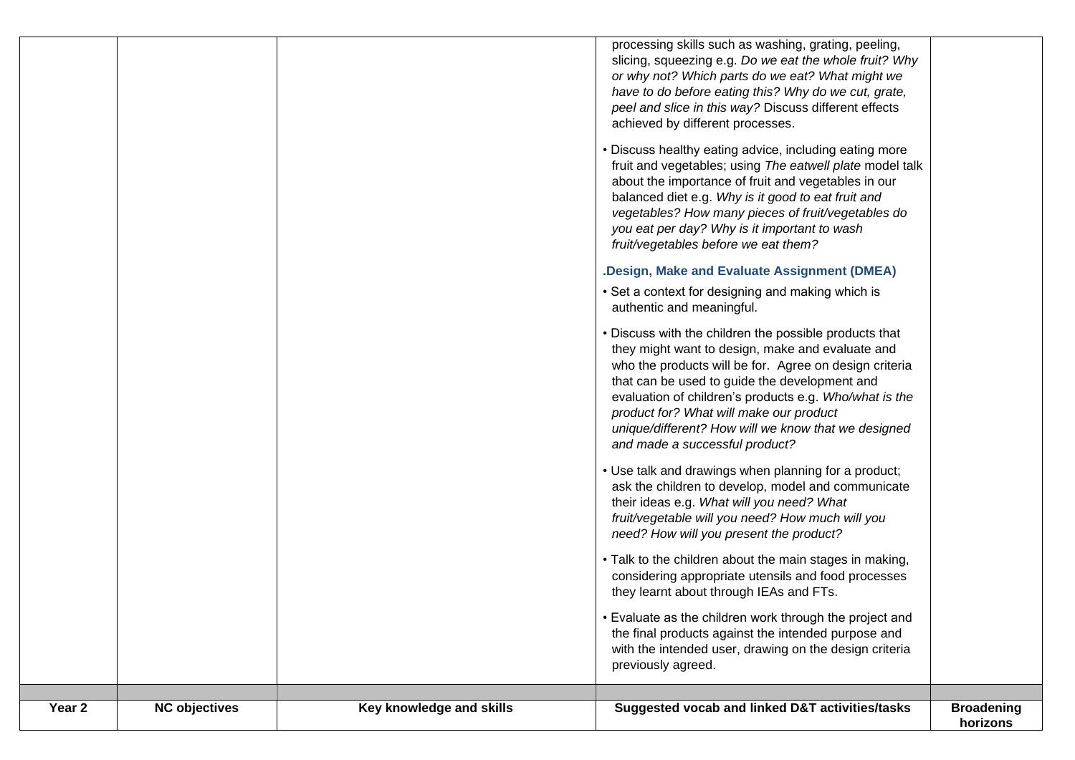| Year <sub>2</sub> | <b>NC objectives</b> | Key knowledge and skills | Suggested vocab and linked D&T activities/tasks                                                                                                                                                                                                                                                                                                                                                                             | <b>Broadening</b><br>horizons |
|-------------------|----------------------|--------------------------|-----------------------------------------------------------------------------------------------------------------------------------------------------------------------------------------------------------------------------------------------------------------------------------------------------------------------------------------------------------------------------------------------------------------------------|-------------------------------|
|                   |                      |                          | • Evaluate as the children work through the project and<br>the final products against the intended purpose and<br>with the intended user, drawing on the design criteria<br>previously agreed.                                                                                                                                                                                                                              |                               |
|                   |                      |                          | • Talk to the children about the main stages in making,<br>considering appropriate utensils and food processes<br>they learnt about through IEAs and FTs.                                                                                                                                                                                                                                                                   |                               |
|                   |                      |                          | • Use talk and drawings when planning for a product;<br>ask the children to develop, model and communicate<br>their ideas e.g. What will you need? What<br>fruit/vegetable will you need? How much will you<br>need? How will you present the product?                                                                                                                                                                      |                               |
|                   |                      |                          | Discuss with the children the possible products that<br>they might want to design, make and evaluate and<br>who the products will be for. Agree on design criteria<br>that can be used to guide the development and<br>evaluation of children's products e.g. Who/what is the<br>product for? What will make our product<br>unique/different? How will we know that we designed<br>and made a successful product?           |                               |
|                   |                      |                          | • Set a context for designing and making which is<br>authentic and meaningful.                                                                                                                                                                                                                                                                                                                                              |                               |
|                   |                      |                          | Discuss healthy eating advice, including eating more<br>fruit and vegetables; using The eatwell plate model talk<br>about the importance of fruit and vegetables in our<br>balanced diet e.g. Why is it good to eat fruit and<br>vegetables? How many pieces of fruit/vegetables do<br>you eat per day? Why is it important to wash<br>fruit/vegetables before we eat them?<br>.Design, Make and Evaluate Assignment (DMEA) |                               |
|                   |                      |                          | processing skills such as washing, grating, peeling,<br>slicing, squeezing e.g. Do we eat the whole fruit? Why<br>or why not? Which parts do we eat? What might we<br>have to do before eating this? Why do we cut, grate,<br>peel and slice in this way? Discuss different effects<br>achieved by different processes.                                                                                                     |                               |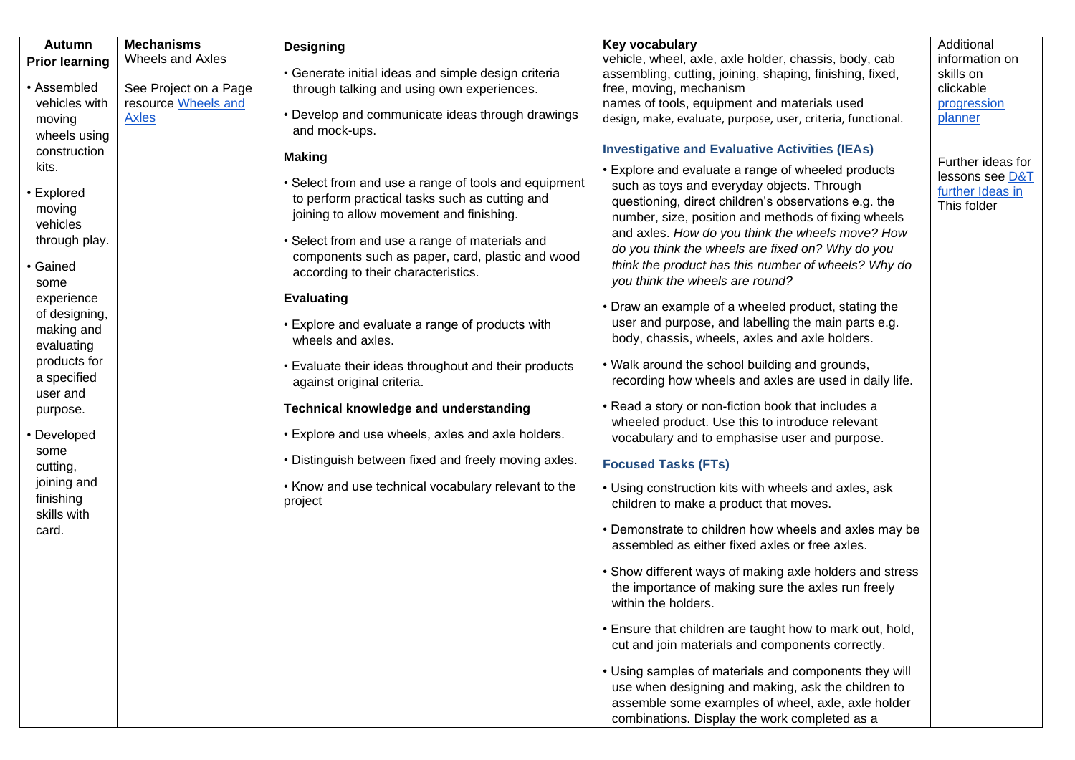| <b>Autumn</b><br><b>Prior learning</b>                                          | <b>Mechanisms</b><br><b>Wheels and Axles</b>                 | <b>Designing</b>                                                                                                                                      | Key vocabulary<br>vehicle, wheel, axle, axle holder, chassis, body, cab                                                                                                                                            | Additional<br>information on                     |
|---------------------------------------------------------------------------------|--------------------------------------------------------------|-------------------------------------------------------------------------------------------------------------------------------------------------------|--------------------------------------------------------------------------------------------------------------------------------------------------------------------------------------------------------------------|--------------------------------------------------|
| • Assembled<br>vehicles with<br>moving<br>wheels using<br>construction<br>kits. | See Project on a Page<br>resource Wheels and<br><b>Axles</b> | • Generate initial ideas and simple design criteria<br>through talking and using own experiences.<br>• Develop and communicate ideas through drawings | assembling, cutting, joining, shaping, finishing, fixed,<br>free, moving, mechanism<br>names of tools, equipment and materials used<br>design, make, evaluate, purpose, user, criteria, functional.                | skills on<br>clickable<br>progression<br>planner |
|                                                                                 |                                                              | and mock-ups.<br><b>Making</b>                                                                                                                        | <b>Investigative and Evaluative Activities (IEAs)</b><br>• Explore and evaluate a range of wheeled products                                                                                                        | Further ideas for<br>lessons see D&T             |
| • Explored<br>moving<br>vehicles                                                |                                                              | • Select from and use a range of tools and equipment<br>to perform practical tasks such as cutting and<br>joining to allow movement and finishing.    | such as toys and everyday objects. Through<br>questioning, direct children's observations e.g. the<br>number, size, position and methods of fixing wheels                                                          | further Ideas in<br>This folder                  |
| through play.<br>• Gained<br>some                                               |                                                              | • Select from and use a range of materials and<br>components such as paper, card, plastic and wood<br>according to their characteristics.             | and axles. How do you think the wheels move? How<br>do you think the wheels are fixed on? Why do you<br>think the product has this number of wheels? Why do<br>you think the wheels are round?                     |                                                  |
| experience<br>of designing,<br>making and<br>evaluating                         |                                                              | <b>Evaluating</b><br>• Explore and evaluate a range of products with<br>wheels and axles.                                                             | • Draw an example of a wheeled product, stating the<br>user and purpose, and labelling the main parts e.g.<br>body, chassis, wheels, axles and axle holders.                                                       |                                                  |
| products for<br>a specified<br>user and                                         |                                                              | • Evaluate their ideas throughout and their products<br>against original criteria.                                                                    | . Walk around the school building and grounds,<br>recording how wheels and axles are used in daily life.                                                                                                           |                                                  |
| purpose.<br>• Developed                                                         |                                                              | <b>Technical knowledge and understanding</b><br>• Explore and use wheels, axles and axle holders.                                                     | • Read a story or non-fiction book that includes a<br>wheeled product. Use this to introduce relevant<br>vocabulary and to emphasise user and purpose.                                                             |                                                  |
| some<br>cutting,                                                                |                                                              | . Distinguish between fixed and freely moving axles.                                                                                                  | <b>Focused Tasks (FTs)</b>                                                                                                                                                                                         |                                                  |
| joining and<br>finishing<br>skills with                                         |                                                              | • Know and use technical vocabulary relevant to the<br>project                                                                                        | • Using construction kits with wheels and axles, ask<br>children to make a product that moves.                                                                                                                     |                                                  |
| card.                                                                           |                                                              |                                                                                                                                                       | • Demonstrate to children how wheels and axles may be<br>assembled as either fixed axles or free axles.                                                                                                            |                                                  |
|                                                                                 |                                                              |                                                                                                                                                       | • Show different ways of making axle holders and stress<br>the importance of making sure the axles run freely<br>within the holders.                                                                               |                                                  |
|                                                                                 |                                                              |                                                                                                                                                       | . Ensure that children are taught how to mark out, hold,<br>cut and join materials and components correctly.                                                                                                       |                                                  |
|                                                                                 |                                                              |                                                                                                                                                       | • Using samples of materials and components they will<br>use when designing and making, ask the children to<br>assemble some examples of wheel, axle, axle holder<br>combinations. Display the work completed as a |                                                  |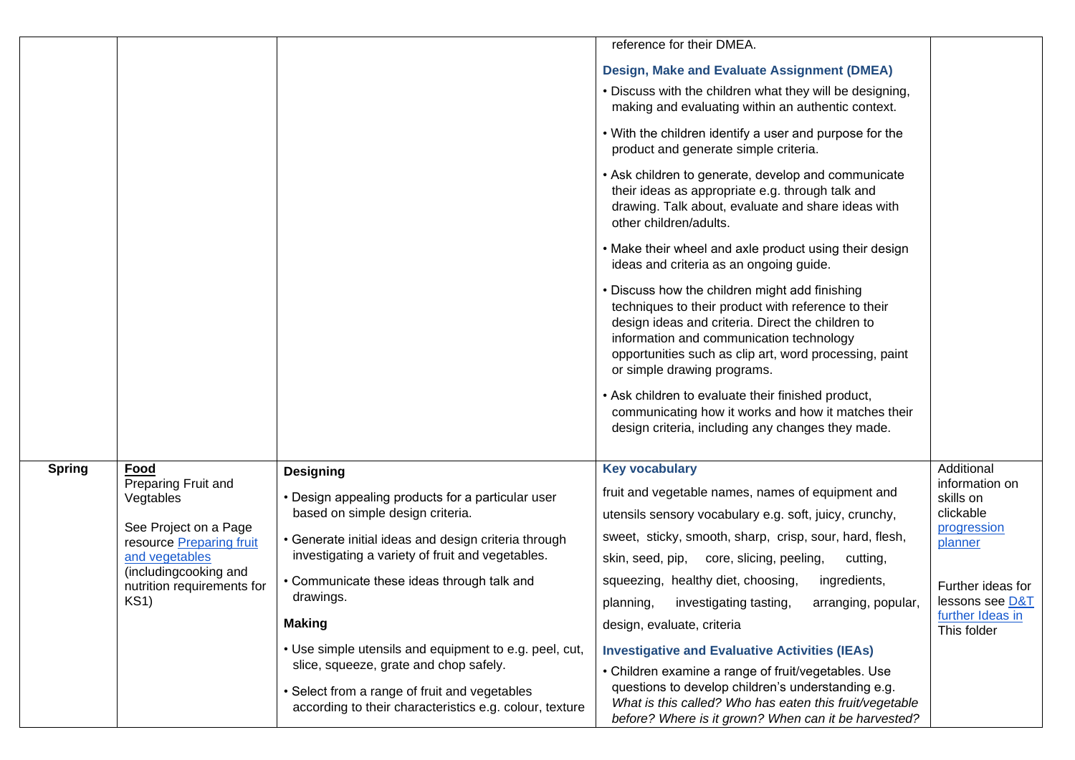|               |                                                   |                                                                                                          | reference for their DMEA.                                                                                                                                                                                                                                                                       |                                     |
|---------------|---------------------------------------------------|----------------------------------------------------------------------------------------------------------|-------------------------------------------------------------------------------------------------------------------------------------------------------------------------------------------------------------------------------------------------------------------------------------------------|-------------------------------------|
|               |                                                   |                                                                                                          | Design, Make and Evaluate Assignment (DMEA)                                                                                                                                                                                                                                                     |                                     |
|               |                                                   |                                                                                                          | . Discuss with the children what they will be designing,<br>making and evaluating within an authentic context.                                                                                                                                                                                  |                                     |
|               |                                                   |                                                                                                          | • With the children identify a user and purpose for the<br>product and generate simple criteria.                                                                                                                                                                                                |                                     |
|               |                                                   |                                                                                                          | • Ask children to generate, develop and communicate<br>their ideas as appropriate e.g. through talk and<br>drawing. Talk about, evaluate and share ideas with<br>other children/adults.                                                                                                         |                                     |
|               |                                                   |                                                                                                          | • Make their wheel and axle product using their design<br>ideas and criteria as an ongoing guide.                                                                                                                                                                                               |                                     |
|               |                                                   |                                                                                                          | • Discuss how the children might add finishing<br>techniques to their product with reference to their<br>design ideas and criteria. Direct the children to<br>information and communication technology<br>opportunities such as clip art, word processing, paint<br>or simple drawing programs. |                                     |
|               |                                                   |                                                                                                          | • Ask children to evaluate their finished product,<br>communicating how it works and how it matches their<br>design criteria, including any changes they made.                                                                                                                                  |                                     |
| <b>Spring</b> | Food                                              | <b>Designing</b>                                                                                         | <b>Key vocabulary</b>                                                                                                                                                                                                                                                                           | Additional                          |
|               | Preparing Fruit and<br>Vegtables                  | • Design appealing products for a particular user                                                        | fruit and vegetable names, names of equipment and                                                                                                                                                                                                                                               | information on<br>skills on         |
|               | See Project on a Page<br>resource Preparing fruit | based on simple design criteria.<br>• Generate initial ideas and design criteria through                 | utensils sensory vocabulary e.g. soft, juicy, crunchy,                                                                                                                                                                                                                                          | clickable<br>progression<br>planner |
|               |                                                   |                                                                                                          | sweet, sticky, smooth, sharp, crisp, sour, hard, flesh,                                                                                                                                                                                                                                         |                                     |
|               | and vegetables<br>(includingcooking and           | investigating a variety of fruit and vegetables.                                                         | skin, seed, pip, core, slicing, peeling,<br>cutting,                                                                                                                                                                                                                                            |                                     |
|               | nutrition requirements for                        | • Communicate these ideas through talk and                                                               | squeezing, healthy diet, choosing,<br>ingredients,                                                                                                                                                                                                                                              | Further ideas for                   |
|               | KS1)                                              | drawings.                                                                                                | planning, investigating tasting, arranging, popular,                                                                                                                                                                                                                                            | lessons see D&T<br>further Ideas in |
|               |                                                   | <b>Making</b>                                                                                            | design, evaluate, criteria                                                                                                                                                                                                                                                                      | This folder                         |
|               |                                                   | • Use simple utensils and equipment to e.g. peel, cut,<br>slice, squeeze, grate and chop safely.         | <b>Investigative and Evaluative Activities (IEAs)</b>                                                                                                                                                                                                                                           |                                     |
|               |                                                   | • Select from a range of fruit and vegetables<br>according to their characteristics e.g. colour, texture | • Children examine a range of fruit/vegetables. Use<br>questions to develop children's understanding e.g.<br>What is this called? Who has eaten this fruit/vegetable<br>before? Where is it grown? When can it be harvested?                                                                    |                                     |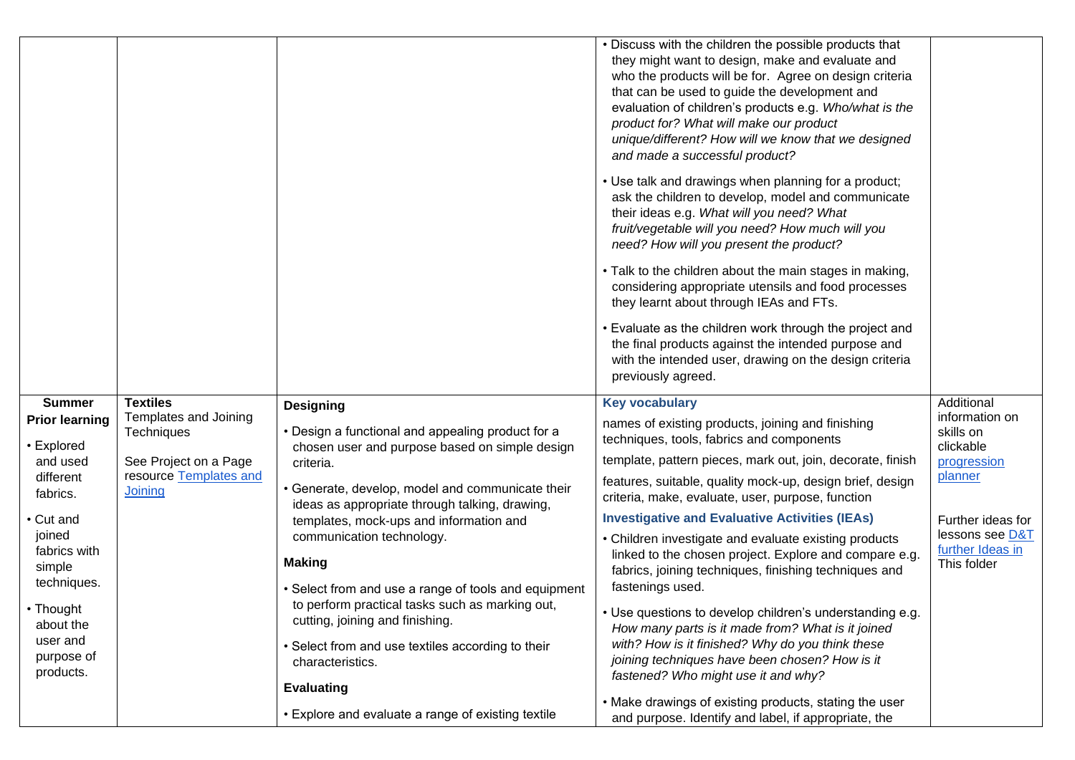|                                                                                                                                                                                                                            |                                                                                                                      |                                                                                                                                                                                                                                                                                                                                                                                                                                                                                                                                                            | • Discuss with the children the possible products that<br>they might want to design, make and evaluate and<br>who the products will be for. Agree on design criteria<br>that can be used to guide the development and<br>evaluation of children's products e.g. Who/what is the<br>product for? What will make our product<br>unique/different? How will we know that we designed<br>and made a successful product?<br>• Use talk and drawings when planning for a product;<br>ask the children to develop, model and communicate<br>their ideas e.g. What will you need? What<br>fruit/vegetable will you need? How much will you<br>need? How will you present the product?<br>• Talk to the children about the main stages in making,<br>considering appropriate utensils and food processes<br>they learnt about through IEAs and FTs.<br>• Evaluate as the children work through the project and<br>the final products against the intended purpose and<br>with the intended user, drawing on the design criteria<br>previously agreed. |                                                                                                                                                             |
|----------------------------------------------------------------------------------------------------------------------------------------------------------------------------------------------------------------------------|----------------------------------------------------------------------------------------------------------------------|------------------------------------------------------------------------------------------------------------------------------------------------------------------------------------------------------------------------------------------------------------------------------------------------------------------------------------------------------------------------------------------------------------------------------------------------------------------------------------------------------------------------------------------------------------|----------------------------------------------------------------------------------------------------------------------------------------------------------------------------------------------------------------------------------------------------------------------------------------------------------------------------------------------------------------------------------------------------------------------------------------------------------------------------------------------------------------------------------------------------------------------------------------------------------------------------------------------------------------------------------------------------------------------------------------------------------------------------------------------------------------------------------------------------------------------------------------------------------------------------------------------------------------------------------------------------------------------------------------------|-------------------------------------------------------------------------------------------------------------------------------------------------------------|
| <b>Summer</b><br><b>Prior learning</b><br>• Explored<br>and used<br>different<br>fabrics.<br>• Cut and<br>joined<br>fabrics with<br>simple<br>techniques.<br>• Thought<br>about the<br>user and<br>purpose of<br>products. | <b>Textiles</b><br>Templates and Joining<br>Techniques<br>See Project on a Page<br>resource Templates and<br>Joining | <b>Designing</b><br>• Design a functional and appealing product for a<br>chosen user and purpose based on simple design<br>criteria.<br>• Generate, develop, model and communicate their<br>ideas as appropriate through talking, drawing,<br>templates, mock-ups and information and<br>communication technology.<br><b>Making</b><br>• Select from and use a range of tools and equipment<br>to perform practical tasks such as marking out,<br>cutting, joining and finishing.<br>• Select from and use textiles according to their<br>characteristics. | <b>Key vocabulary</b><br>names of existing products, joining and finishing<br>techniques, tools, fabrics and components<br>template, pattern pieces, mark out, join, decorate, finish<br>features, suitable, quality mock-up, design brief, design<br>criteria, make, evaluate, user, purpose, function<br><b>Investigative and Evaluative Activities (IEAs)</b><br>• Children investigate and evaluate existing products<br>linked to the chosen project. Explore and compare e.g.<br>fabrics, joining techniques, finishing techniques and<br>fastenings used.<br>• Use questions to develop children's understanding e.g.<br>How many parts is it made from? What is it joined<br>with? How is it finished? Why do you think these<br>joining techniques have been chosen? How is it<br>fastened? Who might use it and why?                                                                                                                                                                                                               | Additional<br>information on<br>skills on<br>clickable<br>progression<br>planner<br>Further ideas for<br>lessons see D&T<br>further Ideas in<br>This folder |
|                                                                                                                                                                                                                            |                                                                                                                      | <b>Evaluating</b><br>• Explore and evaluate a range of existing textile                                                                                                                                                                                                                                                                                                                                                                                                                                                                                    | • Make drawings of existing products, stating the user<br>and purpose. Identify and label, if appropriate, the                                                                                                                                                                                                                                                                                                                                                                                                                                                                                                                                                                                                                                                                                                                                                                                                                                                                                                                               |                                                                                                                                                             |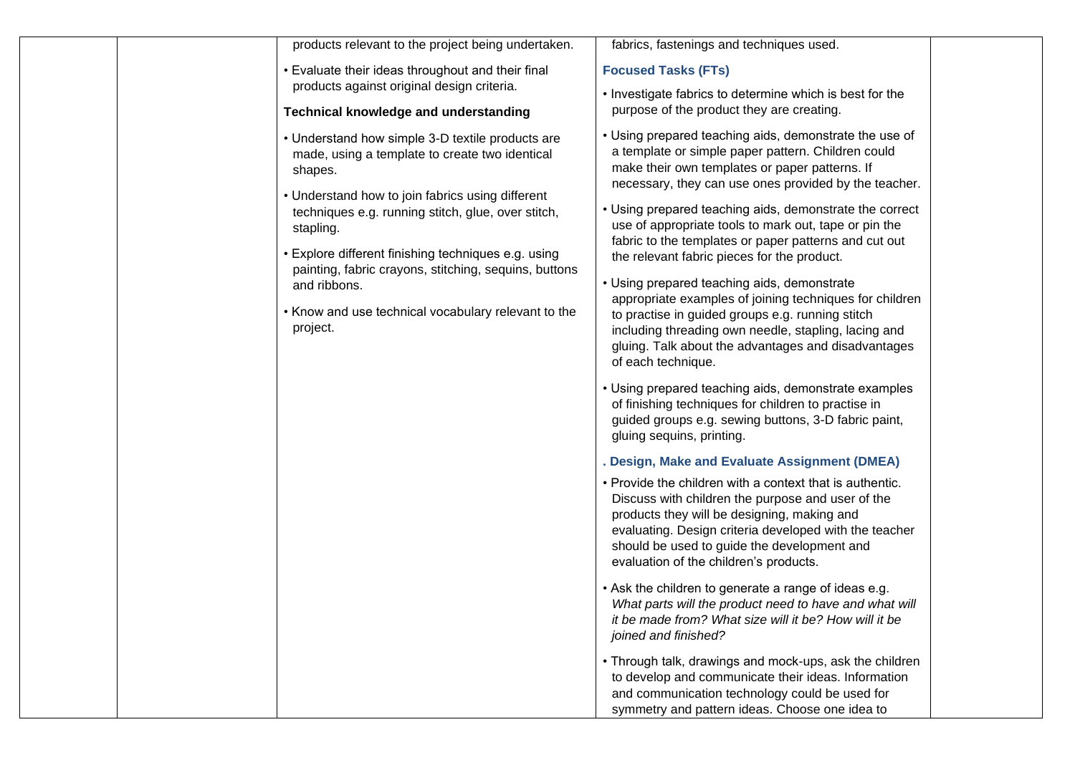| products relevant to the project being undertaken.                                                                                                                                                                                                                                                                                                                                                                                      | fabrics, fastenings and techniques used.                                                                                                                                                                                                                                                                                                                                                                                                                                                                                                                                                                                                                                                                                                                                                                                                                                                                                                                                                                                                                                                                                                                                                                                                                                                                                                                                                                                                                                                                                                                                                                                                                                                                                                                |
|-----------------------------------------------------------------------------------------------------------------------------------------------------------------------------------------------------------------------------------------------------------------------------------------------------------------------------------------------------------------------------------------------------------------------------------------|---------------------------------------------------------------------------------------------------------------------------------------------------------------------------------------------------------------------------------------------------------------------------------------------------------------------------------------------------------------------------------------------------------------------------------------------------------------------------------------------------------------------------------------------------------------------------------------------------------------------------------------------------------------------------------------------------------------------------------------------------------------------------------------------------------------------------------------------------------------------------------------------------------------------------------------------------------------------------------------------------------------------------------------------------------------------------------------------------------------------------------------------------------------------------------------------------------------------------------------------------------------------------------------------------------------------------------------------------------------------------------------------------------------------------------------------------------------------------------------------------------------------------------------------------------------------------------------------------------------------------------------------------------------------------------------------------------------------------------------------------------|
| • Evaluate their ideas throughout and their final                                                                                                                                                                                                                                                                                                                                                                                       | <b>Focused Tasks (FTs)</b>                                                                                                                                                                                                                                                                                                                                                                                                                                                                                                                                                                                                                                                                                                                                                                                                                                                                                                                                                                                                                                                                                                                                                                                                                                                                                                                                                                                                                                                                                                                                                                                                                                                                                                                              |
| products against original design criteria.                                                                                                                                                                                                                                                                                                                                                                                              | . Investigate fabrics to determine which is best for the                                                                                                                                                                                                                                                                                                                                                                                                                                                                                                                                                                                                                                                                                                                                                                                                                                                                                                                                                                                                                                                                                                                                                                                                                                                                                                                                                                                                                                                                                                                                                                                                                                                                                                |
| <b>Technical knowledge and understanding</b>                                                                                                                                                                                                                                                                                                                                                                                            | purpose of the product they are creating.                                                                                                                                                                                                                                                                                                                                                                                                                                                                                                                                                                                                                                                                                                                                                                                                                                                                                                                                                                                                                                                                                                                                                                                                                                                                                                                                                                                                                                                                                                                                                                                                                                                                                                               |
| • Understand how simple 3-D textile products are<br>made, using a template to create two identical<br>shapes.<br>• Understand how to join fabrics using different<br>techniques e.g. running stitch, glue, over stitch,<br>stapling.<br>• Explore different finishing techniques e.g. using<br>painting, fabric crayons, stitching, sequins, buttons<br>and ribbons.<br>• Know and use technical vocabulary relevant to the<br>project. | • Using prepared teaching aids, demonstrate the use of<br>a template or simple paper pattern. Children could<br>make their own templates or paper patterns. If<br>necessary, they can use ones provided by the teacher.<br>• Using prepared teaching aids, demonstrate the correct<br>use of appropriate tools to mark out, tape or pin the<br>fabric to the templates or paper patterns and cut out<br>the relevant fabric pieces for the product.<br>• Using prepared teaching aids, demonstrate<br>appropriate examples of joining techniques for children<br>to practise in guided groups e.g. running stitch<br>including threading own needle, stapling, lacing and<br>gluing. Talk about the advantages and disadvantages<br>of each technique.<br>• Using prepared teaching aids, demonstrate examples<br>of finishing techniques for children to practise in<br>guided groups e.g. sewing buttons, 3-D fabric paint,<br>gluing sequins, printing.<br>. Design, Make and Evaluate Assignment (DMEA)<br>• Provide the children with a context that is authentic.<br>Discuss with children the purpose and user of the<br>products they will be designing, making and<br>evaluating. Design criteria developed with the teacher<br>should be used to guide the development and<br>evaluation of the children's products.<br>• Ask the children to generate a range of ideas e.g.<br>What parts will the product need to have and what will<br>it be made from? What size will it be? How will it be<br>joined and finished?<br>• Through talk, drawings and mock-ups, ask the children<br>to develop and communicate their ideas. Information<br>and communication technology could be used for<br>symmetry and pattern ideas. Choose one idea to |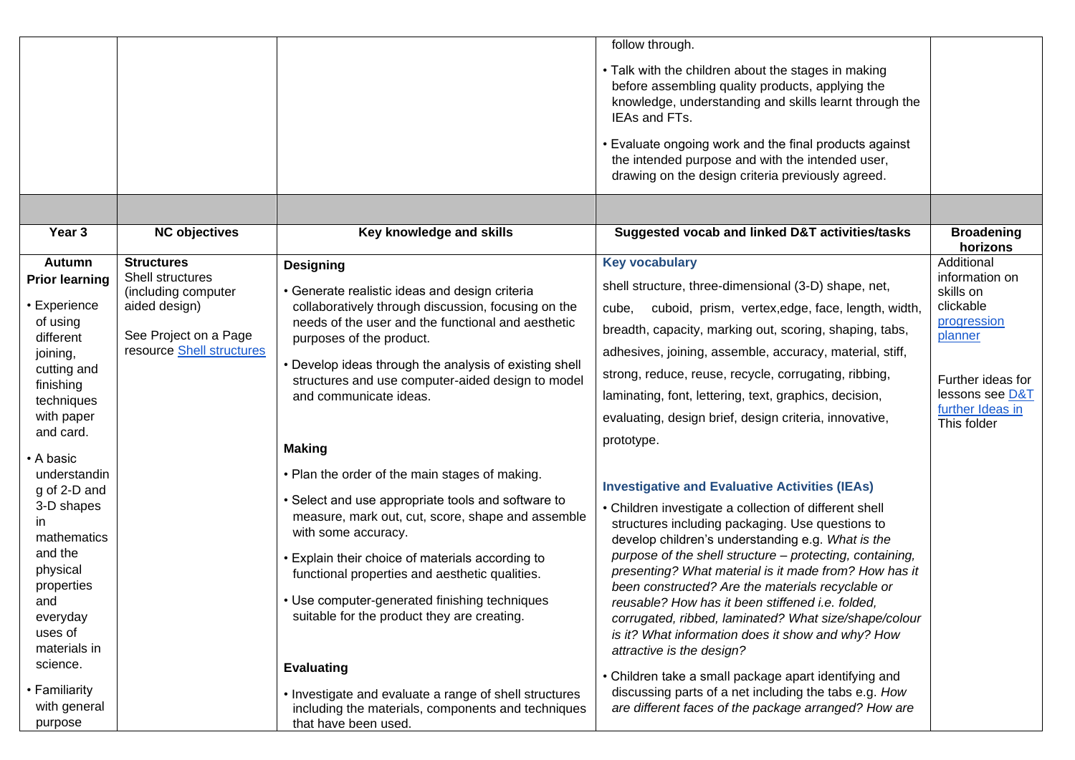|                                                                                                                                                                                                                                                                                                                                       |                                                                                                                                     |                                                                                                                                                                                                                                                                                                                                                                                                                                                                                                                                                                                                                                                                                                                                                                                      | follow through.<br>• Talk with the children about the stages in making<br>before assembling quality products, applying the<br>knowledge, understanding and skills learnt through the<br>IEAs and FTs.                                                                                                                                                                                                                                                                                                                                                                                                                                                                                                                                                                                                                                                                                                                                                                                                                                                           |                                                                                                                                                             |
|---------------------------------------------------------------------------------------------------------------------------------------------------------------------------------------------------------------------------------------------------------------------------------------------------------------------------------------|-------------------------------------------------------------------------------------------------------------------------------------|--------------------------------------------------------------------------------------------------------------------------------------------------------------------------------------------------------------------------------------------------------------------------------------------------------------------------------------------------------------------------------------------------------------------------------------------------------------------------------------------------------------------------------------------------------------------------------------------------------------------------------------------------------------------------------------------------------------------------------------------------------------------------------------|-----------------------------------------------------------------------------------------------------------------------------------------------------------------------------------------------------------------------------------------------------------------------------------------------------------------------------------------------------------------------------------------------------------------------------------------------------------------------------------------------------------------------------------------------------------------------------------------------------------------------------------------------------------------------------------------------------------------------------------------------------------------------------------------------------------------------------------------------------------------------------------------------------------------------------------------------------------------------------------------------------------------------------------------------------------------|-------------------------------------------------------------------------------------------------------------------------------------------------------------|
|                                                                                                                                                                                                                                                                                                                                       |                                                                                                                                     |                                                                                                                                                                                                                                                                                                                                                                                                                                                                                                                                                                                                                                                                                                                                                                                      | • Evaluate ongoing work and the final products against<br>the intended purpose and with the intended user,<br>drawing on the design criteria previously agreed.                                                                                                                                                                                                                                                                                                                                                                                                                                                                                                                                                                                                                                                                                                                                                                                                                                                                                                 |                                                                                                                                                             |
|                                                                                                                                                                                                                                                                                                                                       |                                                                                                                                     |                                                                                                                                                                                                                                                                                                                                                                                                                                                                                                                                                                                                                                                                                                                                                                                      |                                                                                                                                                                                                                                                                                                                                                                                                                                                                                                                                                                                                                                                                                                                                                                                                                                                                                                                                                                                                                                                                 |                                                                                                                                                             |
| Year 3                                                                                                                                                                                                                                                                                                                                | <b>NC objectives</b>                                                                                                                | Key knowledge and skills                                                                                                                                                                                                                                                                                                                                                                                                                                                                                                                                                                                                                                                                                                                                                             | Suggested vocab and linked D&T activities/tasks                                                                                                                                                                                                                                                                                                                                                                                                                                                                                                                                                                                                                                                                                                                                                                                                                                                                                                                                                                                                                 | <b>Broadening</b><br>horizons                                                                                                                               |
| Autumn<br><b>Prior learning</b><br>Experience<br>of using<br>different<br>joining,<br>cutting and<br>finishing<br>techniques<br>with paper<br>and card.<br>A basic<br>understandin<br>g of 2-D and<br>3-D shapes<br>in.<br>mathematics<br>and the<br>physical<br>properties<br>and<br>everyday<br>uses of<br>materials in<br>science. | <b>Structures</b><br>Shell structures<br>(including computer<br>aided design)<br>See Project on a Page<br>resource Shell structures | <b>Designing</b><br>• Generate realistic ideas and design criteria<br>collaboratively through discussion, focusing on the<br>needs of the user and the functional and aesthetic<br>purposes of the product.<br>• Develop ideas through the analysis of existing shell<br>structures and use computer-aided design to model<br>and communicate ideas.<br><b>Making</b><br>• Plan the order of the main stages of making.<br>• Select and use appropriate tools and software to<br>measure, mark out, cut, score, shape and assemble<br>with some accuracy.<br>• Explain their choice of materials according to<br>functional properties and aesthetic qualities.<br>• Use computer-generated finishing techniques<br>suitable for the product they are creating.<br><b>Evaluating</b> | <b>Key vocabulary</b><br>shell structure, three-dimensional (3-D) shape, net,<br>cube, cuboid, prism, vertex, edge, face, length, width,<br>breadth, capacity, marking out, scoring, shaping, tabs,<br>adhesives, joining, assemble, accuracy, material, stiff,<br>strong, reduce, reuse, recycle, corrugating, ribbing,<br>laminating, font, lettering, text, graphics, decision,<br>evaluating, design brief, design criteria, innovative,<br>prototype.<br><b>Investigative and Evaluative Activities (IEAs)</b><br>• Children investigate a collection of different shell<br>structures including packaging. Use questions to<br>develop children's understanding e.g. What is the<br>purpose of the shell structure - protecting, containing,<br>presenting? What material is it made from? How has it<br>been constructed? Are the materials recyclable or<br>reusable? How has it been stiffened i.e. folded,<br>corrugated, ribbed, laminated? What size/shape/colour<br>is it? What information does it show and why? How<br>attractive is the design? | Additional<br>information on<br>skills on<br>clickable<br>progression<br>planner<br>Further ideas for<br>lessons see D&T<br>further Ideas in<br>This folder |
| • Familiarity<br>with general<br>purpose                                                                                                                                                                                                                                                                                              |                                                                                                                                     | • Investigate and evaluate a range of shell structures<br>including the materials, components and techniques<br>that have been used.                                                                                                                                                                                                                                                                                                                                                                                                                                                                                                                                                                                                                                                 | • Children take a small package apart identifying and<br>discussing parts of a net including the tabs e.g. How<br>are different faces of the package arranged? How are                                                                                                                                                                                                                                                                                                                                                                                                                                                                                                                                                                                                                                                                                                                                                                                                                                                                                          |                                                                                                                                                             |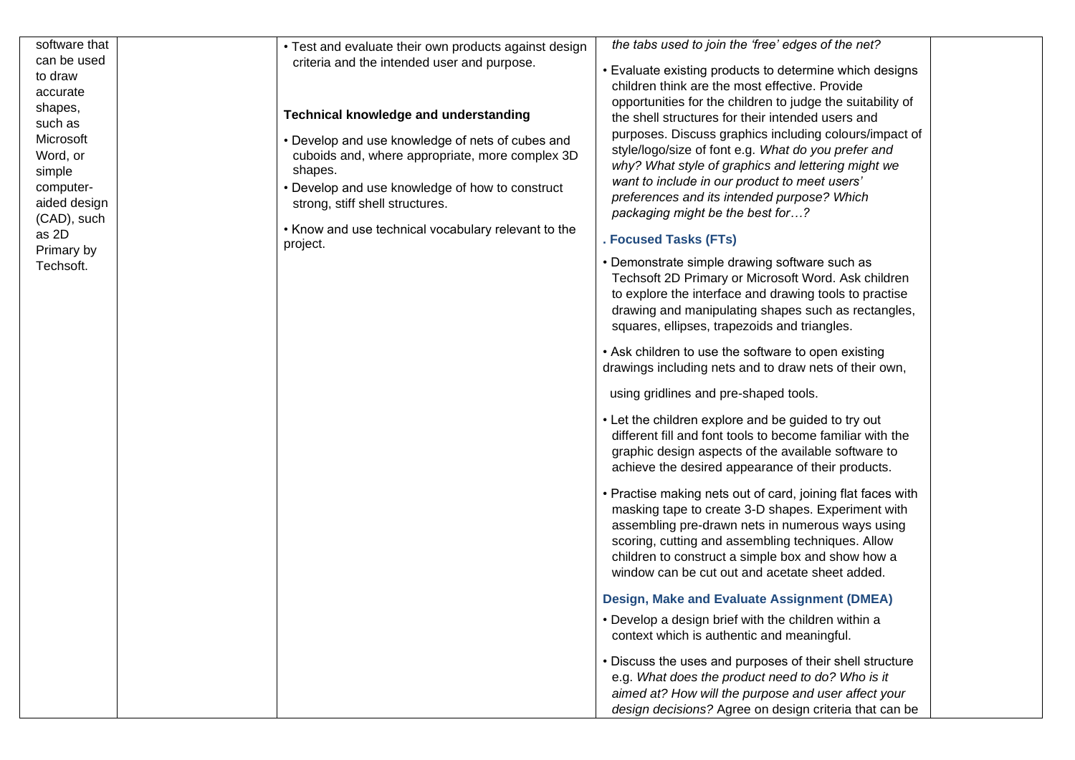| software that<br>can be used<br>to draw<br>accurate<br>shapes,<br>such as<br>Microsoft<br>Word, or<br>simple<br>computer-<br>aided design<br>(CAD), such | • Test and evaluate their own products against design<br>criteria and the intended user and purpose.<br><b>Technical knowledge and understanding</b><br>• Develop and use knowledge of nets of cubes and<br>cuboids and, where appropriate, more complex 3D<br>shapes.<br>• Develop and use knowledge of how to construct<br>strong, stiff shell structures. | the tabs used to join the 'free' edges of the net?<br>• Evaluate existing products to determine which designs<br>children think are the most effective. Provide<br>opportunities for the children to judge the suitability of<br>the shell structures for their intended users and<br>purposes. Discuss graphics including colours/impact of<br>style/logo/size of font e.g. What do you prefer and<br>why? What style of graphics and lettering might we<br>want to include in our product to meet users'<br>preferences and its intended purpose? Which<br>packaging might be the best for? |
|----------------------------------------------------------------------------------------------------------------------------------------------------------|--------------------------------------------------------------------------------------------------------------------------------------------------------------------------------------------------------------------------------------------------------------------------------------------------------------------------------------------------------------|-----------------------------------------------------------------------------------------------------------------------------------------------------------------------------------------------------------------------------------------------------------------------------------------------------------------------------------------------------------------------------------------------------------------------------------------------------------------------------------------------------------------------------------------------------------------------------------------------|
| as 2D                                                                                                                                                    | • Know and use technical vocabulary relevant to the<br>project.                                                                                                                                                                                                                                                                                              | . Focused Tasks (FTs)                                                                                                                                                                                                                                                                                                                                                                                                                                                                                                                                                                         |
| Primary by<br>Techsoft.                                                                                                                                  |                                                                                                                                                                                                                                                                                                                                                              | • Demonstrate simple drawing software such as<br>Techsoft 2D Primary or Microsoft Word. Ask children<br>to explore the interface and drawing tools to practise<br>drawing and manipulating shapes such as rectangles,<br>squares, ellipses, trapezoids and triangles.                                                                                                                                                                                                                                                                                                                         |
|                                                                                                                                                          |                                                                                                                                                                                                                                                                                                                                                              | • Ask children to use the software to open existing<br>drawings including nets and to draw nets of their own,                                                                                                                                                                                                                                                                                                                                                                                                                                                                                 |
|                                                                                                                                                          |                                                                                                                                                                                                                                                                                                                                                              | using gridlines and pre-shaped tools.                                                                                                                                                                                                                                                                                                                                                                                                                                                                                                                                                         |
|                                                                                                                                                          |                                                                                                                                                                                                                                                                                                                                                              | • Let the children explore and be guided to try out<br>different fill and font tools to become familiar with the<br>graphic design aspects of the available software to<br>achieve the desired appearance of their products.                                                                                                                                                                                                                                                                                                                                                                  |
|                                                                                                                                                          |                                                                                                                                                                                                                                                                                                                                                              | • Practise making nets out of card, joining flat faces with<br>masking tape to create 3-D shapes. Experiment with<br>assembling pre-drawn nets in numerous ways using<br>scoring, cutting and assembling techniques. Allow<br>children to construct a simple box and show how a<br>window can be cut out and acetate sheet added.                                                                                                                                                                                                                                                             |
|                                                                                                                                                          |                                                                                                                                                                                                                                                                                                                                                              | <b>Design, Make and Evaluate Assignment (DMEA)</b>                                                                                                                                                                                                                                                                                                                                                                                                                                                                                                                                            |
|                                                                                                                                                          |                                                                                                                                                                                                                                                                                                                                                              | • Develop a design brief with the children within a<br>context which is authentic and meaningful.                                                                                                                                                                                                                                                                                                                                                                                                                                                                                             |
|                                                                                                                                                          |                                                                                                                                                                                                                                                                                                                                                              | • Discuss the uses and purposes of their shell structure<br>e.g. What does the product need to do? Who is it<br>aimed at? How will the purpose and user affect your<br>design decisions? Agree on design criteria that can be                                                                                                                                                                                                                                                                                                                                                                 |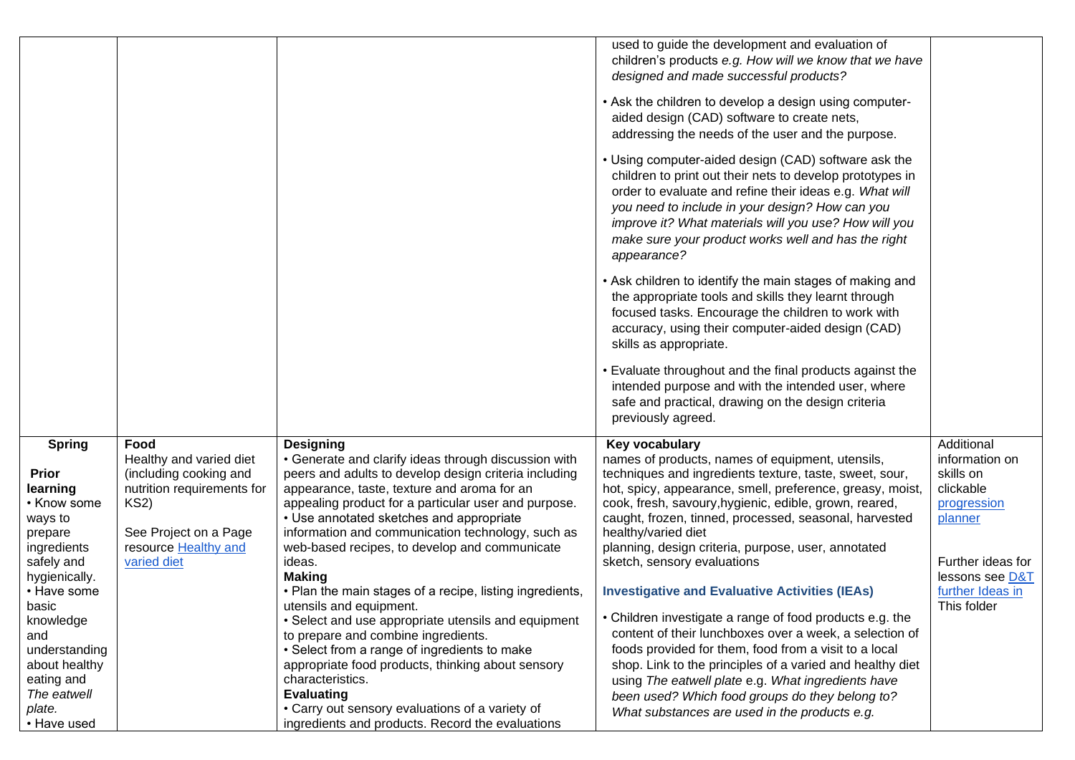|                                |                                                      |                                                                                                      | used to guide the development and evaluation of<br>children's products e.g. How will we know that we have            |                                      |
|--------------------------------|------------------------------------------------------|------------------------------------------------------------------------------------------------------|----------------------------------------------------------------------------------------------------------------------|--------------------------------------|
|                                |                                                      |                                                                                                      | designed and made successful products?                                                                               |                                      |
|                                |                                                      |                                                                                                      |                                                                                                                      |                                      |
|                                |                                                      |                                                                                                      | • Ask the children to develop a design using computer-                                                               |                                      |
|                                |                                                      |                                                                                                      | aided design (CAD) software to create nets,<br>addressing the needs of the user and the purpose.                     |                                      |
|                                |                                                      |                                                                                                      |                                                                                                                      |                                      |
|                                |                                                      |                                                                                                      | • Using computer-aided design (CAD) software ask the                                                                 |                                      |
|                                |                                                      |                                                                                                      | children to print out their nets to develop prototypes in                                                            |                                      |
|                                |                                                      |                                                                                                      | order to evaluate and refine their ideas e.g. What will<br>you need to include in your design? How can you           |                                      |
|                                |                                                      |                                                                                                      | improve it? What materials will you use? How will you                                                                |                                      |
|                                |                                                      |                                                                                                      | make sure your product works well and has the right                                                                  |                                      |
|                                |                                                      |                                                                                                      | appearance?                                                                                                          |                                      |
|                                |                                                      |                                                                                                      | • Ask children to identify the main stages of making and                                                             |                                      |
|                                |                                                      |                                                                                                      | the appropriate tools and skills they learnt through                                                                 |                                      |
|                                |                                                      |                                                                                                      | focused tasks. Encourage the children to work with                                                                   |                                      |
|                                |                                                      |                                                                                                      | accuracy, using their computer-aided design (CAD)                                                                    |                                      |
|                                |                                                      |                                                                                                      | skills as appropriate.                                                                                               |                                      |
|                                |                                                      |                                                                                                      | . Evaluate throughout and the final products against the                                                             |                                      |
|                                |                                                      |                                                                                                      | intended purpose and with the intended user, where                                                                   |                                      |
|                                |                                                      |                                                                                                      | safe and practical, drawing on the design criteria                                                                   |                                      |
|                                |                                                      |                                                                                                      | previously agreed.                                                                                                   |                                      |
| <b>Spring</b>                  | Food                                                 | <b>Designing</b>                                                                                     | Key vocabulary                                                                                                       | Additional                           |
|                                | Healthy and varied diet                              | • Generate and clarify ideas through discussion with                                                 | names of products, names of equipment, utensils,                                                                     | information on                       |
| <b>Prior</b><br>learning       | (including cooking and<br>nutrition requirements for | peers and adults to develop design criteria including<br>appearance, taste, texture and aroma for an | techniques and ingredients texture, taste, sweet, sour,<br>hot, spicy, appearance, smell, preference, greasy, moist, | skills on<br>clickable               |
| • Know some                    | <b>KS2)</b>                                          | appealing product for a particular user and purpose.                                                 | cook, fresh, savoury, hygienic, edible, grown, reared,                                                               | progression                          |
| ways to                        |                                                      | • Use annotated sketches and appropriate                                                             | caught, frozen, tinned, processed, seasonal, harvested                                                               | planner                              |
| prepare                        | See Project on a Page                                | information and communication technology, such as                                                    | healthy/varied diet                                                                                                  |                                      |
| ingredients                    | resource Healthy and                                 | web-based recipes, to develop and communicate                                                        | planning, design criteria, purpose, user, annotated                                                                  |                                      |
| safely and<br>hygienically.    | varied diet                                          | ideas.<br><b>Making</b>                                                                              | sketch, sensory evaluations                                                                                          | Further ideas for<br>lessons see D&T |
| • Have some                    |                                                      | • Plan the main stages of a recipe, listing ingredients,                                             | <b>Investigative and Evaluative Activities (IEAs)</b>                                                                | further Ideas in                     |
| basıc                          |                                                      | utensils and equipment.                                                                              |                                                                                                                      | This folder                          |
| knowledge                      |                                                      | • Select and use appropriate utensils and equipment                                                  | • Children investigate a range of food products e.g. the                                                             |                                      |
| and                            |                                                      | to prepare and combine ingredients.                                                                  | content of their lunchboxes over a week, a selection of                                                              |                                      |
| understanding<br>about healthy |                                                      | • Select from a range of ingredients to make<br>appropriate food products, thinking about sensory    | foods provided for them, food from a visit to a local<br>shop. Link to the principles of a varied and healthy diet   |                                      |
| eating and                     |                                                      | characteristics.                                                                                     | using The eatwell plate e.g. What ingredients have                                                                   |                                      |
| The eatwell                    |                                                      | <b>Evaluating</b>                                                                                    | been used? Which food groups do they belong to?                                                                      |                                      |
| plate.                         |                                                      | • Carry out sensory evaluations of a variety of                                                      | What substances are used in the products e.g.                                                                        |                                      |
| • Have used                    |                                                      | ingredients and products. Record the evaluations                                                     |                                                                                                                      |                                      |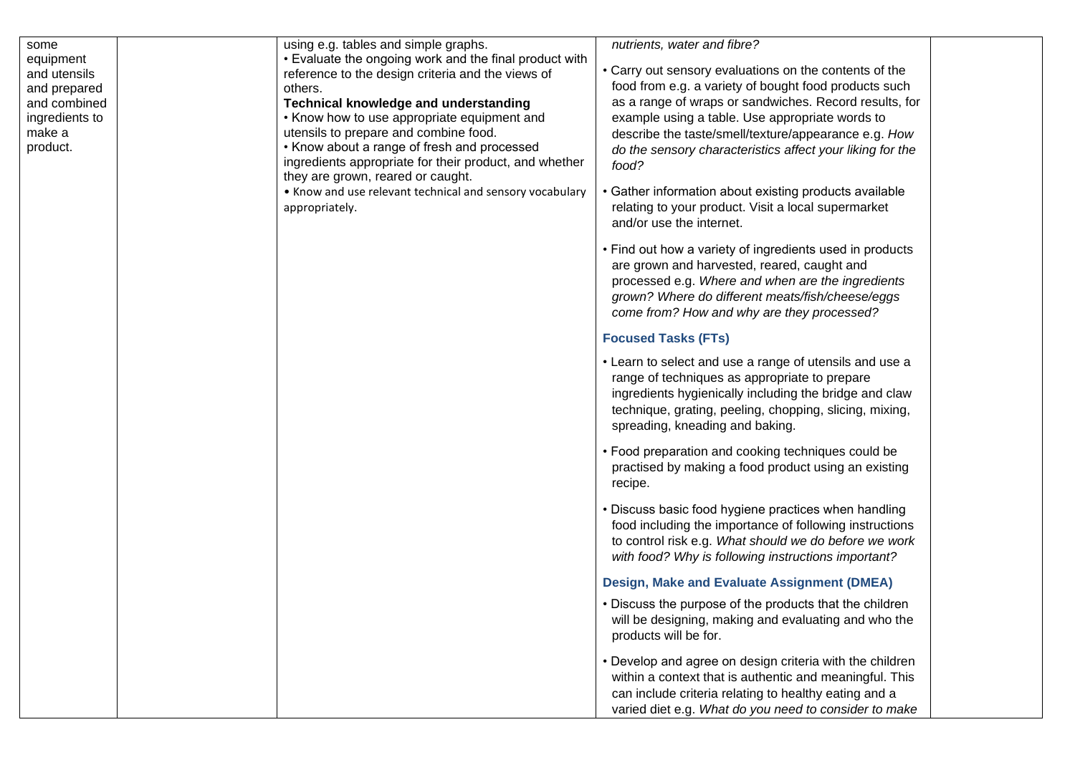| some<br>equipment<br>and utensils<br>and prepared<br>and combined<br>ingredients to | using e.g. tables and simple graphs.<br>• Evaluate the ongoing work and the final product with<br>reference to the design criteria and the views of<br>others.<br><b>Technical knowledge and understanding</b><br>• Know how to use appropriate equipment and | nutrients, water and fibre?<br>• Carry out sensory evaluations on the contents of the<br>food from e.g. a variety of bought food products such<br>as a range of wraps or sandwiches. Record results, for<br>example using a table. Use appropriate words to      |  |
|-------------------------------------------------------------------------------------|---------------------------------------------------------------------------------------------------------------------------------------------------------------------------------------------------------------------------------------------------------------|------------------------------------------------------------------------------------------------------------------------------------------------------------------------------------------------------------------------------------------------------------------|--|
| make a<br>product.                                                                  | utensils to prepare and combine food.<br>• Know about a range of fresh and processed<br>ingredients appropriate for their product, and whether<br>they are grown, reared or caught.                                                                           | describe the taste/smell/texture/appearance e.g. How<br>do the sensory characteristics affect your liking for the<br>food?                                                                                                                                       |  |
|                                                                                     | • Know and use relevant technical and sensory vocabulary<br>appropriately.                                                                                                                                                                                    | • Gather information about existing products available<br>relating to your product. Visit a local supermarket<br>and/or use the internet.                                                                                                                        |  |
|                                                                                     |                                                                                                                                                                                                                                                               | • Find out how a variety of ingredients used in products<br>are grown and harvested, reared, caught and<br>processed e.g. Where and when are the ingredients<br>grown? Where do different meats/fish/cheese/eggs<br>come from? How and why are they processed?   |  |
|                                                                                     |                                                                                                                                                                                                                                                               | <b>Focused Tasks (FTs)</b>                                                                                                                                                                                                                                       |  |
|                                                                                     |                                                                                                                                                                                                                                                               | • Learn to select and use a range of utensils and use a<br>range of techniques as appropriate to prepare<br>ingredients hygienically including the bridge and claw<br>technique, grating, peeling, chopping, slicing, mixing,<br>spreading, kneading and baking. |  |
|                                                                                     |                                                                                                                                                                                                                                                               | • Food preparation and cooking techniques could be<br>practised by making a food product using an existing<br>recipe.                                                                                                                                            |  |
|                                                                                     |                                                                                                                                                                                                                                                               | • Discuss basic food hygiene practices when handling<br>food including the importance of following instructions<br>to control risk e.g. What should we do before we work<br>with food? Why is following instructions important?                                  |  |
|                                                                                     |                                                                                                                                                                                                                                                               | Design, Make and Evaluate Assignment (DMEA)                                                                                                                                                                                                                      |  |
|                                                                                     |                                                                                                                                                                                                                                                               | • Discuss the purpose of the products that the children<br>will be designing, making and evaluating and who the<br>products will be for.                                                                                                                         |  |
|                                                                                     |                                                                                                                                                                                                                                                               | • Develop and agree on design criteria with the children<br>within a context that is authentic and meaningful. This<br>can include criteria relating to healthy eating and a<br>varied diet e.g. What do you need to consider to make                            |  |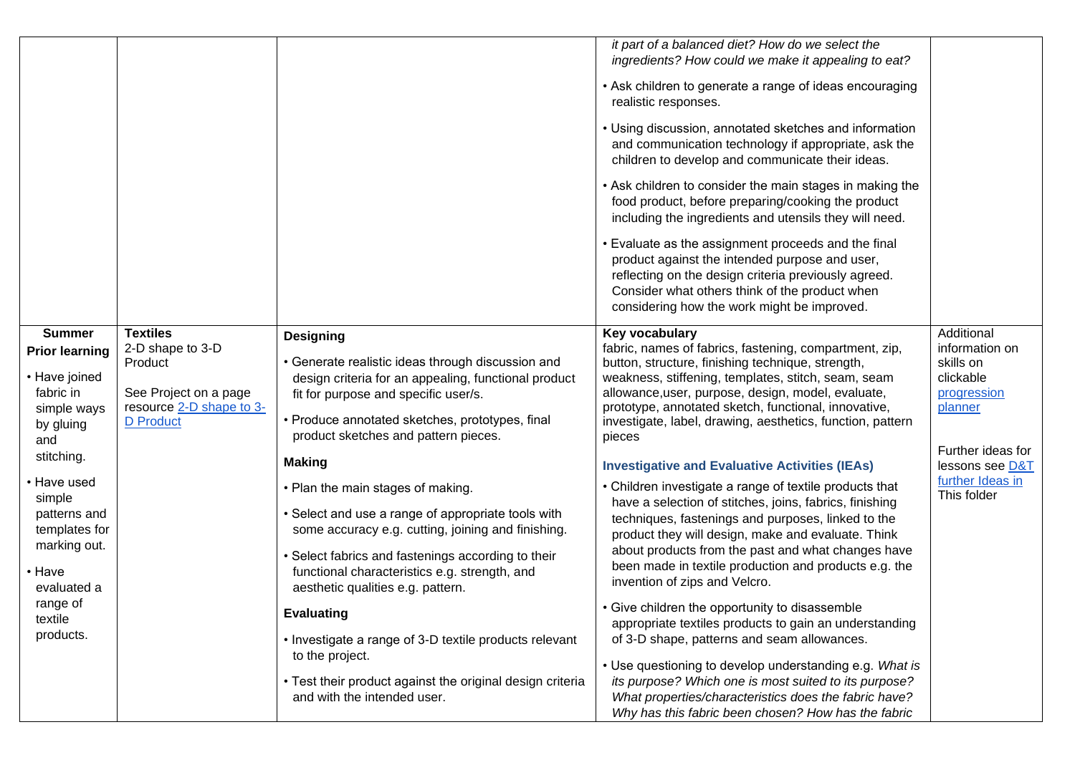|                                                                                                               | <b>Textiles</b>                                                                                      |                                                                                                                                                                                                                                                                                                            | it part of a balanced diet? How do we select the<br>ingredients? How could we make it appealing to eat?<br>• Ask children to generate a range of ideas encouraging<br>realistic responses.<br>• Using discussion, annotated sketches and information<br>and communication technology if appropriate, ask the<br>children to develop and communicate their ideas.<br>• Ask children to consider the main stages in making the<br>food product, before preparing/cooking the product<br>including the ingredients and utensils they will need.<br>• Evaluate as the assignment proceeds and the final<br>product against the intended purpose and user,<br>reflecting on the design criteria previously agreed.<br>Consider what others think of the product when<br>considering how the work might be improved. | Additional                                                                              |
|---------------------------------------------------------------------------------------------------------------|------------------------------------------------------------------------------------------------------|------------------------------------------------------------------------------------------------------------------------------------------------------------------------------------------------------------------------------------------------------------------------------------------------------------|----------------------------------------------------------------------------------------------------------------------------------------------------------------------------------------------------------------------------------------------------------------------------------------------------------------------------------------------------------------------------------------------------------------------------------------------------------------------------------------------------------------------------------------------------------------------------------------------------------------------------------------------------------------------------------------------------------------------------------------------------------------------------------------------------------------|-----------------------------------------------------------------------------------------|
| <b>Summer</b><br><b>Prior learning</b><br>• Have joined<br>fabric in<br>simple ways<br>by gluing<br>and       | 2-D shape to 3-D<br>Product<br>See Project on a page<br>resource 2-D shape to 3-<br><b>D</b> Product | <b>Designing</b><br>• Generate realistic ideas through discussion and<br>design criteria for an appealing, functional product<br>fit for purpose and specific user/s.<br>• Produce annotated sketches, prototypes, final<br>product sketches and pattern pieces.                                           | Key vocabulary<br>fabric, names of fabrics, fastening, compartment, zip,<br>button, structure, finishing technique, strength,<br>weakness, stiffening, templates, stitch, seam, seam<br>allowance, user, purpose, design, model, evaluate,<br>prototype, annotated sketch, functional, innovative,<br>investigate, label, drawing, aesthetics, function, pattern<br>pieces                                                                                                                                                                                                                                                                                                                                                                                                                                     | information on<br>skills on<br>clickable<br>progression<br>planner<br>Further ideas for |
| stitching.<br>• Have used<br>simple<br>patterns and<br>templates for<br>marking out.<br>• Have<br>evaluated a |                                                                                                      | <b>Making</b><br>• Plan the main stages of making.<br>• Select and use a range of appropriate tools with<br>some accuracy e.g. cutting, joining and finishing.<br>• Select fabrics and fastenings according to their<br>functional characteristics e.g. strength, and<br>aesthetic qualities e.g. pattern. | <b>Investigative and Evaluative Activities (IEAs)</b><br>• Children investigate a range of textile products that<br>have a selection of stitches, joins, fabrics, finishing<br>techniques, fastenings and purposes, linked to the<br>product they will design, make and evaluate. Think<br>about products from the past and what changes have<br>been made in textile production and products e.g. the<br>invention of zips and Velcro.                                                                                                                                                                                                                                                                                                                                                                        | lessons see D&T<br>further Ideas in<br>This folder                                      |
| range of<br>textile<br>products.                                                                              |                                                                                                      | <b>Evaluating</b><br>• Investigate a range of 3-D textile products relevant<br>to the project.<br>• Test their product against the original design criteria<br>and with the intended user.                                                                                                                 | • Give children the opportunity to disassemble<br>appropriate textiles products to gain an understanding<br>of 3-D shape, patterns and seam allowances.<br>• Use questioning to develop understanding e.g. What is<br>its purpose? Which one is most suited to its purpose?<br>What properties/characteristics does the fabric have?<br>Why has this fabric been chosen? How has the fabric                                                                                                                                                                                                                                                                                                                                                                                                                    |                                                                                         |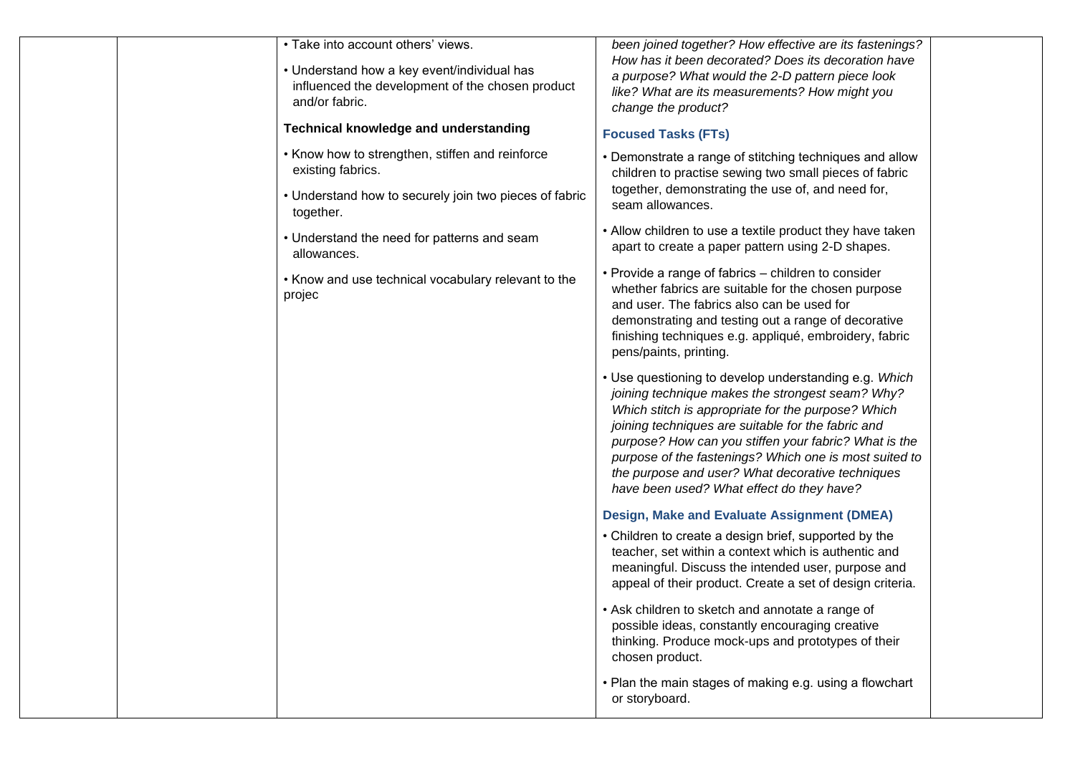|  | • Take into account others' views.<br>• Understand how a key event/individual has<br>influenced the development of the chosen product<br>and/or fabric.<br><b>Technical knowledge and understanding</b> | been joined together? How effective are its fastenings?<br>How has it been decorated? Does its decoration have<br>a purpose? What would the 2-D pattern piece look<br>like? What are its measurements? How might you<br>change the product?                                                                                                                                                                                               |  |
|--|---------------------------------------------------------------------------------------------------------------------------------------------------------------------------------------------------------|-------------------------------------------------------------------------------------------------------------------------------------------------------------------------------------------------------------------------------------------------------------------------------------------------------------------------------------------------------------------------------------------------------------------------------------------|--|
|  |                                                                                                                                                                                                         | <b>Focused Tasks (FTs)</b>                                                                                                                                                                                                                                                                                                                                                                                                                |  |
|  | • Know how to strengthen, stiffen and reinforce<br>existing fabrics.                                                                                                                                    | • Demonstrate a range of stitching techniques and allow<br>children to practise sewing two small pieces of fabric                                                                                                                                                                                                                                                                                                                         |  |
|  | • Understand how to securely join two pieces of fabric<br>together.                                                                                                                                     | together, demonstrating the use of, and need for,<br>seam allowances.                                                                                                                                                                                                                                                                                                                                                                     |  |
|  | • Understand the need for patterns and seam<br>allowances.                                                                                                                                              | • Allow children to use a textile product they have taken<br>apart to create a paper pattern using 2-D shapes.                                                                                                                                                                                                                                                                                                                            |  |
|  | • Know and use technical vocabulary relevant to the<br>projec                                                                                                                                           | • Provide a range of fabrics - children to consider<br>whether fabrics are suitable for the chosen purpose<br>and user. The fabrics also can be used for<br>demonstrating and testing out a range of decorative<br>finishing techniques e.g. appliqué, embroidery, fabric<br>pens/paints, printing.                                                                                                                                       |  |
|  |                                                                                                                                                                                                         | • Use questioning to develop understanding e.g. Which<br>joining technique makes the strongest seam? Why?<br>Which stitch is appropriate for the purpose? Which<br>joining techniques are suitable for the fabric and<br>purpose? How can you stiffen your fabric? What is the<br>purpose of the fastenings? Which one is most suited to<br>the purpose and user? What decorative techniques<br>have been used? What effect do they have? |  |
|  |                                                                                                                                                                                                         | Design, Make and Evaluate Assignment (DMEA)                                                                                                                                                                                                                                                                                                                                                                                               |  |
|  |                                                                                                                                                                                                         | • Children to create a design brief, supported by the<br>teacher, set within a context which is authentic and<br>meaningful. Discuss the intended user, purpose and<br>appeal of their product. Create a set of design criteria.                                                                                                                                                                                                          |  |
|  |                                                                                                                                                                                                         | • Ask children to sketch and annotate a range of<br>possible ideas, constantly encouraging creative<br>thinking. Produce mock-ups and prototypes of their<br>chosen product.                                                                                                                                                                                                                                                              |  |
|  |                                                                                                                                                                                                         | • Plan the main stages of making e.g. using a flowchart<br>or storyboard.                                                                                                                                                                                                                                                                                                                                                                 |  |
|  |                                                                                                                                                                                                         |                                                                                                                                                                                                                                                                                                                                                                                                                                           |  |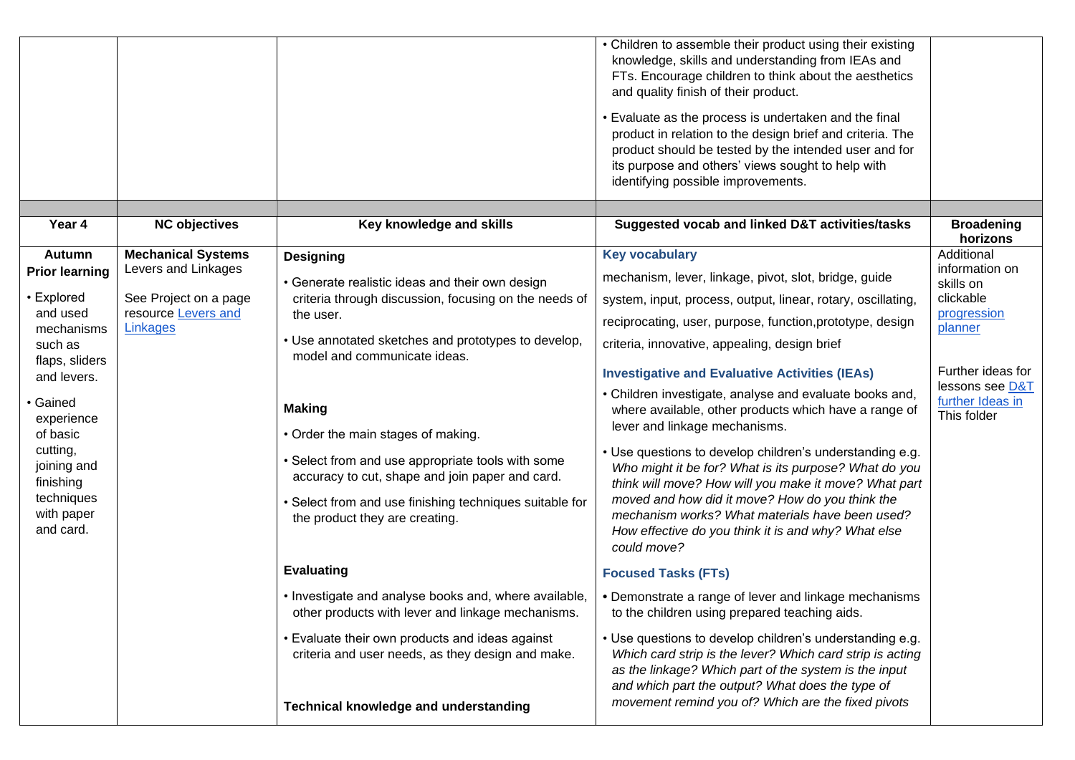|                                       |                                              |                                                                                                            | • Children to assemble their product using their existing<br>knowledge, skills and understanding from IEAs and<br>FTs. Encourage children to think about the aesthetics<br>and quality finish of their product.<br>• Evaluate as the process is undertaken and the final<br>product in relation to the design brief and criteria. The<br>product should be tested by the intended user and for<br>its purpose and others' views sought to help with<br>identifying possible improvements. |                                                    |
|---------------------------------------|----------------------------------------------|------------------------------------------------------------------------------------------------------------|-------------------------------------------------------------------------------------------------------------------------------------------------------------------------------------------------------------------------------------------------------------------------------------------------------------------------------------------------------------------------------------------------------------------------------------------------------------------------------------------|----------------------------------------------------|
| Year 4                                | <b>NC objectives</b>                         | Key knowledge and skills                                                                                   | Suggested vocab and linked D&T activities/tasks                                                                                                                                                                                                                                                                                                                                                                                                                                           | <b>Broadening</b><br>horizons                      |
| Autumn                                | <b>Mechanical Systems</b>                    | <b>Designing</b>                                                                                           | <b>Key vocabulary</b>                                                                                                                                                                                                                                                                                                                                                                                                                                                                     | Additional                                         |
| <b>Prior learning</b>                 | Levers and Linkages                          | • Generate realistic ideas and their own design                                                            | mechanism, lever, linkage, pivot, slot, bridge, guide                                                                                                                                                                                                                                                                                                                                                                                                                                     | information on<br>skills on                        |
| <b>Explored</b><br>and used           | See Project on a page<br>resource Levers and | criteria through discussion, focusing on the needs of                                                      | system, input, process, output, linear, rotary, oscillating,                                                                                                                                                                                                                                                                                                                                                                                                                              | clickable<br>progression                           |
| mechanisms                            | Linkages                                     | the user.                                                                                                  | reciprocating, user, purpose, function, prototype, design                                                                                                                                                                                                                                                                                                                                                                                                                                 | planner                                            |
| such as                               |                                              | • Use annotated sketches and prototypes to develop,<br>model and communicate ideas.                        | criteria, innovative, appealing, design brief                                                                                                                                                                                                                                                                                                                                                                                                                                             |                                                    |
| flaps, sliders<br>and levers.         |                                              |                                                                                                            | <b>Investigative and Evaluative Activities (IEAs)</b>                                                                                                                                                                                                                                                                                                                                                                                                                                     | Further ideas for                                  |
| • Gained<br>experience<br>of basic    |                                              | <b>Making</b><br>• Order the main stages of making.                                                        | • Children investigate, analyse and evaluate books and,<br>where available, other products which have a range of<br>lever and linkage mechanisms.                                                                                                                                                                                                                                                                                                                                         | lessons see D&T<br>further Ideas in<br>This folder |
| cutting,<br>joining and<br>finishing  |                                              | • Select from and use appropriate tools with some<br>accuracy to cut, shape and join paper and card.       | • Use questions to develop children's understanding e.g.<br>Who might it be for? What is its purpose? What do you<br>think will move? How will you make it move? What part                                                                                                                                                                                                                                                                                                                |                                                    |
| techniques<br>with paper<br>and card. |                                              | • Select from and use finishing techniques suitable for<br>the product they are creating.                  | moved and how did it move? How do you think the<br>mechanism works? What materials have been used?<br>How effective do you think it is and why? What else<br>could move?                                                                                                                                                                                                                                                                                                                  |                                                    |
|                                       |                                              | <b>Evaluating</b>                                                                                          | <b>Focused Tasks (FTs)</b>                                                                                                                                                                                                                                                                                                                                                                                                                                                                |                                                    |
|                                       |                                              | • Investigate and analyse books and, where available,<br>other products with lever and linkage mechanisms. | • Demonstrate a range of lever and linkage mechanisms<br>to the children using prepared teaching aids.                                                                                                                                                                                                                                                                                                                                                                                    |                                                    |
|                                       |                                              | • Evaluate their own products and ideas against<br>criteria and user needs, as they design and make.       | • Use questions to develop children's understanding e.g.<br>Which card strip is the lever? Which card strip is acting<br>as the linkage? Which part of the system is the input<br>and which part the output? What does the type of                                                                                                                                                                                                                                                        |                                                    |
|                                       |                                              | <b>Technical knowledge and understanding</b>                                                               | movement remind you of? Which are the fixed pivots                                                                                                                                                                                                                                                                                                                                                                                                                                        |                                                    |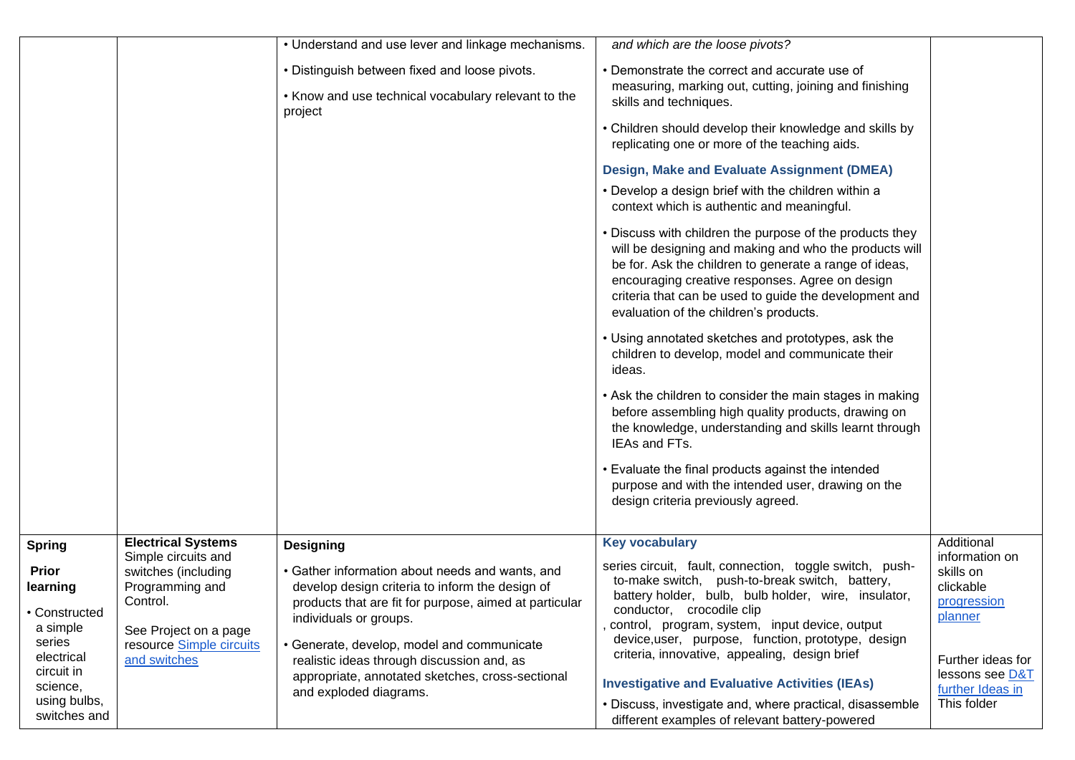|                              |                             | • Understand and use lever and linkage mechanisms.             | and which are the loose pivots?                                                                   |                          |
|------------------------------|-----------------------------|----------------------------------------------------------------|---------------------------------------------------------------------------------------------------|--------------------------|
|                              |                             | • Distinguish between fixed and loose pivots.                  | • Demonstrate the correct and accurate use of                                                     |                          |
|                              |                             |                                                                | measuring, marking out, cutting, joining and finishing                                            |                          |
|                              |                             | • Know and use technical vocabulary relevant to the<br>project | skills and techniques.                                                                            |                          |
|                              |                             |                                                                | • Children should develop their knowledge and skills by                                           |                          |
|                              |                             |                                                                | replicating one or more of the teaching aids.                                                     |                          |
|                              |                             |                                                                | <b>Design, Make and Evaluate Assignment (DMEA)</b>                                                |                          |
|                              |                             |                                                                | • Develop a design brief with the children within a<br>context which is authentic and meaningful. |                          |
|                              |                             |                                                                | • Discuss with children the purpose of the products they                                          |                          |
|                              |                             |                                                                | will be designing and making and who the products will                                            |                          |
|                              |                             |                                                                | be for. Ask the children to generate a range of ideas,                                            |                          |
|                              |                             |                                                                | encouraging creative responses. Agree on design                                                   |                          |
|                              |                             |                                                                | criteria that can be used to guide the development and                                            |                          |
|                              |                             |                                                                | evaluation of the children's products.                                                            |                          |
|                              |                             |                                                                | • Using annotated sketches and prototypes, ask the                                                |                          |
|                              |                             |                                                                | children to develop, model and communicate their                                                  |                          |
|                              |                             |                                                                | ideas.                                                                                            |                          |
|                              |                             |                                                                | • Ask the children to consider the main stages in making                                          |                          |
|                              |                             |                                                                | before assembling high quality products, drawing on                                               |                          |
|                              |                             |                                                                | the knowledge, understanding and skills learnt through                                            |                          |
|                              |                             |                                                                | IEAs and FTs.                                                                                     |                          |
|                              |                             |                                                                | • Evaluate the final products against the intended                                                |                          |
|                              |                             |                                                                | purpose and with the intended user, drawing on the                                                |                          |
|                              |                             |                                                                | design criteria previously agreed.                                                                |                          |
|                              |                             |                                                                |                                                                                                   |                          |
| <b>Spring</b>                | <b>Electrical Systems</b>   | <b>Designing</b>                                               | <b>Key vocabulary</b>                                                                             | Additional               |
|                              | Simple circuits and         |                                                                | series circuit, fault, connection, toggle switch, push-                                           | information on           |
| <b>Prior</b>                 | switches (including         | • Gather information about needs and wants, and                | to-make switch, push-to-break switch, battery,                                                    | skills on                |
| learning                     | Programming and<br>Control. | develop design criteria to inform the design of                | battery holder, bulb, bulb holder, wire, insulator,                                               | clickable<br>progression |
| • Constructed                |                             | products that are fit for purpose, aimed at particular         | conductor, crocodile clip                                                                         | planner                  |
| a simple                     | See Project on a page       | individuals or groups.                                         | control, program, system, input device, output                                                    |                          |
| series                       | resource Simple circuits    | • Generate, develop, model and communicate                     | device, user, purpose, function, prototype, design                                                |                          |
| electrical                   | and switches                | realistic ideas through discussion and, as                     | criteria, innovative, appealing, design brief                                                     | Further ideas for        |
| circuit in                   |                             | appropriate, annotated sketches, cross-sectional               | <b>Investigative and Evaluative Activities (IEAs)</b>                                             | lessons see D&T          |
| science,                     |                             | and exploded diagrams.                                         |                                                                                                   | further Ideas in         |
| using bulbs,<br>switches and |                             |                                                                | • Discuss, investigate and, where practical, disassemble                                          | This folder              |
|                              |                             |                                                                | different examples of relevant battery-powered                                                    |                          |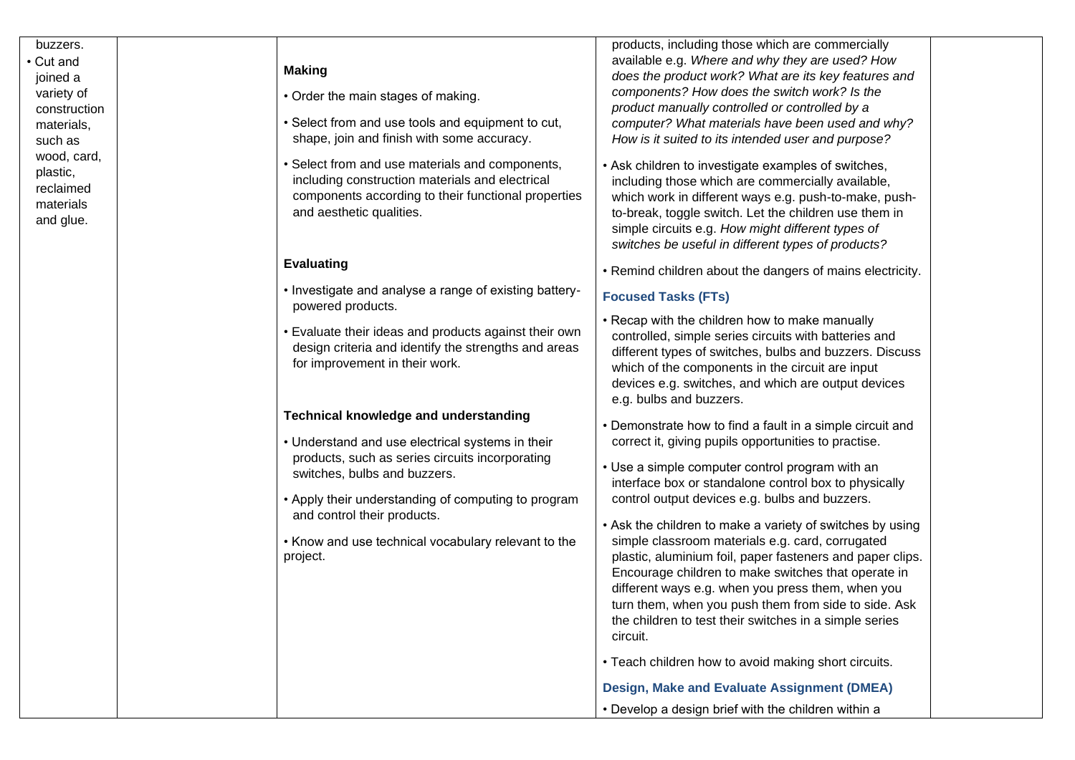buzzers. • Cut and joined a variety of construction materials, such as wood, card, plastic, reclaimed materials and glue.

#### **Making**

- Order the main stages of making.
- Select from and use tools and equipment to cut, shape, join and finish with some accuracy.
- Select from and use materials and components, including construction materials and electrical components according to their functional properties and aesthetic qualities.

#### **Evaluating**

- Investigate and analyse a range of existing battery powered products.
- Evaluate their ideas and products against their own design criteria and identify the strengths and areas for improvement in their work.

#### **Technical knowledge and understanding**

- Understand and use electrical systems in their products, such as series circuits incorporating switches, bulbs and buzzers.
- Apply their understanding of computing to program and control their products.
- Know and use technical vocabulary relevant to the project.

products, including those which are commercially available e.g. *Where and why they are used? How does the product work? What are its key features and components? How does the switch work? Is the product manually controlled or controlled by a computer? What materials have been used and why? How is it suited to its intended user and purpose?*

- Ask children to investigate examples of switches, including those which are commercially available, which work in different ways e.g. push -to -make, push to -break, toggle switch. Let the children use them in simple circuits e.g. *How might different types of switches be useful in different types of products?*
- Remind children about the dangers of mains electricity.

## **Focused Tasks (FTs)**

- Recap with the children how to make manually controlled, simple series circuits with batteries and different types of switches, bulbs and buzzers. Discuss which of the components in the circuit are input devices e.g. switches, and which are output devices e.g. bulbs and buzzers.
- Demonstrate how to find a fault in a simple circuit and correct it, giving pupils opportunities to practise.
- Use a simple computer control program with an interface box or standalone control box to physically control output devices e.g. bulbs and buzzers.
- Ask the children to make a variety of switches by using simple classroom materials e.g. card, corrugated plastic, aluminium foil, paper fasteners and paper clips. Encourage children to make switches that operate in different ways e.g. when you press them, when you turn them, when you push them from side to side. Ask the children to test their switches in a simple series circuit.
- Teach children how to avoid making short circuits.

**Design, Make and Evaluate Assignment (DMEA)**

• Develop a design brief with the children within a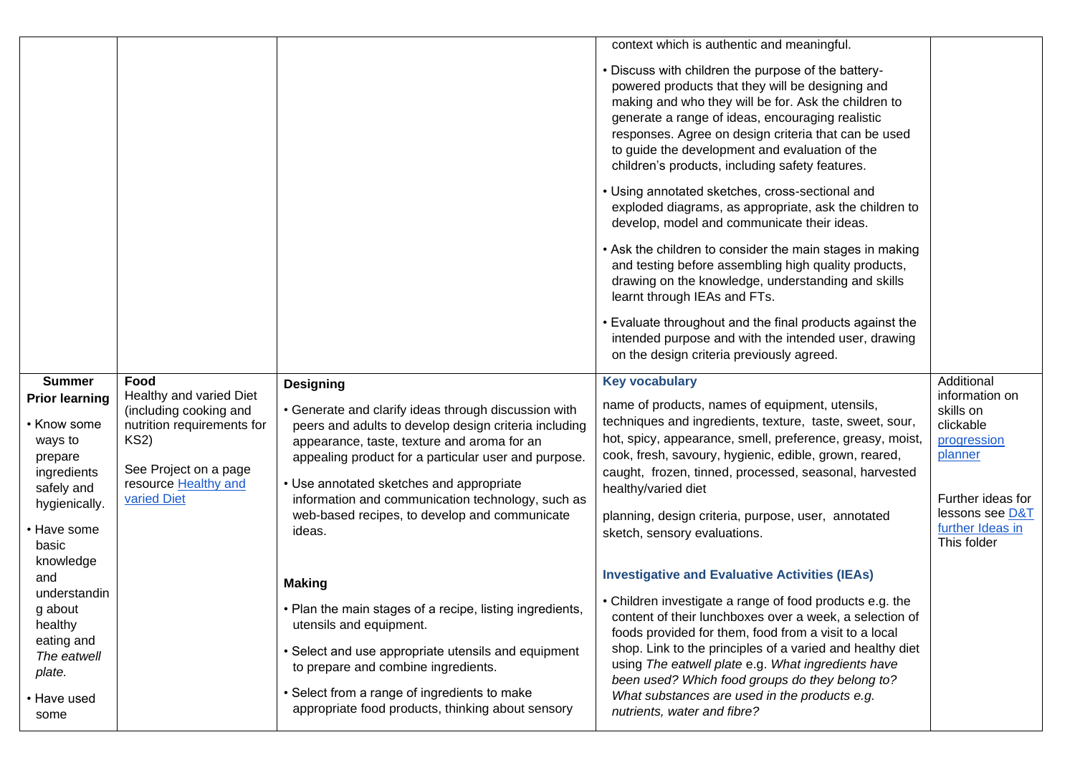|                       |                            |                                                          | context which is authentic and meaningful.                |                   |
|-----------------------|----------------------------|----------------------------------------------------------|-----------------------------------------------------------|-------------------|
|                       |                            |                                                          |                                                           |                   |
|                       |                            |                                                          | . Discuss with children the purpose of the battery-       |                   |
|                       |                            |                                                          | powered products that they will be designing and          |                   |
|                       |                            |                                                          | making and who they will be for. Ask the children to      |                   |
|                       |                            |                                                          |                                                           |                   |
|                       |                            |                                                          | generate a range of ideas, encouraging realistic          |                   |
|                       |                            |                                                          | responses. Agree on design criteria that can be used      |                   |
|                       |                            |                                                          | to guide the development and evaluation of the            |                   |
|                       |                            |                                                          | children's products, including safety features.           |                   |
|                       |                            |                                                          | • Using annotated sketches, cross-sectional and           |                   |
|                       |                            |                                                          | exploded diagrams, as appropriate, ask the children to    |                   |
|                       |                            |                                                          | develop, model and communicate their ideas.               |                   |
|                       |                            |                                                          | • Ask the children to consider the main stages in making  |                   |
|                       |                            |                                                          | and testing before assembling high quality products,      |                   |
|                       |                            |                                                          | drawing on the knowledge, understanding and skills        |                   |
|                       |                            |                                                          | learnt through IEAs and FTs.                              |                   |
|                       |                            |                                                          | • Evaluate throughout and the final products against the  |                   |
|                       |                            |                                                          | intended purpose and with the intended user, drawing      |                   |
|                       |                            |                                                          | on the design criteria previously agreed.                 |                   |
|                       |                            |                                                          |                                                           |                   |
| <b>Summer</b>         | Food                       | <b>Designing</b>                                         | <b>Key vocabulary</b>                                     | Additional        |
| <b>Prior learning</b> | Healthy and varied Diet    |                                                          | name of products, names of equipment, utensils,           | information on    |
|                       | (including cooking and     | • Generate and clarify ideas through discussion with     |                                                           | skills on         |
| • Know some           | nutrition requirements for | peers and adults to develop design criteria including    | techniques and ingredients, texture, taste, sweet, sour,  | clickable         |
| ways to               | <b>KS2)</b>                | appearance, taste, texture and aroma for an              | hot, spicy, appearance, smell, preference, greasy, moist, | progression       |
| prepare               |                            | appealing product for a particular user and purpose.     | cook, fresh, savoury, hygienic, edible, grown, reared,    | planner           |
| ingredients           | See Project on a page      |                                                          | caught, frozen, tinned, processed, seasonal, harvested    |                   |
| safely and            | resource Healthy and       | • Use annotated sketches and appropriate                 | healthy/varied diet                                       |                   |
| hygienically.         | varied Diet                | information and communication technology, such as        |                                                           | Further ideas for |
|                       |                            | web-based recipes, to develop and communicate            | planning, design criteria, purpose, user, annotated       | lessons see D&T   |
| • Have some           |                            | ideas.                                                   | sketch, sensory evaluations.                              | further Ideas in  |
| basic                 |                            |                                                          |                                                           | This folder       |
| knowledge             |                            |                                                          |                                                           |                   |
| and                   |                            |                                                          | <b>Investigative and Evaluative Activities (IEAs)</b>     |                   |
| understandin          |                            | <b>Making</b>                                            |                                                           |                   |
| g about               |                            | • Plan the main stages of a recipe, listing ingredients, | • Children investigate a range of food products e.g. the  |                   |
| healthy               |                            | utensils and equipment.                                  | content of their lunchboxes over a week, a selection of   |                   |
| eating and            |                            |                                                          | foods provided for them, food from a visit to a local     |                   |
| The eatwell           |                            | • Select and use appropriate utensils and equipment      | shop. Link to the principles of a varied and healthy diet |                   |
|                       |                            | to prepare and combine ingredients.                      | using The eatwell plate e.g. What ingredients have        |                   |
| plate.                |                            |                                                          | been used? Which food groups do they belong to?           |                   |
| • Have used           |                            | • Select from a range of ingredients to make             | What substances are used in the products e.g.             |                   |
| some                  |                            | appropriate food products, thinking about sensory        | nutrients, water and fibre?                               |                   |
|                       |                            |                                                          |                                                           |                   |
|                       |                            |                                                          |                                                           |                   |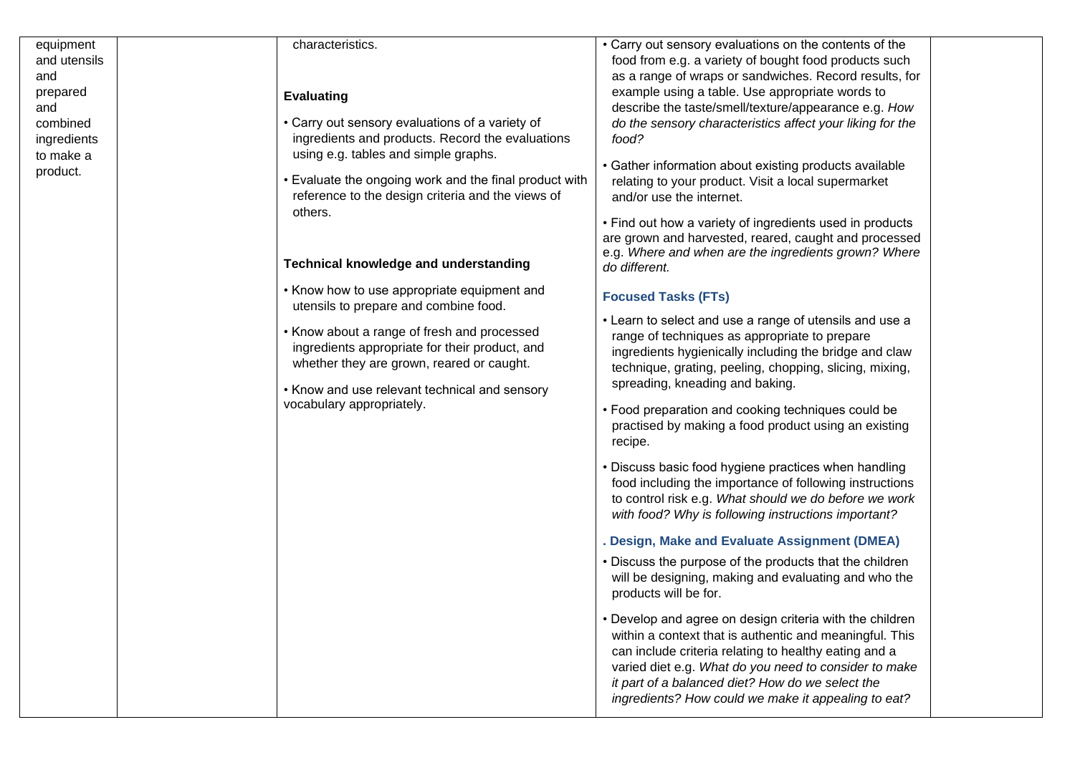| equipment    | characteristics.                                                           | • Carry out sensory evaluations on the contents of the                                                            |
|--------------|----------------------------------------------------------------------------|-------------------------------------------------------------------------------------------------------------------|
| and utensils |                                                                            | food from e.g. a variety of bought food products such                                                             |
| and          |                                                                            | as a range of wraps or sandwiches. Record results, for                                                            |
| prepared     | <b>Evaluating</b>                                                          | example using a table. Use appropriate words to                                                                   |
| and          |                                                                            | describe the taste/smell/texture/appearance e.g. How                                                              |
| combined     | • Carry out sensory evaluations of a variety of                            | do the sensory characteristics affect your liking for the                                                         |
| ingredients  | ingredients and products. Record the evaluations                           | food?                                                                                                             |
| to make a    | using e.g. tables and simple graphs.                                       | • Gather information about existing products available                                                            |
| product.     | • Evaluate the ongoing work and the final product with                     | relating to your product. Visit a local supermarket                                                               |
|              | reference to the design criteria and the views of                          | and/or use the internet.                                                                                          |
|              | others.                                                                    | • Find out how a variety of ingredients used in products                                                          |
|              |                                                                            | are grown and harvested, reared, caught and processed                                                             |
|              |                                                                            | e.g. Where and when are the ingredients grown? Where                                                              |
|              | <b>Technical knowledge and understanding</b>                               | do different.                                                                                                     |
|              | • Know how to use appropriate equipment and                                | <b>Focused Tasks (FTs)</b>                                                                                        |
|              | utensils to prepare and combine food.                                      |                                                                                                                   |
|              | • Know about a range of fresh and processed                                | • Learn to select and use a range of utensils and use a                                                           |
|              | ingredients appropriate for their product, and                             | range of techniques as appropriate to prepare                                                                     |
|              | whether they are grown, reared or caught.                                  | ingredients hygienically including the bridge and claw<br>technique, grating, peeling, chopping, slicing, mixing, |
|              |                                                                            | spreading, kneading and baking.                                                                                   |
|              | • Know and use relevant technical and sensory<br>vocabulary appropriately. |                                                                                                                   |
|              |                                                                            | • Food preparation and cooking techniques could be                                                                |
|              |                                                                            | practised by making a food product using an existing                                                              |
|              |                                                                            | recipe.                                                                                                           |
|              |                                                                            | • Discuss basic food hygiene practices when handling                                                              |
|              |                                                                            | food including the importance of following instructions                                                           |
|              |                                                                            | to control risk e.g. What should we do before we work                                                             |
|              |                                                                            | with food? Why is following instructions important?                                                               |
|              |                                                                            | Design, Make and Evaluate Assignment (DMEA)                                                                       |
|              |                                                                            | • Discuss the purpose of the products that the children                                                           |
|              |                                                                            | will be designing, making and evaluating and who the                                                              |
|              |                                                                            | products will be for.                                                                                             |
|              |                                                                            | • Develop and agree on design criteria with the children                                                          |
|              |                                                                            | within a context that is authentic and meaningful. This                                                           |
|              |                                                                            | can include criteria relating to healthy eating and a                                                             |
|              |                                                                            | varied diet e.g. What do you need to consider to make                                                             |
|              |                                                                            | it part of a balanced diet? How do we select the<br>ingredients? How could we make it appealing to eat?           |
|              |                                                                            |                                                                                                                   |
|              |                                                                            |                                                                                                                   |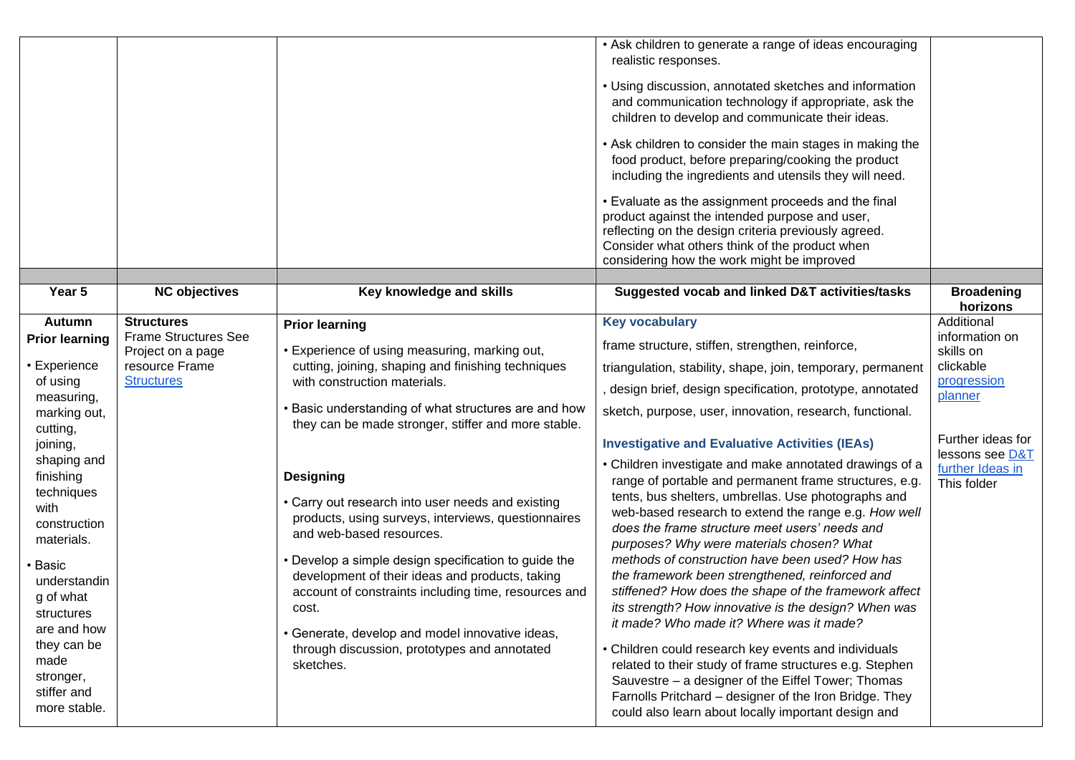|                                                                                                                                                                                       |                                                  |                                                                                                                                                                                                                                                                                                                                                                                                                                                      | • Ask children to generate a range of ideas encouraging<br>realistic responses.<br>• Using discussion, annotated sketches and information<br>and communication technology if appropriate, ask the<br>children to develop and communicate their ideas.<br>• Ask children to consider the main stages in making the<br>food product, before preparing/cooking the product<br>including the ingredients and utensils they will need.<br>• Evaluate as the assignment proceeds and the final<br>product against the intended purpose and user,<br>reflecting on the design criteria previously agreed.<br>Consider what others think of the product when<br>considering how the work might be improved                    |                                      |
|---------------------------------------------------------------------------------------------------------------------------------------------------------------------------------------|--------------------------------------------------|------------------------------------------------------------------------------------------------------------------------------------------------------------------------------------------------------------------------------------------------------------------------------------------------------------------------------------------------------------------------------------------------------------------------------------------------------|-----------------------------------------------------------------------------------------------------------------------------------------------------------------------------------------------------------------------------------------------------------------------------------------------------------------------------------------------------------------------------------------------------------------------------------------------------------------------------------------------------------------------------------------------------------------------------------------------------------------------------------------------------------------------------------------------------------------------|--------------------------------------|
| Year 5                                                                                                                                                                                | <b>NC objectives</b>                             | Key knowledge and skills                                                                                                                                                                                                                                                                                                                                                                                                                             | Suggested vocab and linked D&T activities/tasks                                                                                                                                                                                                                                                                                                                                                                                                                                                                                                                                                                                                                                                                       | <b>Broadening</b><br>horizons        |
| <b>Autumn</b>                                                                                                                                                                         | <b>Structures</b>                                | <b>Prior learning</b>                                                                                                                                                                                                                                                                                                                                                                                                                                | <b>Key vocabulary</b>                                                                                                                                                                                                                                                                                                                                                                                                                                                                                                                                                                                                                                                                                                 | Additional                           |
| <b>Prior learning</b>                                                                                                                                                                 | <b>Frame Structures See</b><br>Project on a page | • Experience of using measuring, marking out,                                                                                                                                                                                                                                                                                                                                                                                                        | frame structure, stiffen, strengthen, reinforce,                                                                                                                                                                                                                                                                                                                                                                                                                                                                                                                                                                                                                                                                      | information on<br>skills on          |
| • Experience                                                                                                                                                                          | resource Frame                                   | cutting, joining, shaping and finishing techniques                                                                                                                                                                                                                                                                                                                                                                                                   | triangulation, stability, shape, join, temporary, permanent                                                                                                                                                                                                                                                                                                                                                                                                                                                                                                                                                                                                                                                           | clickable                            |
| of using<br>measuring,                                                                                                                                                                | <b>Structures</b>                                | with construction materials.                                                                                                                                                                                                                                                                                                                                                                                                                         | , design brief, design specification, prototype, annotated                                                                                                                                                                                                                                                                                                                                                                                                                                                                                                                                                                                                                                                            | progression<br>planner               |
| marking out,<br>cutting,                                                                                                                                                              |                                                  | • Basic understanding of what structures are and how<br>they can be made stronger, stiffer and more stable.                                                                                                                                                                                                                                                                                                                                          | sketch, purpose, user, innovation, research, functional.                                                                                                                                                                                                                                                                                                                                                                                                                                                                                                                                                                                                                                                              |                                      |
| joining,                                                                                                                                                                              |                                                  |                                                                                                                                                                                                                                                                                                                                                                                                                                                      | <b>Investigative and Evaluative Activities (IEAs)</b>                                                                                                                                                                                                                                                                                                                                                                                                                                                                                                                                                                                                                                                                 | Further ideas for<br>lessons see D&T |
| shaping and<br>finishing<br>techniques<br>with<br>construction<br>materials.<br>• Basic<br>understandin<br>g of what<br>structures<br>are and how<br>they can be<br>made<br>stronger, |                                                  | <b>Designing</b><br>• Carry out research into user needs and existing<br>products, using surveys, interviews, questionnaires<br>and web-based resources.<br>• Develop a simple design specification to guide the<br>development of their ideas and products, taking<br>account of constraints including time, resources and<br>COST.<br>• Generate, develop and model innovative ideas,<br>through discussion, prototypes and annotated<br>sketches. | • Children investigate and make annotated drawings of a<br>range of portable and permanent frame structures, e.g.<br>tents, bus shelters, umbrellas. Use photographs and<br>web-based research to extend the range e.g. How well<br>does the frame structure meet users' needs and<br>purposes? Why were materials chosen? What<br>methods of construction have been used? How has<br>the framework been strengthened, reinforced and<br>stiffened? How does the shape of the framework affect<br>its strength? How innovative is the design? When was<br>it made? Who made it? Where was it made?<br>• Children could research key events and individuals<br>related to their study of frame structures e.g. Stephen | further Ideas in<br>This folder      |
| stiffer and<br>more stable.                                                                                                                                                           |                                                  |                                                                                                                                                                                                                                                                                                                                                                                                                                                      | Sauvestre - a designer of the Eiffel Tower; Thomas<br>Farnolls Pritchard - designer of the Iron Bridge. They<br>could also learn about locally important design and                                                                                                                                                                                                                                                                                                                                                                                                                                                                                                                                                   |                                      |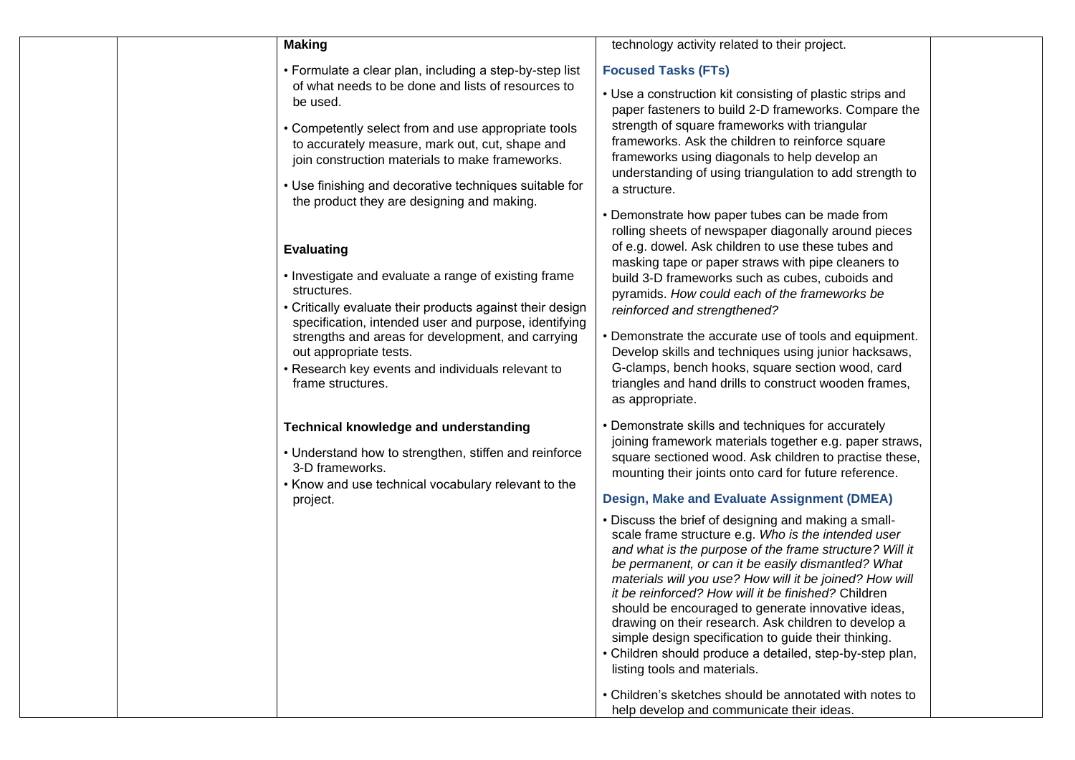| <b>Making</b>                                                                                                                                                                                                                                                                                                                                                           | technology activity related to their project.                                                                                                                                                                                                                                                                                                                                                                                                                                                                                                                                                                    |
|-------------------------------------------------------------------------------------------------------------------------------------------------------------------------------------------------------------------------------------------------------------------------------------------------------------------------------------------------------------------------|------------------------------------------------------------------------------------------------------------------------------------------------------------------------------------------------------------------------------------------------------------------------------------------------------------------------------------------------------------------------------------------------------------------------------------------------------------------------------------------------------------------------------------------------------------------------------------------------------------------|
| • Formulate a clear plan, including a step-by-step list<br>of what needs to be done and lists of resources to<br>be used.                                                                                                                                                                                                                                               | <b>Focused Tasks (FTs)</b><br>• Use a construction kit consisting of plastic strips and                                                                                                                                                                                                                                                                                                                                                                                                                                                                                                                          |
| • Competently select from and use appropriate tools<br>to accurately measure, mark out, cut, shape and<br>join construction materials to make frameworks.                                                                                                                                                                                                               | paper fasteners to build 2-D frameworks. Compare the<br>strength of square frameworks with triangular<br>frameworks. Ask the children to reinforce square<br>frameworks using diagonals to help develop an<br>understanding of using triangulation to add strength to                                                                                                                                                                                                                                                                                                                                            |
| • Use finishing and decorative techniques suitable for<br>the product they are designing and making.                                                                                                                                                                                                                                                                    | a structure.<br>• Demonstrate how paper tubes can be made from                                                                                                                                                                                                                                                                                                                                                                                                                                                                                                                                                   |
| <b>Evaluating</b><br>• Investigate and evaluate a range of existing frame<br>structures.<br>• Critically evaluate their products against their design<br>specification, intended user and purpose, identifying<br>strengths and areas for development, and carrying<br>out appropriate tests.<br>• Research key events and individuals relevant to<br>frame structures. | rolling sheets of newspaper diagonally around pieces<br>of e.g. dowel. Ask children to use these tubes and<br>masking tape or paper straws with pipe cleaners to<br>build 3-D frameworks such as cubes, cuboids and<br>pyramids. How could each of the frameworks be<br>reinforced and strengthened?<br>• Demonstrate the accurate use of tools and equipment.<br>Develop skills and techniques using junior hacksaws,<br>G-clamps, bench hooks, square section wood, card<br>triangles and hand drills to construct wooden frames,<br>as appropriate.                                                           |
| Technical knowledge and understanding<br>• Understand how to strengthen, stiffen and reinforce<br>3-D frameworks.<br>• Know and use technical vocabulary relevant to the<br>project.                                                                                                                                                                                    | • Demonstrate skills and techniques for accurately<br>joining framework materials together e.g. paper straws,<br>square sectioned wood. Ask children to practise these,<br>mounting their joints onto card for future reference.<br>Design, Make and Evaluate Assignment (DMEA)                                                                                                                                                                                                                                                                                                                                  |
|                                                                                                                                                                                                                                                                                                                                                                         | . Discuss the brief of designing and making a small-<br>scale frame structure e.g. Who is the intended user<br>and what is the purpose of the frame structure? Will it<br>be permanent, or can it be easily dismantled? What<br>materials will you use? How will it be joined? How will<br>it be reinforced? How will it be finished? Children<br>should be encouraged to generate innovative ideas,<br>drawing on their research. Ask children to develop a<br>simple design specification to guide their thinking.<br>• Children should produce a detailed, step-by-step plan,<br>listing tools and materials. |
|                                                                                                                                                                                                                                                                                                                                                                         | • Children's sketches should be annotated with notes to<br>help develop and communicate their ideas.                                                                                                                                                                                                                                                                                                                                                                                                                                                                                                             |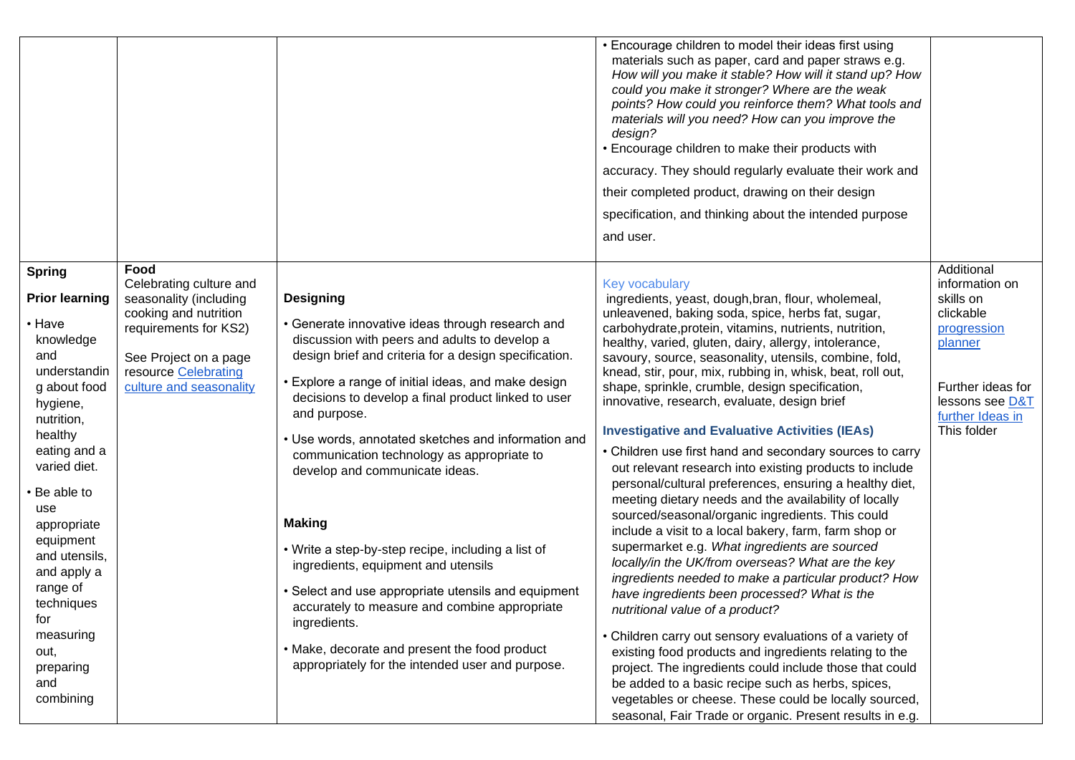|                                                                                                                                                                                                                                                                                                                                                                                                                                                                                                                                                |                                                                                                                                                                                                                                                                                                                                                                                                                                                                                                                                                                                                                                                                                                                                                                                                | • Encourage children to model their ideas first using<br>materials such as paper, card and paper straws e.g.<br>How will you make it stable? How will it stand up? How<br>could you make it stronger? Where are the weak<br>points? How could you reinforce them? What tools and<br>materials will you need? How can you improve the<br>design?<br>• Encourage children to make their products with<br>accuracy. They should regularly evaluate their work and<br>their completed product, drawing on their design<br>specification, and thinking about the intended purpose<br>and user.                                                                                                                                                                                                                                                                                                                                                                                                                                                                                                                                                                                                                                                                                                                                                                                                                                                                                                            |                                                                                                                                                             |
|------------------------------------------------------------------------------------------------------------------------------------------------------------------------------------------------------------------------------------------------------------------------------------------------------------------------------------------------------------------------------------------------------------------------------------------------------------------------------------------------------------------------------------------------|------------------------------------------------------------------------------------------------------------------------------------------------------------------------------------------------------------------------------------------------------------------------------------------------------------------------------------------------------------------------------------------------------------------------------------------------------------------------------------------------------------------------------------------------------------------------------------------------------------------------------------------------------------------------------------------------------------------------------------------------------------------------------------------------|------------------------------------------------------------------------------------------------------------------------------------------------------------------------------------------------------------------------------------------------------------------------------------------------------------------------------------------------------------------------------------------------------------------------------------------------------------------------------------------------------------------------------------------------------------------------------------------------------------------------------------------------------------------------------------------------------------------------------------------------------------------------------------------------------------------------------------------------------------------------------------------------------------------------------------------------------------------------------------------------------------------------------------------------------------------------------------------------------------------------------------------------------------------------------------------------------------------------------------------------------------------------------------------------------------------------------------------------------------------------------------------------------------------------------------------------------------------------------------------------------|-------------------------------------------------------------------------------------------------------------------------------------------------------------|
| Food<br><b>Spring</b><br>Celebrating culture and<br><b>Prior learning</b><br>seasonality (including<br>cooking and nutrition<br>• Have<br>requirements for KS2)<br>knowledge<br>and<br>See Project on a page<br>resource Celebrating<br>understandin<br>culture and seasonality<br>g about food<br>hygiene,<br>nutrition,<br>healthy<br>eating and a<br>varied diet.<br>• Be able to<br>use<br>appropriate<br>equipment<br>and utensils,<br>and apply a<br>range of<br>techniques<br>for<br>measuring<br>out,<br>preparing<br>and<br>combining | <b>Designing</b><br>• Generate innovative ideas through research and<br>discussion with peers and adults to develop a<br>design brief and criteria for a design specification.<br>• Explore a range of initial ideas, and make design<br>decisions to develop a final product linked to user<br>and purpose.<br>• Use words, annotated sketches and information and<br>communication technology as appropriate to<br>develop and communicate ideas.<br><b>Making</b><br>• Write a step-by-step recipe, including a list of<br>ingredients, equipment and utensils<br>• Select and use appropriate utensils and equipment<br>accurately to measure and combine appropriate<br>ingredients.<br>• Make, decorate and present the food product<br>appropriately for the intended user and purpose. | Key vocabulary<br>ingredients, yeast, dough, bran, flour, wholemeal,<br>unleavened, baking soda, spice, herbs fat, sugar,<br>carbohydrate, protein, vitamins, nutrients, nutrition,<br>healthy, varied, gluten, dairy, allergy, intolerance,<br>savoury, source, seasonality, utensils, combine, fold,<br>knead, stir, pour, mix, rubbing in, whisk, beat, roll out,<br>shape, sprinkle, crumble, design specification,<br>innovative, research, evaluate, design brief<br><b>Investigative and Evaluative Activities (IEAs)</b><br>• Children use first hand and secondary sources to carry<br>out relevant research into existing products to include<br>personal/cultural preferences, ensuring a healthy diet,<br>meeting dietary needs and the availability of locally<br>sourced/seasonal/organic ingredients. This could<br>include a visit to a local bakery, farm, farm shop or<br>supermarket e.g. What ingredients are sourced<br>locally/in the UK/from overseas? What are the key<br>ingredients needed to make a particular product? How<br>have ingredients been processed? What is the<br>nutritional value of a product?<br>• Children carry out sensory evaluations of a variety of<br>existing food products and ingredients relating to the<br>project. The ingredients could include those that could<br>be added to a basic recipe such as herbs, spices,<br>vegetables or cheese. These could be locally sourced,<br>seasonal, Fair Trade or organic. Present results in e.g. | Additional<br>information on<br>skills on<br>clickable<br>progression<br>planner<br>Further ideas for<br>lessons see D&T<br>further Ideas in<br>This folder |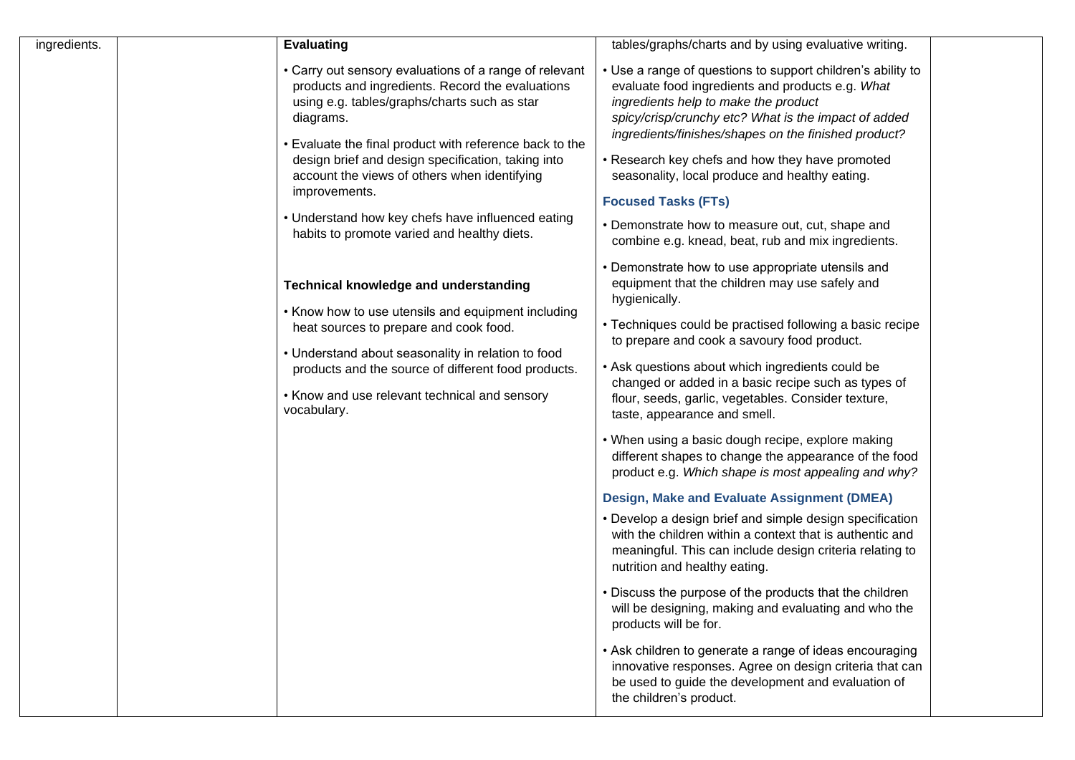| ingredients. | <b>Evaluating</b>                                                                                                                                                                                                                                                                                                                                                                                                                                             | tables/graphs/charts and by using evaluative writing.                                                                                                                                                                                                                                                                                                                                                                                                                                                                                                                                                                                                                                                                                                                                                                                                                                                                                                                                                                                                                                                                                                                                                                         |  |
|--------------|---------------------------------------------------------------------------------------------------------------------------------------------------------------------------------------------------------------------------------------------------------------------------------------------------------------------------------------------------------------------------------------------------------------------------------------------------------------|-------------------------------------------------------------------------------------------------------------------------------------------------------------------------------------------------------------------------------------------------------------------------------------------------------------------------------------------------------------------------------------------------------------------------------------------------------------------------------------------------------------------------------------------------------------------------------------------------------------------------------------------------------------------------------------------------------------------------------------------------------------------------------------------------------------------------------------------------------------------------------------------------------------------------------------------------------------------------------------------------------------------------------------------------------------------------------------------------------------------------------------------------------------------------------------------------------------------------------|--|
|              | • Carry out sensory evaluations of a range of relevant<br>products and ingredients. Record the evaluations<br>using e.g. tables/graphs/charts such as star<br>diagrams.<br>• Evaluate the final product with reference back to the<br>design brief and design specification, taking into<br>account the views of others when identifying<br>improvements.<br>• Understand how key chefs have influenced eating<br>habits to promote varied and healthy diets. | • Use a range of questions to support children's ability to<br>evaluate food ingredients and products e.g. What<br>ingredients help to make the product<br>spicy/crisp/crunchy etc? What is the impact of added<br>ingredients/finishes/shapes on the finished product?<br>• Research key chefs and how they have promoted<br>seasonality, local produce and healthy eating.<br><b>Focused Tasks (FTs)</b><br>• Demonstrate how to measure out, cut, shape and<br>combine e.g. knead, beat, rub and mix ingredients.                                                                                                                                                                                                                                                                                                                                                                                                                                                                                                                                                                                                                                                                                                          |  |
|              | <b>Technical knowledge and understanding</b><br>• Know how to use utensils and equipment including<br>heat sources to prepare and cook food.<br>• Understand about seasonality in relation to food<br>products and the source of different food products.<br>• Know and use relevant technical and sensory<br>vocabulary.                                                                                                                                     | • Demonstrate how to use appropriate utensils and<br>equipment that the children may use safely and<br>hygienically.<br>• Techniques could be practised following a basic recipe<br>to prepare and cook a savoury food product.<br>• Ask questions about which ingredients could be<br>changed or added in a basic recipe such as types of<br>flour, seeds, garlic, vegetables. Consider texture,<br>taste, appearance and smell.<br>• When using a basic dough recipe, explore making<br>different shapes to change the appearance of the food<br>product e.g. Which shape is most appealing and why?<br>Design, Make and Evaluate Assignment (DMEA)<br>• Develop a design brief and simple design specification<br>with the children within a context that is authentic and<br>meaningful. This can include design criteria relating to<br>nutrition and healthy eating.<br>• Discuss the purpose of the products that the children<br>will be designing, making and evaluating and who the<br>products will be for.<br>• Ask children to generate a range of ideas encouraging<br>innovative responses. Agree on design criteria that can<br>be used to guide the development and evaluation of<br>the children's product. |  |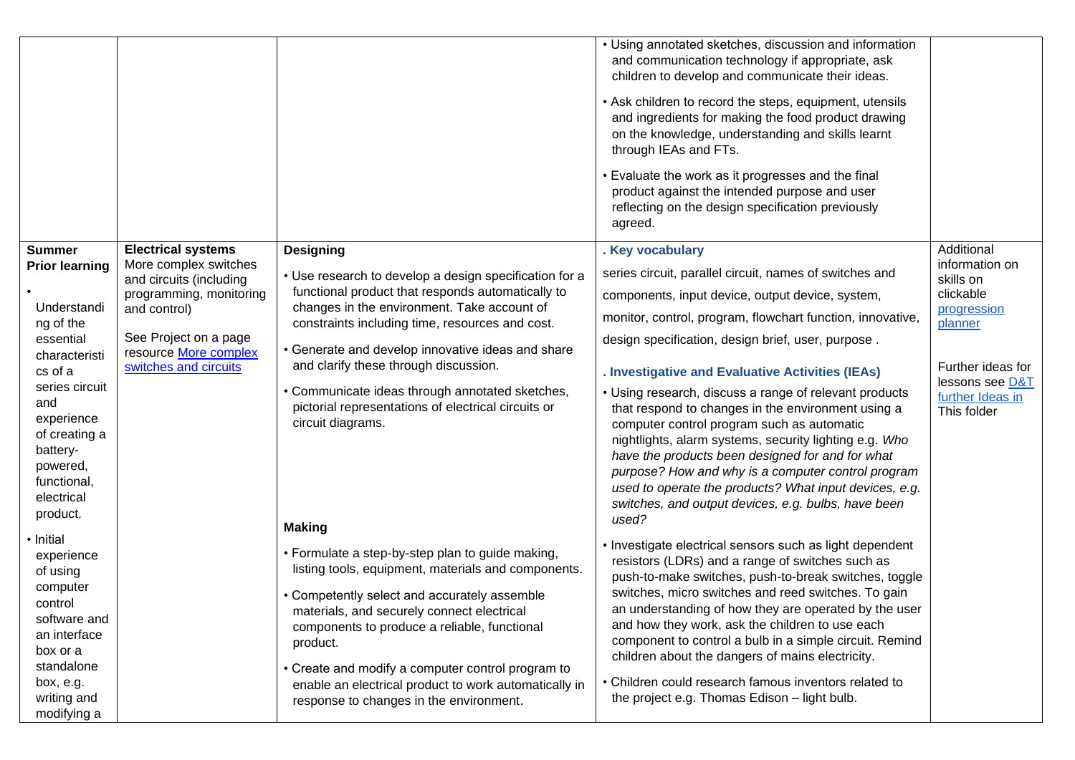|                                                                                                                                                                 |                                                  |                                                                                                                                                                                                                                                                                                                                                                                                                            | • Using annotated sketches, discussion and information<br>and communication technology if appropriate, ask<br>children to develop and communicate their ideas.<br>• Ask children to record the steps, equipment, utensils<br>and ingredients for making the food product drawing<br>on the knowledge, understanding and skills learnt<br>through IEAs and FTs.<br>• Evaluate the work as it progresses and the final<br>product against the intended purpose and user<br>reflecting on the design specification previously<br>agreed.                            |                                                    |
|-----------------------------------------------------------------------------------------------------------------------------------------------------------------|--------------------------------------------------|----------------------------------------------------------------------------------------------------------------------------------------------------------------------------------------------------------------------------------------------------------------------------------------------------------------------------------------------------------------------------------------------------------------------------|------------------------------------------------------------------------------------------------------------------------------------------------------------------------------------------------------------------------------------------------------------------------------------------------------------------------------------------------------------------------------------------------------------------------------------------------------------------------------------------------------------------------------------------------------------------|----------------------------------------------------|
| <b>Summer</b>                                                                                                                                                   | <b>Electrical systems</b>                        | <b>Designing</b>                                                                                                                                                                                                                                                                                                                                                                                                           | . Key vocabulary                                                                                                                                                                                                                                                                                                                                                                                                                                                                                                                                                 | Additional                                         |
| <b>Prior learning</b>                                                                                                                                           | More complex switches<br>and circuits (including | • Use research to develop a design specification for a                                                                                                                                                                                                                                                                                                                                                                     | series circuit, parallel circuit, names of switches and                                                                                                                                                                                                                                                                                                                                                                                                                                                                                                          | information on<br>skills on                        |
| Understandi                                                                                                                                                     | programming, monitoring                          | functional product that responds automatically to<br>changes in the environment. Take account of                                                                                                                                                                                                                                                                                                                           | components, input device, output device, system,                                                                                                                                                                                                                                                                                                                                                                                                                                                                                                                 | clickable                                          |
| ng of the                                                                                                                                                       | and control)                                     | constraints including time, resources and cost.                                                                                                                                                                                                                                                                                                                                                                            | monitor, control, program, flowchart function, innovative,                                                                                                                                                                                                                                                                                                                                                                                                                                                                                                       | progression<br>planner                             |
| essential                                                                                                                                                       | See Project on a page<br>resource More complex   | • Generate and develop innovative ideas and share                                                                                                                                                                                                                                                                                                                                                                          | design specification, design brief, user, purpose.                                                                                                                                                                                                                                                                                                                                                                                                                                                                                                               |                                                    |
| characteristi<br>cs of a                                                                                                                                        | switches and circuits                            | and clarify these through discussion.                                                                                                                                                                                                                                                                                                                                                                                      | . Investigative and Evaluative Activities (IEAs)                                                                                                                                                                                                                                                                                                                                                                                                                                                                                                                 | Further ideas for                                  |
| series circuit<br>and<br>experience<br>of creating a<br>battery-<br>powered,<br>functional,<br>electrical<br>product.                                           |                                                  | • Communicate ideas through annotated sketches,<br>pictorial representations of electrical circuits or<br>circuit diagrams.<br><b>Making</b>                                                                                                                                                                                                                                                                               | • Using research, discuss a range of relevant products<br>that respond to changes in the environment using a<br>computer control program such as automatic<br>nightlights, alarm systems, security lighting e.g. Who<br>have the products been designed for and for what<br>purpose? How and why is a computer control program<br>used to operate the products? What input devices, e.g.<br>switches, and output devices, e.g. bulbs, have been<br>used?                                                                                                         | lessons see D&T<br>further Ideas in<br>This folder |
| • Initial<br>experience<br>of using<br>computer<br>control<br>software and<br>an interface<br>box or a<br>standalone<br>box, e.g.<br>writing and<br>modifying a |                                                  | • Formulate a step-by-step plan to guide making,<br>listing tools, equipment, materials and components.<br>• Competently select and accurately assemble<br>materials, and securely connect electrical<br>components to produce a reliable, functional<br>product.<br>• Create and modify a computer control program to<br>enable an electrical product to work automatically in<br>response to changes in the environment. | • Investigate electrical sensors such as light dependent<br>resistors (LDRs) and a range of switches such as<br>push-to-make switches, push-to-break switches, toggle<br>switches, micro switches and reed switches. To gain<br>an understanding of how they are operated by the user<br>and how they work, ask the children to use each<br>component to control a bulb in a simple circuit. Remind<br>children about the dangers of mains electricity.<br>• Children could research famous inventors related to<br>the project e.g. Thomas Edison - light bulb. |                                                    |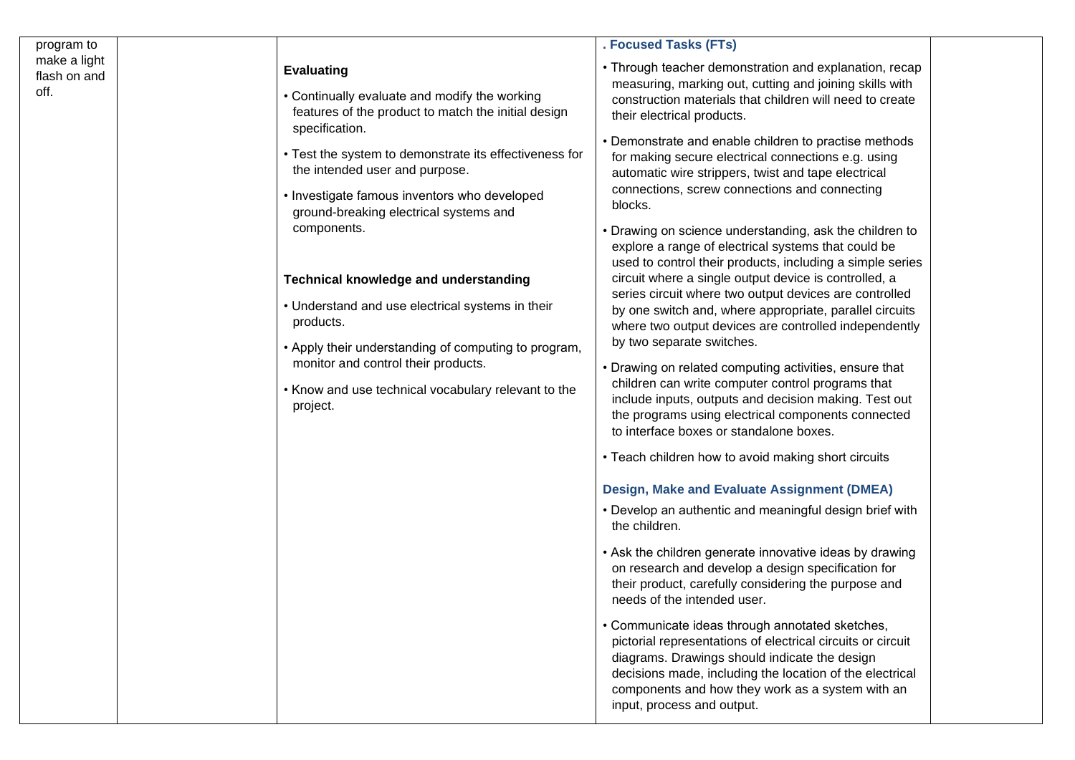| program to                           |                                                                                                                                                                                                                                                                                                                                                                                                                                                                                                                                                                                                                                     | . Focused Tasks (FTs)                                                                                                                                                                                                                                                                                                                                                                                                                                                                                                                                                                                                                                                                                                                                                                                                                                                                                                                                                                                                                                                                                                                                                                                                                                                                                                                                                                                                                                                                                                                                                                                                                                                                                                                                                                                                                                                                 |  |
|--------------------------------------|-------------------------------------------------------------------------------------------------------------------------------------------------------------------------------------------------------------------------------------------------------------------------------------------------------------------------------------------------------------------------------------------------------------------------------------------------------------------------------------------------------------------------------------------------------------------------------------------------------------------------------------|---------------------------------------------------------------------------------------------------------------------------------------------------------------------------------------------------------------------------------------------------------------------------------------------------------------------------------------------------------------------------------------------------------------------------------------------------------------------------------------------------------------------------------------------------------------------------------------------------------------------------------------------------------------------------------------------------------------------------------------------------------------------------------------------------------------------------------------------------------------------------------------------------------------------------------------------------------------------------------------------------------------------------------------------------------------------------------------------------------------------------------------------------------------------------------------------------------------------------------------------------------------------------------------------------------------------------------------------------------------------------------------------------------------------------------------------------------------------------------------------------------------------------------------------------------------------------------------------------------------------------------------------------------------------------------------------------------------------------------------------------------------------------------------------------------------------------------------------------------------------------------------|--|
| make a light<br>flash on and<br>off. | <b>Evaluating</b><br>• Continually evaluate and modify the working<br>features of the product to match the initial design<br>specification.<br>• Test the system to demonstrate its effectiveness for<br>the intended user and purpose.<br>• Investigate famous inventors who developed<br>ground-breaking electrical systems and<br>components.<br><b>Technical knowledge and understanding</b><br>• Understand and use electrical systems in their<br>products.<br>• Apply their understanding of computing to program,<br>monitor and control their products.<br>• Know and use technical vocabulary relevant to the<br>project. | • Through teacher demonstration and explanation, recap<br>measuring, marking out, cutting and joining skills with<br>construction materials that children will need to create<br>their electrical products.<br>• Demonstrate and enable children to practise methods<br>for making secure electrical connections e.g. using<br>automatic wire strippers, twist and tape electrical<br>connections, screw connections and connecting<br>blocks.<br>• Drawing on science understanding, ask the children to<br>explore a range of electrical systems that could be<br>used to control their products, including a simple series<br>circuit where a single output device is controlled, a<br>series circuit where two output devices are controlled<br>by one switch and, where appropriate, parallel circuits<br>where two output devices are controlled independently<br>by two separate switches.<br>• Drawing on related computing activities, ensure that<br>children can write computer control programs that<br>include inputs, outputs and decision making. Test out<br>the programs using electrical components connected<br>to interface boxes or standalone boxes.<br>• Teach children how to avoid making short circuits<br>Design, Make and Evaluate Assignment (DMEA)<br>• Develop an authentic and meaningful design brief with<br>the children.<br>• Ask the children generate innovative ideas by drawing<br>on research and develop a design specification for<br>their product, carefully considering the purpose and<br>needs of the intended user.<br>• Communicate ideas through annotated sketches,<br>pictorial representations of electrical circuits or circuit<br>diagrams. Drawings should indicate the design<br>decisions made, including the location of the electrical<br>components and how they work as a system with an<br>input, process and output. |  |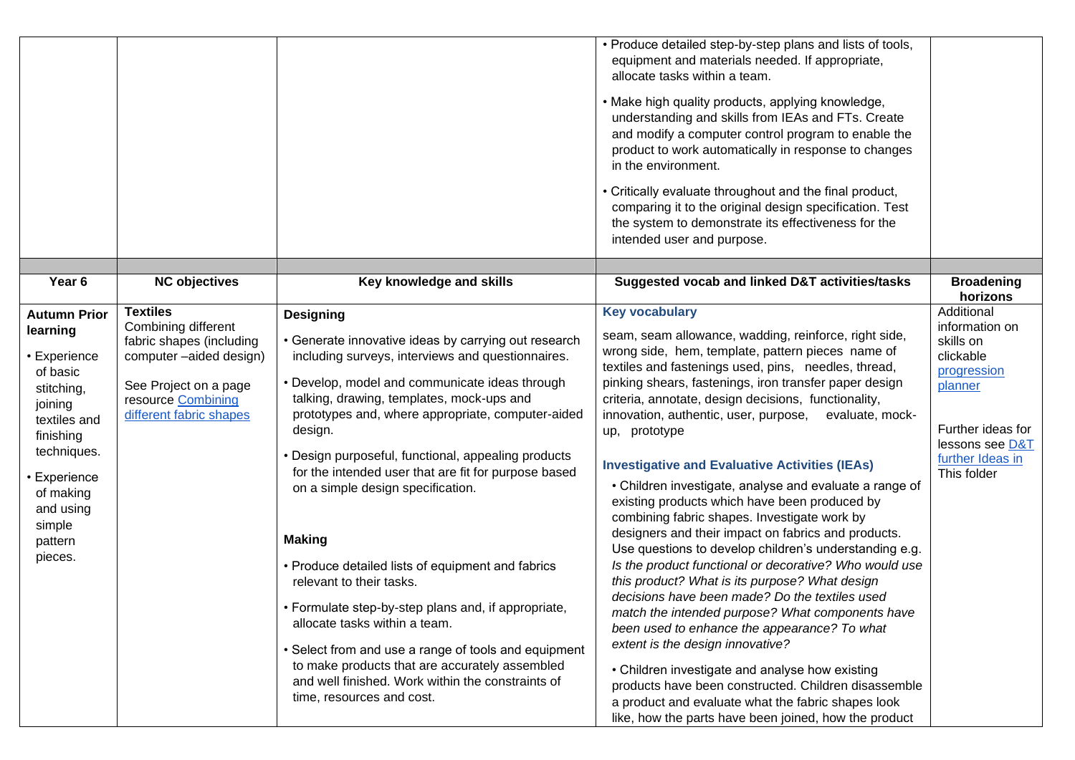|                                                                                                                                                                                                            |                                                                                                                                                                         |                                                                                                                                                                                                                                                                                                                                                                                                                                                                                                                                                                                                                                                                                                                                                                                                                                        | • Produce detailed step-by-step plans and lists of tools,<br>equipment and materials needed. If appropriate,<br>allocate tasks within a team.<br>• Make high quality products, applying knowledge,<br>understanding and skills from IEAs and FTs. Create<br>and modify a computer control program to enable the<br>product to work automatically in response to changes<br>in the environment.<br>• Critically evaluate throughout and the final product,<br>comparing it to the original design specification. Test<br>the system to demonstrate its effectiveness for the<br>intended user and purpose.                                                                                                                                                                                                                                                                                                                                                                                                                                                                                                                                                                                                                                                        |                                                                                                                                                             |
|------------------------------------------------------------------------------------------------------------------------------------------------------------------------------------------------------------|-------------------------------------------------------------------------------------------------------------------------------------------------------------------------|----------------------------------------------------------------------------------------------------------------------------------------------------------------------------------------------------------------------------------------------------------------------------------------------------------------------------------------------------------------------------------------------------------------------------------------------------------------------------------------------------------------------------------------------------------------------------------------------------------------------------------------------------------------------------------------------------------------------------------------------------------------------------------------------------------------------------------------|------------------------------------------------------------------------------------------------------------------------------------------------------------------------------------------------------------------------------------------------------------------------------------------------------------------------------------------------------------------------------------------------------------------------------------------------------------------------------------------------------------------------------------------------------------------------------------------------------------------------------------------------------------------------------------------------------------------------------------------------------------------------------------------------------------------------------------------------------------------------------------------------------------------------------------------------------------------------------------------------------------------------------------------------------------------------------------------------------------------------------------------------------------------------------------------------------------------------------------------------------------------|-------------------------------------------------------------------------------------------------------------------------------------------------------------|
| Year <sub>6</sub>                                                                                                                                                                                          | <b>NC objectives</b>                                                                                                                                                    | Key knowledge and skills                                                                                                                                                                                                                                                                                                                                                                                                                                                                                                                                                                                                                                                                                                                                                                                                               | Suggested vocab and linked D&T activities/tasks                                                                                                                                                                                                                                                                                                                                                                                                                                                                                                                                                                                                                                                                                                                                                                                                                                                                                                                                                                                                                                                                                                                                                                                                                  | <b>Broadening</b><br>horizons                                                                                                                               |
| <b>Autumn Prior</b><br>learning<br>• Experience<br>of basic<br>stitching,<br>joining<br>textiles and<br>finishing<br>techniques.<br>• Experience<br>of making<br>and using<br>simple<br>pattern<br>pieces. | <b>Textiles</b><br>Combining different<br>fabric shapes (including<br>computer -aided design)<br>See Project on a page<br>resource Combining<br>different fabric shapes | <b>Designing</b><br>• Generate innovative ideas by carrying out research<br>including surveys, interviews and questionnaires.<br>• Develop, model and communicate ideas through<br>talking, drawing, templates, mock-ups and<br>prototypes and, where appropriate, computer-aided<br>design.<br>• Design purposeful, functional, appealing products<br>for the intended user that are fit for purpose based<br>on a simple design specification.<br><b>Making</b><br>• Produce detailed lists of equipment and fabrics<br>relevant to their tasks.<br>• Formulate step-by-step plans and, if appropriate,<br>allocate tasks within a team.<br>• Select from and use a range of tools and equipment<br>to make products that are accurately assembled<br>and well finished. Work within the constraints of<br>time, resources and cost. | <b>Key vocabulary</b><br>seam, seam allowance, wadding, reinforce, right side,<br>wrong side, hem, template, pattern pieces name of<br>textiles and fastenings used, pins, needles, thread,<br>pinking shears, fastenings, iron transfer paper design<br>criteria, annotate, design decisions, functionality,<br>innovation, authentic, user, purpose,<br>evaluate, mock-<br>up, prototype<br><b>Investigative and Evaluative Activities (IEAs)</b><br>• Children investigate, analyse and evaluate a range of<br>existing products which have been produced by<br>combining fabric shapes. Investigate work by<br>designers and their impact on fabrics and products.<br>Use questions to develop children's understanding e.g.<br>Is the product functional or decorative? Who would use<br>this product? What is its purpose? What design<br>decisions have been made? Do the textiles used<br>match the intended purpose? What components have<br>been used to enhance the appearance? To what<br>extent is the design innovative?<br>• Children investigate and analyse how existing<br>products have been constructed. Children disassemble<br>a product and evaluate what the fabric shapes look<br>like, how the parts have been joined, how the product | Additional<br>information on<br>skills on<br>clickable<br>progression<br>planner<br>Further ideas for<br>lessons see D&T<br>further Ideas in<br>This folder |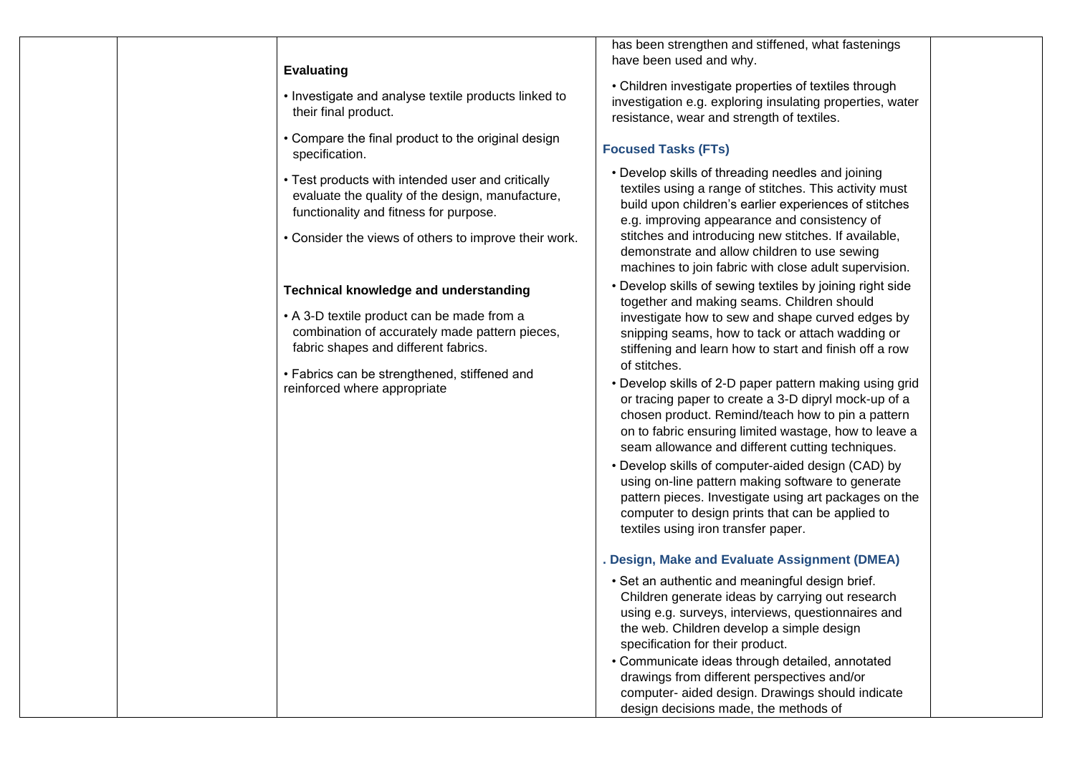|  | <b>Evaluating</b>                                                                                                                               |
|--|-------------------------------------------------------------------------------------------------------------------------------------------------|
|  | • Investigate and analyse textile products linked to<br>their final product.                                                                    |
|  | • Compare the final product to the original design<br>specification.                                                                            |
|  | • Test products with intended user and critically<br>evaluate the quality of the design, manufacture,<br>functionality and fitness for purpose. |
|  | • Consider the views of others to improve their work.                                                                                           |
|  | Technical knowledge and understanding                                                                                                           |
|  | • A 3-D textile product can be made from a<br>combination of accurately made pattern pieces,<br>fabric shapes and different fabrics.            |
|  | • Fabrics can be strengthened, stiffened and<br>reinforced where appropriate                                                                    |
|  |                                                                                                                                                 |
|  |                                                                                                                                                 |
|  |                                                                                                                                                 |
|  |                                                                                                                                                 |
|  |                                                                                                                                                 |
|  |                                                                                                                                                 |
|  |                                                                                                                                                 |
|  |                                                                                                                                                 |
|  |                                                                                                                                                 |

has been strengthen and stiffened, what fastenings have been used and why.

• Children investigate properties of textiles through investigation e.g. exploring insulating properties, water resistance, wear and strength of textiles.

## **Focused Tasks (FTs)**

- Develop skills of threading needles and joining textiles using a range of stitches. This activity must build upon children's earlier experiences of stitches e.g. improving appearance and consistency of stitches and introducing new stitches. If available, demonstrate and allow children to use sewing machines to join fabric with close adult supervision.
- Develop skills of sewing textiles by joining right side together and making seams. Children should investigate how to sew and shape curved edges by snipping seams, how to tack or attach wadding or stiffening and learn how to start and finish off a row of stitches.
- Develop skills of 2-D paper pattern making using grid or tracing paper to create a 3-D dipryl mock-up of a chosen product. Remind/teach how to pin a pattern on to fabric ensuring limited wastage, how to leave a seam allowance and different cutting techniques.
- Develop skills of computer-aided design (CAD) by using on-line pattern making software to generate pattern pieces. Investigate using art packages on the computer to design prints that can be applied to textiles using iron transfer paper.

## **. Design, Make and Evaluate Assignment (DMEA)**

- Set an authentic and meaningful design brief. Children generate ideas by carrying out research using e.g. surveys, interviews, questionnaires and the web. Children develop a simple design specification for their product.
- Communicate ideas through detailed, annotated drawings from different perspectives and/or computer- aided design. Drawings should indicate design decisions made, the methods of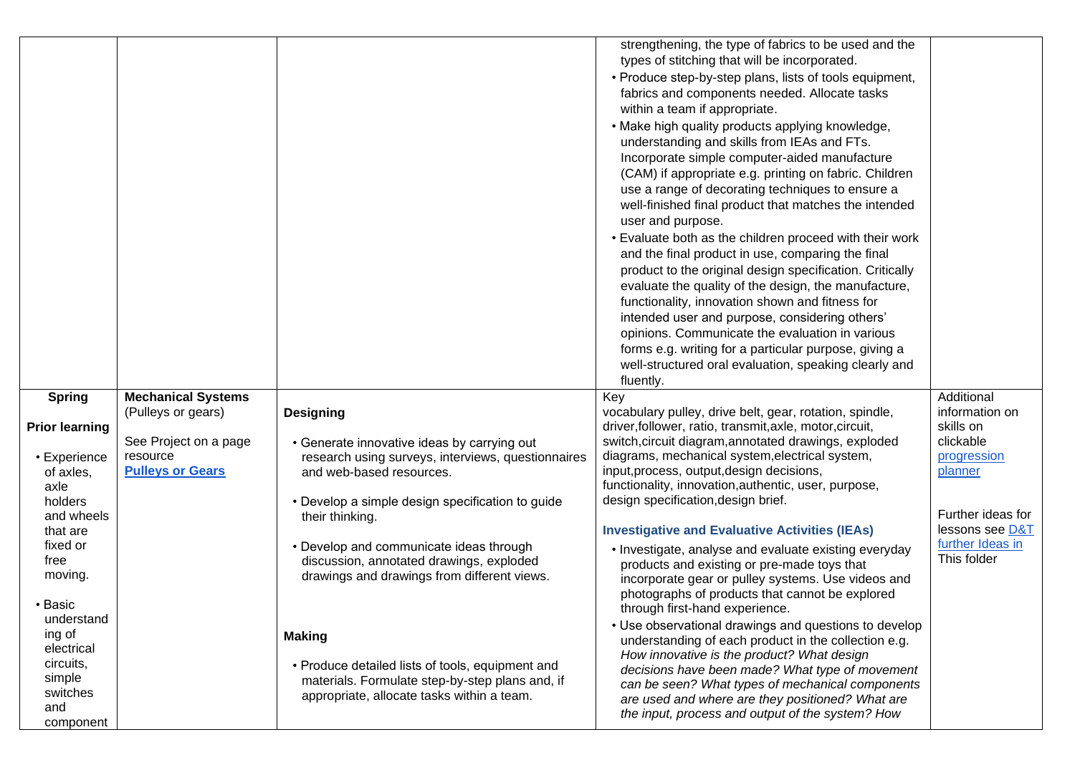|                       |                           |                                                    | strengthening, the type of fabrics to be used and the                                                |                   |
|-----------------------|---------------------------|----------------------------------------------------|------------------------------------------------------------------------------------------------------|-------------------|
|                       |                           |                                                    | types of stitching that will be incorporated.                                                        |                   |
|                       |                           |                                                    | • Produce step-by-step plans, lists of tools equipment,                                              |                   |
|                       |                           |                                                    | fabrics and components needed. Allocate tasks                                                        |                   |
|                       |                           |                                                    | within a team if appropriate.                                                                        |                   |
|                       |                           |                                                    | • Make high quality products applying knowledge,                                                     |                   |
|                       |                           |                                                    | understanding and skills from IEAs and FTs.                                                          |                   |
|                       |                           |                                                    | Incorporate simple computer-aided manufacture                                                        |                   |
|                       |                           |                                                    |                                                                                                      |                   |
|                       |                           |                                                    | (CAM) if appropriate e.g. printing on fabric. Children                                               |                   |
|                       |                           |                                                    | use a range of decorating techniques to ensure a                                                     |                   |
|                       |                           |                                                    | well-finished final product that matches the intended                                                |                   |
|                       |                           |                                                    | user and purpose.                                                                                    |                   |
|                       |                           |                                                    | • Evaluate both as the children proceed with their work                                              |                   |
|                       |                           |                                                    | and the final product in use, comparing the final                                                    |                   |
|                       |                           |                                                    | product to the original design specification. Critically                                             |                   |
|                       |                           |                                                    | evaluate the quality of the design, the manufacture,                                                 |                   |
|                       |                           |                                                    | functionality, innovation shown and fitness for                                                      |                   |
|                       |                           |                                                    | intended user and purpose, considering others'                                                       |                   |
|                       |                           |                                                    | opinions. Communicate the evaluation in various                                                      |                   |
|                       |                           |                                                    | forms e.g. writing for a particular purpose, giving a                                                |                   |
|                       |                           |                                                    | well-structured oral evaluation, speaking clearly and                                                |                   |
|                       |                           |                                                    | fluently.                                                                                            |                   |
| <b>Spring</b>         | <b>Mechanical Systems</b> |                                                    | Key                                                                                                  | Additional        |
|                       | (Pulleys or gears)        | <b>Designing</b>                                   | vocabulary pulley, drive belt, gear, rotation, spindle,                                              | information on    |
| <b>Prior learning</b> |                           |                                                    | driver, follower, ratio, transmit, axle, motor, circuit,                                             | skills on         |
|                       | See Project on a page     | • Generate innovative ideas by carrying out        | switch, circuit diagram, annotated drawings, exploded                                                | clickable         |
| • Experience          | resource                  | research using surveys, interviews, questionnaires | diagrams, mechanical system, electrical system,                                                      | progression       |
| of axles,             | <b>Pulleys or Gears</b>   | and web-based resources.                           | input, process, output, design decisions,                                                            | planner           |
| axle                  |                           |                                                    | functionality, innovation, authentic, user, purpose,                                                 |                   |
| holders               |                           | • Develop a simple design specification to guide   | design specification, design brief.                                                                  |                   |
| and wheels            |                           | their thinking.                                    |                                                                                                      | Further ideas for |
| that are              |                           |                                                    | <b>Investigative and Evaluative Activities (IEAs)</b>                                                | lessons see D&T   |
| fixed or              |                           | • Develop and communicate ideas through            |                                                                                                      | further Ideas in  |
| free                  |                           | discussion, annotated drawings, exploded           | • Investigate, analyse and evaluate existing everyday                                                | This folder       |
| moving.               |                           | drawings and drawings from different views.        | products and existing or pre-made toys that                                                          |                   |
|                       |                           |                                                    | incorporate gear or pulley systems. Use videos and                                                   |                   |
| Basic                 |                           |                                                    | photographs of products that cannot be explored<br>through first-hand experience.                    |                   |
| understand            |                           |                                                    |                                                                                                      |                   |
| ing of                |                           | <b>Making</b>                                      | • Use observational drawings and questions to develop                                                |                   |
| electrical            |                           |                                                    | understanding of each product in the collection e.g.                                                 |                   |
| circuits,             |                           | • Produce detailed lists of tools, equipment and   | How innovative is the product? What design                                                           |                   |
| simple                |                           | materials. Formulate step-by-step plans and, if    | decisions have been made? What type of movement                                                      |                   |
|                       |                           |                                                    |                                                                                                      |                   |
| switches              |                           |                                                    | can be seen? What types of mechanical components                                                     |                   |
| and                   |                           | appropriate, allocate tasks within a team.         | are used and where are they positioned? What are<br>the input, process and output of the system? How |                   |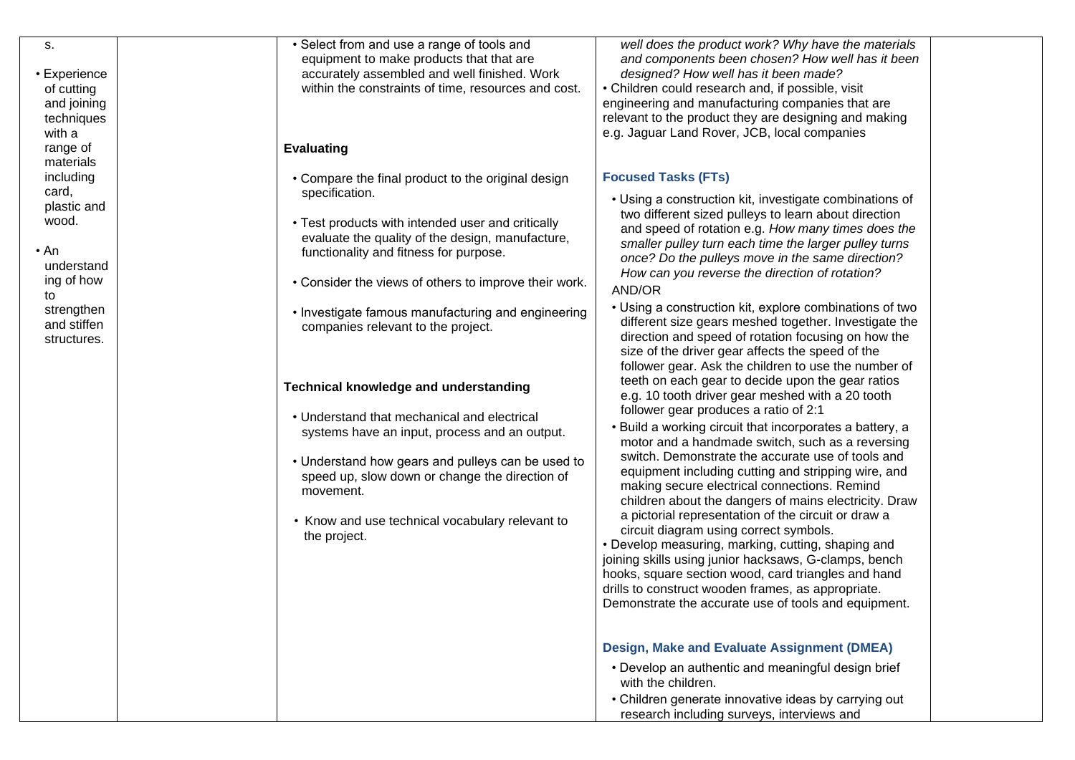| S.                        | • Select from and use a range of tools and            | well does the product work? Why have the materials       |  |
|---------------------------|-------------------------------------------------------|----------------------------------------------------------|--|
|                           | equipment to make products that that are              | and components been chosen? How well has it been         |  |
| • Experience              | accurately assembled and well finished. Work          | designed? How well has it been made?                     |  |
| of cutting                | within the constraints of time, resources and cost.   | • Children could research and, if possible, visit        |  |
| and joining               |                                                       | engineering and manufacturing companies that are         |  |
| techniques                |                                                       | relevant to the product they are designing and making    |  |
| with a                    |                                                       | e.g. Jaguar Land Rover, JCB, local companies             |  |
| range of                  | <b>Evaluating</b>                                     |                                                          |  |
| materials                 |                                                       |                                                          |  |
| including                 | • Compare the final product to the original design    | <b>Focused Tasks (FTs)</b>                               |  |
| card,                     | specification.                                        |                                                          |  |
| plastic and               |                                                       | • Using a construction kit, investigate combinations of  |  |
| wood.                     | • Test products with intended user and critically     | two different sized pulleys to learn about direction     |  |
|                           | evaluate the quality of the design, manufacture,      | and speed of rotation e.g. How many times does the       |  |
| • An                      | functionality and fitness for purpose.                | smaller pulley turn each time the larger pulley turns    |  |
| understand                |                                                       | once? Do the pulleys move in the same direction?         |  |
|                           |                                                       | How can you reverse the direction of rotation?           |  |
| ing of how                | • Consider the views of others to improve their work. | AND/OR                                                   |  |
| to                        |                                                       | • Using a construction kit, explore combinations of two  |  |
| strengthen<br>and stiffen | • Investigate famous manufacturing and engineering    | different size gears meshed together. Investigate the    |  |
|                           | companies relevant to the project.                    | direction and speed of rotation focusing on how the      |  |
| structures.               |                                                       | size of the driver gear affects the speed of the         |  |
|                           |                                                       | follower gear. Ask the children to use the number of     |  |
|                           |                                                       | teeth on each gear to decide upon the gear ratios        |  |
|                           | <b>Technical knowledge and understanding</b>          | e.g. 10 tooth driver gear meshed with a 20 tooth         |  |
|                           |                                                       |                                                          |  |
|                           | • Understand that mechanical and electrical           | follower gear produces a ratio of 2:1                    |  |
|                           | systems have an input, process and an output.         | • Build a working circuit that incorporates a battery, a |  |
|                           |                                                       | motor and a handmade switch, such as a reversing         |  |
|                           | • Understand how gears and pulleys can be used to     | switch. Demonstrate the accurate use of tools and        |  |
|                           | speed up, slow down or change the direction of        | equipment including cutting and stripping wire, and      |  |
|                           | movement.                                             | making secure electrical connections. Remind             |  |
|                           |                                                       | children about the dangers of mains electricity. Draw    |  |
|                           | • Know and use technical vocabulary relevant to       | a pictorial representation of the circuit or draw a      |  |
|                           | the project.                                          | circuit diagram using correct symbols.                   |  |
|                           |                                                       | • Develop measuring, marking, cutting, shaping and       |  |
|                           |                                                       | joining skills using junior hacksaws, G-clamps, bench    |  |
|                           |                                                       | hooks, square section wood, card triangles and hand      |  |
|                           |                                                       | drills to construct wooden frames, as appropriate.       |  |
|                           |                                                       | Demonstrate the accurate use of tools and equipment.     |  |
|                           |                                                       |                                                          |  |
|                           |                                                       |                                                          |  |
|                           |                                                       | Design, Make and Evaluate Assignment (DMEA)              |  |
|                           |                                                       | • Develop an authentic and meaningful design brief       |  |
|                           |                                                       | with the children.                                       |  |
|                           |                                                       | • Children generate innovative ideas by carrying out     |  |
|                           |                                                       | research including surveys, interviews and               |  |
|                           |                                                       |                                                          |  |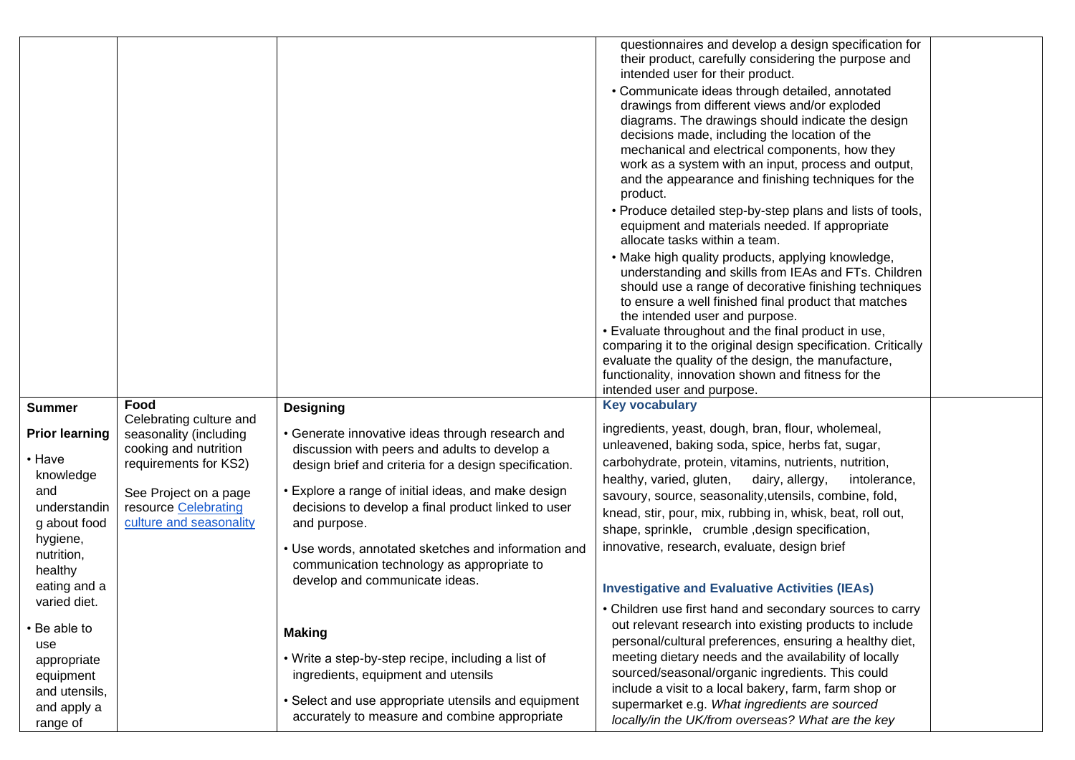|                                                                                                                                                                                                                 |                                                                                                                                                                                         |                                                                                                                                                                                                                                                                                                                                                                                                                                                                                                                            | questionnaires and develop a design specification for<br>their product, carefully considering the purpose and<br>intended user for their product.<br>• Communicate ideas through detailed, annotated<br>drawings from different views and/or exploded<br>diagrams. The drawings should indicate the design<br>decisions made, including the location of the<br>mechanical and electrical components, how they<br>work as a system with an input, process and output,<br>and the appearance and finishing techniques for the<br>product.<br>• Produce detailed step-by-step plans and lists of tools,<br>equipment and materials needed. If appropriate<br>allocate tasks within a team.<br>• Make high quality products, applying knowledge,<br>understanding and skills from IEAs and FTs. Children<br>should use a range of decorative finishing techniques<br>to ensure a well finished final product that matches<br>the intended user and purpose.<br>. Evaluate throughout and the final product in use,<br>comparing it to the original design specification. Critically<br>evaluate the quality of the design, the manufacture,<br>functionality, innovation shown and fitness for the<br>intended user and purpose. |  |
|-----------------------------------------------------------------------------------------------------------------------------------------------------------------------------------------------------------------|-----------------------------------------------------------------------------------------------------------------------------------------------------------------------------------------|----------------------------------------------------------------------------------------------------------------------------------------------------------------------------------------------------------------------------------------------------------------------------------------------------------------------------------------------------------------------------------------------------------------------------------------------------------------------------------------------------------------------------|------------------------------------------------------------------------------------------------------------------------------------------------------------------------------------------------------------------------------------------------------------------------------------------------------------------------------------------------------------------------------------------------------------------------------------------------------------------------------------------------------------------------------------------------------------------------------------------------------------------------------------------------------------------------------------------------------------------------------------------------------------------------------------------------------------------------------------------------------------------------------------------------------------------------------------------------------------------------------------------------------------------------------------------------------------------------------------------------------------------------------------------------------------------------------------------------------------------------------|--|
| <b>Summer</b><br><b>Prior learning</b><br>• Have<br>knowledge<br>and<br>understandin<br>g about food<br>hygiene,<br>nutrition,<br>healthy<br>eating and a<br>varied diet.<br>• Be able to<br>use<br>appropriate | Food<br>Celebrating culture and<br>seasonality (including<br>cooking and nutrition<br>requirements for KS2)<br>See Project on a page<br>resource Celebrating<br>culture and seasonality | <b>Designing</b><br>• Generate innovative ideas through research and<br>discussion with peers and adults to develop a<br>design brief and criteria for a design specification.<br>• Explore a range of initial ideas, and make design<br>decisions to develop a final product linked to user<br>and purpose.<br>• Use words, annotated sketches and information and<br>communication technology as appropriate to<br>develop and communicate ideas.<br><b>Making</b><br>• Write a step-by-step recipe, including a list of | <b>Key vocabulary</b><br>ingredients, yeast, dough, bran, flour, wholemeal,<br>unleavened, baking soda, spice, herbs fat, sugar,<br>carbohydrate, protein, vitamins, nutrients, nutrition,<br>healthy, varied, gluten,<br>dairy, allergy,<br>intolerance,<br>savoury, source, seasonality, utensils, combine, fold,<br>knead, stir, pour, mix, rubbing in, whisk, beat, roll out,<br>shape, sprinkle, crumble, design specification,<br>innovative, research, evaluate, design brief<br><b>Investigative and Evaluative Activities (IEAs)</b><br>• Children use first hand and secondary sources to carry<br>out relevant research into existing products to include<br>personal/cultural preferences, ensuring a healthy diet,<br>meeting dietary needs and the availability of locally                                                                                                                                                                                                                                                                                                                                                                                                                                     |  |
| equipment<br>and utensils,<br>and apply a<br>range of                                                                                                                                                           |                                                                                                                                                                                         | ingredients, equipment and utensils<br>• Select and use appropriate utensils and equipment<br>accurately to measure and combine appropriate                                                                                                                                                                                                                                                                                                                                                                                | sourced/seasonal/organic ingredients. This could<br>include a visit to a local bakery, farm, farm shop or<br>supermarket e.g. What ingredients are sourced<br>locally/in the UK/from overseas? What are the key                                                                                                                                                                                                                                                                                                                                                                                                                                                                                                                                                                                                                                                                                                                                                                                                                                                                                                                                                                                                              |  |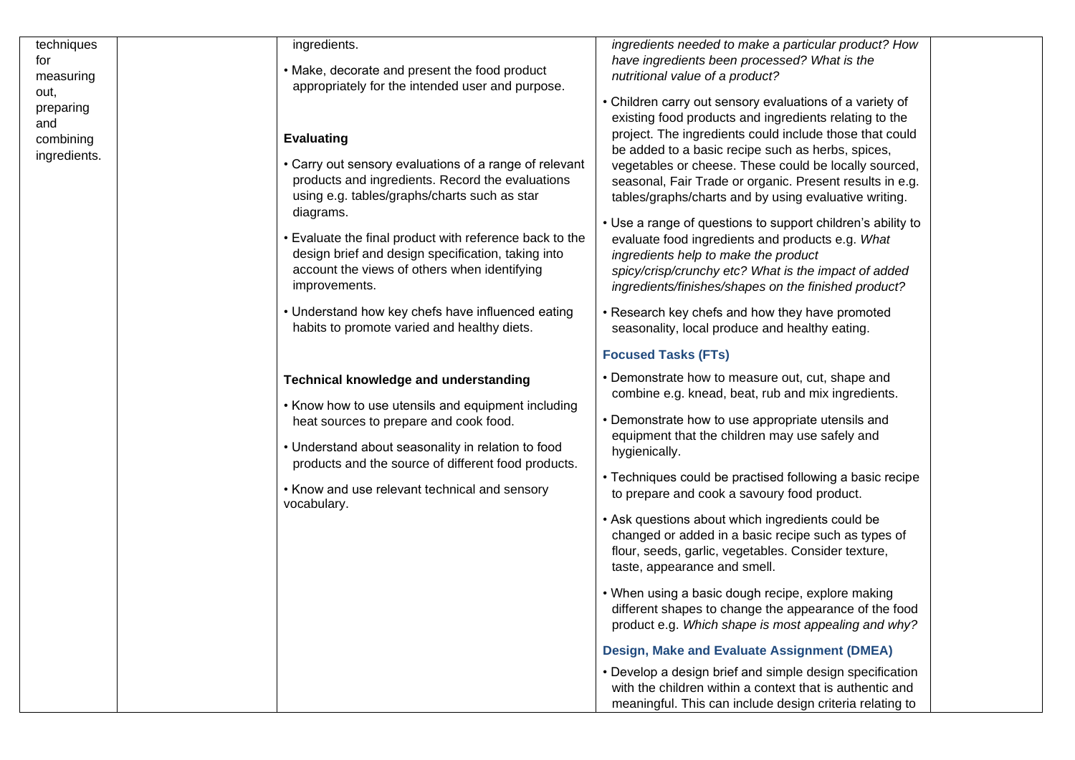| techniques<br>for<br>measuring<br>out,<br>preparing | ingredients.<br>• Make, decorate and present the food product<br>appropriately for the intended user and purpose.                                                                                                                                                                                                                                                              | ingredients needed to make a particular product? How<br>have ingredients been processed? What is the<br>nutritional value of a product?<br>• Children carry out sensory evaluations of a variety of<br>existing food products and ingredients relating to the                                                                                                                                                                                                                                                                                                                                                                                                                                                    |  |
|-----------------------------------------------------|--------------------------------------------------------------------------------------------------------------------------------------------------------------------------------------------------------------------------------------------------------------------------------------------------------------------------------------------------------------------------------|------------------------------------------------------------------------------------------------------------------------------------------------------------------------------------------------------------------------------------------------------------------------------------------------------------------------------------------------------------------------------------------------------------------------------------------------------------------------------------------------------------------------------------------------------------------------------------------------------------------------------------------------------------------------------------------------------------------|--|
| and<br>combining<br>ingredients.                    | <b>Evaluating</b><br>• Carry out sensory evaluations of a range of relevant<br>products and ingredients. Record the evaluations<br>using e.g. tables/graphs/charts such as star<br>diagrams.<br>• Evaluate the final product with reference back to the<br>design brief and design specification, taking into<br>account the views of others when identifying<br>improvements. | project. The ingredients could include those that could<br>be added to a basic recipe such as herbs, spices,<br>vegetables or cheese. These could be locally sourced,<br>seasonal, Fair Trade or organic. Present results in e.g.<br>tables/graphs/charts and by using evaluative writing.<br>• Use a range of questions to support children's ability to<br>evaluate food ingredients and products e.g. What<br>ingredients help to make the product<br>spicy/crisp/crunchy etc? What is the impact of added<br>ingredients/finishes/shapes on the finished product?                                                                                                                                            |  |
|                                                     | • Understand how key chefs have influenced eating<br>habits to promote varied and healthy diets.                                                                                                                                                                                                                                                                               | • Research key chefs and how they have promoted<br>seasonality, local produce and healthy eating.                                                                                                                                                                                                                                                                                                                                                                                                                                                                                                                                                                                                                |  |
|                                                     |                                                                                                                                                                                                                                                                                                                                                                                | <b>Focused Tasks (FTs)</b>                                                                                                                                                                                                                                                                                                                                                                                                                                                                                                                                                                                                                                                                                       |  |
|                                                     | <b>Technical knowledge and understanding</b><br>• Know how to use utensils and equipment including<br>heat sources to prepare and cook food.<br>• Understand about seasonality in relation to food<br>products and the source of different food products.<br>• Know and use relevant technical and sensory<br>vocabulary.                                                      | • Demonstrate how to measure out, cut, shape and<br>combine e.g. knead, beat, rub and mix ingredients.<br>• Demonstrate how to use appropriate utensils and<br>equipment that the children may use safely and<br>hygienically.<br>• Techniques could be practised following a basic recipe<br>to prepare and cook a savoury food product.<br>• Ask questions about which ingredients could be<br>changed or added in a basic recipe such as types of<br>flour, seeds, garlic, vegetables. Consider texture,<br>taste, appearance and smell.<br>• When using a basic dough recipe, explore making<br>different shapes to change the appearance of the food<br>product e.g. Which shape is most appealing and why? |  |
|                                                     |                                                                                                                                                                                                                                                                                                                                                                                | Design, Make and Evaluate Assignment (DMEA)                                                                                                                                                                                                                                                                                                                                                                                                                                                                                                                                                                                                                                                                      |  |
|                                                     |                                                                                                                                                                                                                                                                                                                                                                                | • Develop a design brief and simple design specification<br>with the children within a context that is authentic and<br>meaningful. This can include design criteria relating to                                                                                                                                                                                                                                                                                                                                                                                                                                                                                                                                 |  |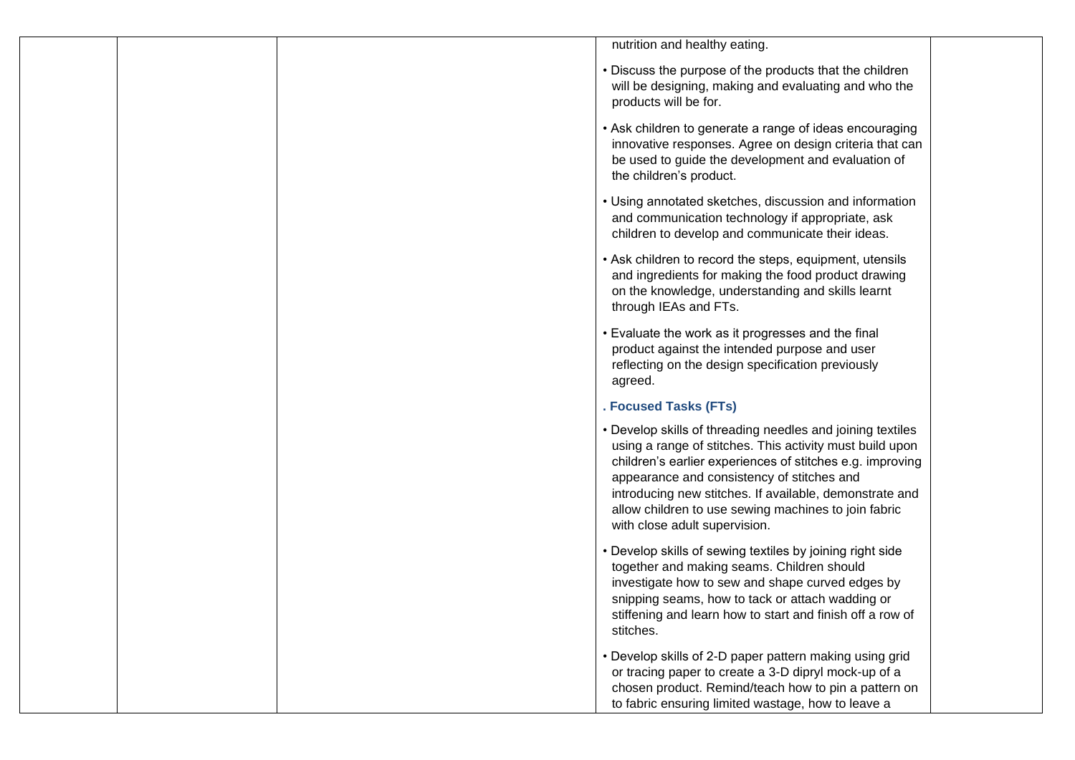| nutrition and healthy eating.                                                                                                                                                                                                                                                                                                                                                         |
|---------------------------------------------------------------------------------------------------------------------------------------------------------------------------------------------------------------------------------------------------------------------------------------------------------------------------------------------------------------------------------------|
| • Discuss the purpose of the products that the children<br>will be designing, making and evaluating and who the<br>products will be for.                                                                                                                                                                                                                                              |
| • Ask children to generate a range of ideas encouraging<br>innovative responses. Agree on design criteria that can<br>be used to guide the development and evaluation of<br>the children's product.                                                                                                                                                                                   |
| • Using annotated sketches, discussion and information<br>and communication technology if appropriate, ask<br>children to develop and communicate their ideas.                                                                                                                                                                                                                        |
| • Ask children to record the steps, equipment, utensils<br>and ingredients for making the food product drawing<br>on the knowledge, understanding and skills learnt<br>through IEAs and FTs.                                                                                                                                                                                          |
| • Evaluate the work as it progresses and the final<br>product against the intended purpose and user<br>reflecting on the design specification previously<br>agreed.                                                                                                                                                                                                                   |
| . Focused Tasks (FTs)                                                                                                                                                                                                                                                                                                                                                                 |
| • Develop skills of threading needles and joining textiles<br>using a range of stitches. This activity must build upon<br>children's earlier experiences of stitches e.g. improving<br>appearance and consistency of stitches and<br>introducing new stitches. If available, demonstrate and<br>allow children to use sewing machines to join fabric<br>with close adult supervision. |
| • Develop skills of sewing textiles by joining right side<br>together and making seams. Children should<br>investigate how to sew and shape curved edges by<br>snipping seams, how to tack or attach wadding or<br>stiffening and learn how to start and finish off a row of<br>stitches.                                                                                             |
| • Develop skills of 2-D paper pattern making using grid<br>or tracing paper to create a 3-D dipryl mock-up of a<br>chosen product. Remind/teach how to pin a pattern on<br>to fabric ensuring limited wastage, how to leave a                                                                                                                                                         |